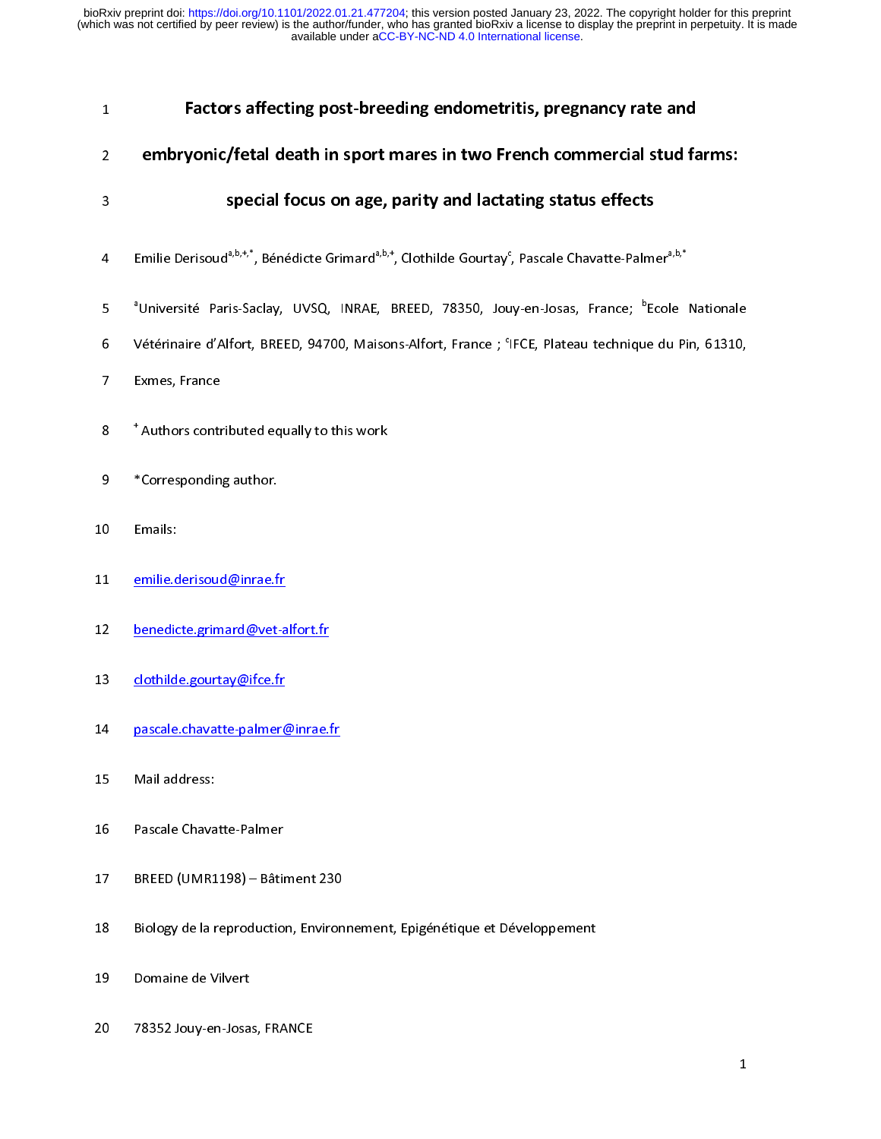| $\mathbf{1}$   | Factors affecting post-breeding endometritis, pregnancy rate and                                                                                    |
|----------------|-----------------------------------------------------------------------------------------------------------------------------------------------------|
| $\overline{2}$ | embryonic/fetal death in sport mares in two French commercial stud farms:                                                                           |
| 3              | special focus on age, parity and lactating status effects                                                                                           |
| $\overline{4}$ | Emilie Derisoud <sup>a,b,+,*</sup> , Bénédicte Grimard <sup>a,b,+</sup> , Clothilde Gourtay <sup>c</sup> , Pascale Chavatte-Palmer <sup>a,b,*</sup> |
| 5              | <sup>a</sup> Université Paris-Saclay, UVSQ, INRAE, BREED, 78350, Jouy-en-Josas, France; <sup>b</sup> Ecole Nationale                                |
| 6              | Vétérinaire d'Alfort, BREED, 94700, Maisons-Alfort, France ; 'IFCE, Plateau technique du Pin, 61310,                                                |
| 7              | Exmes, France                                                                                                                                       |
| 8              | * Authors contributed equally to this work                                                                                                          |
| 9              | *Corresponding author.                                                                                                                              |
| 10             | Emails:                                                                                                                                             |
| 11             | emilie.derisoud@inrae.fr                                                                                                                            |
| 12             | benedicte.grimard@vet-alfort.fr                                                                                                                     |
| 13             | clothilde.gourtay@ifce.fr                                                                                                                           |
| 14             | pascale.chavatte-palmer@inrae.fr                                                                                                                    |
| 15             | Mail address:                                                                                                                                       |
| 16             | Pascale Chavatte-Palmer                                                                                                                             |
| 17             | BREED (UMR1198) - Bâtiment 230                                                                                                                      |
| 18             | Biology de la reproduction, Environnement, Epigénétique et Développement                                                                            |
| 19             | Domaine de Vilvert                                                                                                                                  |
| 20             | 78352 Jouy-en-Josas, FRANCE                                                                                                                         |
|                | $\mathbf{1}$                                                                                                                                        |
|                |                                                                                                                                                     |
|                |                                                                                                                                                     |
|                |                                                                                                                                                     |
|                |                                                                                                                                                     |
|                |                                                                                                                                                     |
|                |                                                                                                                                                     |

20 78352 Journal of the Journal of the Journal of the Journal of the Journal of the Journal of the Journal of<br>20 78 Journal of the Journal of the Journal of the Journal of the Journal of the Journal of the Journal of the<br>2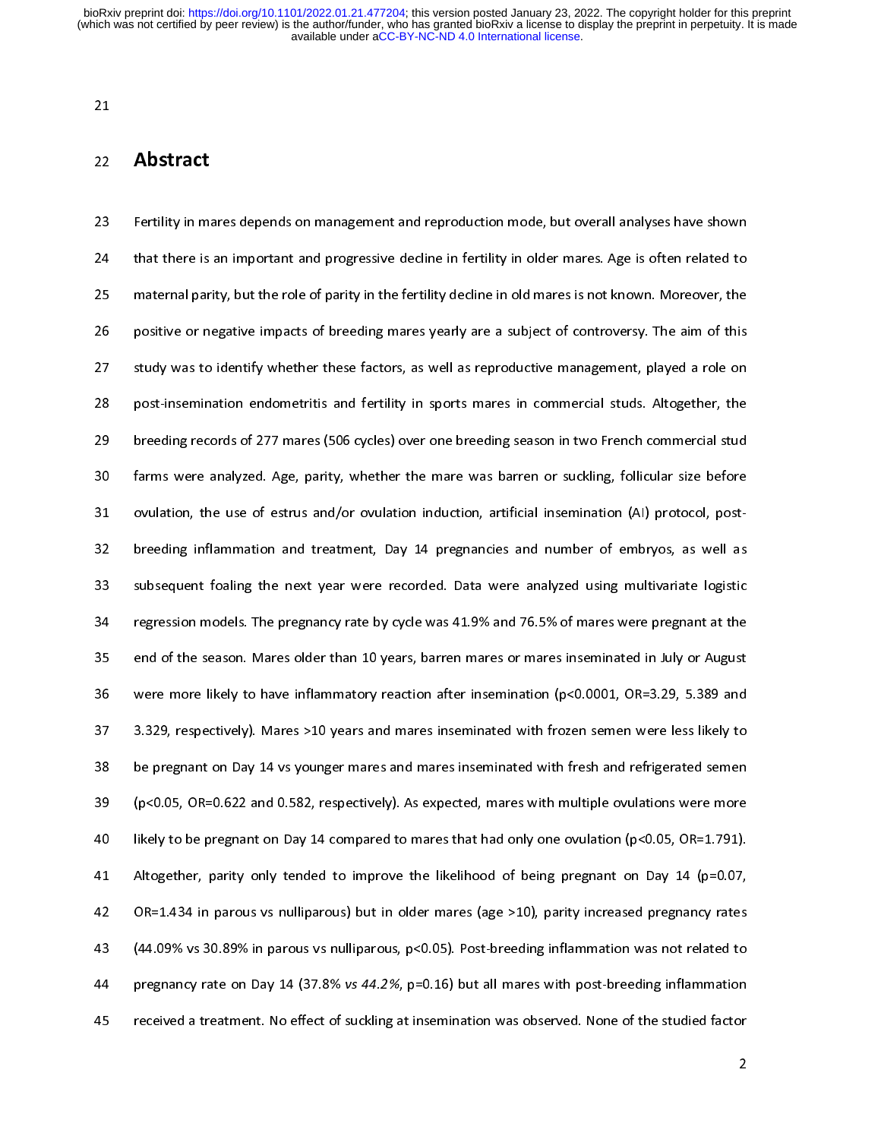21

22<br>23<br>24<br>25<br>26<br>27<br>28 22 **Abstract**<br>23 Fertility in ma<br>24 that there is<br>25 maternal pari<br>26 positive or ne<br>27 study was to<br>28 post-insemina 22 Fertility in marting community present in the present in management and that there is an important and progressive decline in fertility in older mares. Age is often related to maternal parity, but the role of parity in maternal parity, but the role of parity in the fertility decline in old mares is not known. Moreover, the<br>26 positive or negative impacts of breeding mares yearly are a subject of controversy. The aim of this<br>27 study was positive or negative impacts of breeding mares yearly are a subject of controversy. The aim of this<br>study was to identify whether these factors, as well as reproductive management, played a role on<br>post-insemination endome 27 study was to identify whether these factors, as well as reproductive management, played a role on<br>28 post-insemination endometritis and fertility in sports mares in commercial studs. Altogether, the<br>29 breeding records 28 post-insemination endometritis and fertility in sports mares in commercial studs. Altogether, the<br>29 breeding records of 277 mares (506 cycles) over one breeding season in two French commercial stud<br>30 farms were analyz breeding records of 277 mares (506 cycles) over one breeding season in two French commercial stud<br>
30 farms were analyzed. Age, parity, whether the mare was barren or suckling, follicular size before<br>
31 ovulation, the use 29 farms were analyzed. Age, parity, whether the mare was barren or suckling, follicular size before<br>21 ovulation, the use of estrus and/or ovulation induction, artificial insemination (AI) protocol, post-<br>22 breeding infl 31 ovulation, the use of estrus and/or ovulation induction, artificial insemination (AI) protocol, post-<br>32 breeding inflammation and treatment, Day 14 pregnancies and number of embryos, as well as<br>33 subsequent foaling t  $\frac{1}{2}$  over other and or only respectively induction, artificial insemination (AI) protocol, post-33 subsequent foaling the next year were recorded. Data were analyzed using multivariate logistic<br>34 regression models. The pregnancy rate by cycle was 41.9% and 76.5% of mares were pregnant at the<br>35 end of the season. M 33 regression models. The pregnancy rate by cycle was 41.9% and 76.5% of mares were pregnant at the<br>35 end of the season. Mares older than 10 years, barren mares or mares inseminated in July or August<br>36 were more likely 233 end of the season. Mares older than 10 years, barren mares or mares inseminated in July or August<br>36 were more likely to have inflammatory reaction after insemination (p<0.0001, OR=3.29, 5.389 and<br>3.329, respectively) 35 were more likely to have inflammatory reaction after insemination (p<0.0001, OR=3.29, 5.389 and<br>37 3.329, respectively). Mares >10 years and mares inseminated with frozen semen were less likely to<br>38 be pregnant on Day 37 3.329, respectively). Mares >10 years and mares inseminated with frozen semen were less likely to<br>38 be pregnant on Day 14 vs younger mares and mares inseminated with fresh and refrigerated semen<br>39 (p<0.05, OR=0.622 a be pregnant on Day 14 vs younger mares and mares inseminated with fresh and refrigerated semen<br>
(p<0.05, OR=0.622 and 0.582, respectively). As expected, mares with multiple ovulations were more<br>
likely to be pregnant on Da  $(pc0.05, OR=0.622 and 0.582, respectively). As expected, mares with multiple evaluations were more likely to be pregnant on Day 14 compared to mares that had only one ovulation ( $pc0.05, OR=1.791$ ). Altogether, parity only tended to improve the likelihood of being pregnant on Day 14 ( $p=0.07$ , OR=1.434 in parous vs nulliparous) but in older mares (age >10), parity increased pregnancy rates (44.09% vs 30.89% in parous vs nulliparous,  $p<0.05$ ). Post-breaking inflammation was not related to pregnancy rate on Day 14 (37.8% vs 44.2%,  $p=0.16$ ) but all mares with post-breaking inflammation received a treatment.$ 39 (pseudo are proposed in the Universe Chemistral and only one ovulation (pc0.05, OR=1.791).<br>39 Altogether, parity only tended to improve the likelihood of being pregnant on Day 14 (p=0.07,<br>39 OR=1.434 in parous vs nulli 41 Altogether, parity only tended to improve the likelihood of being pregnant on Day 14 (p=0.07,<br>42 OR=1.434 in parous vs nulliparous) but in older mares (age >10), parity increased pregnancy rates<br>43 (44.09% vs 30.89% in  $OR=1.434$  in parous vs nulliparous) but in older mares (age >10), parity increased pregnancy rates<br>
(44.09% vs 30.89% in parous vs nulliparous, p<0.05). Post-breeding inflammation was not related to<br>
pregnancy rate on Day 44.09% vs 30.89% in parous vs nulliparous, p<0.05). Post-breeding inflammation was not related to<br>
44 organacy rate on Day 14 (37.8% vs 44.2%, p=0.16) but all mares with post-breeding inflammation<br>
45 received a treatment pregnancy rate on Day 14 (37.8% vs 44.2%, p=0.16) but all mares with post-breeding inflammation<br>45 received a treatment. No effect of suckling at insemination was observed. None of the studied factor<br>2  $45$  received a treatment. No effect of suckling at insemination was observed. None of the studied factor  $\frac{2}{3}$  $\frac{4}{5}$  received a treatment. No effect of such at insemination was observed. None of the studied factor  $\frac{1}{2}$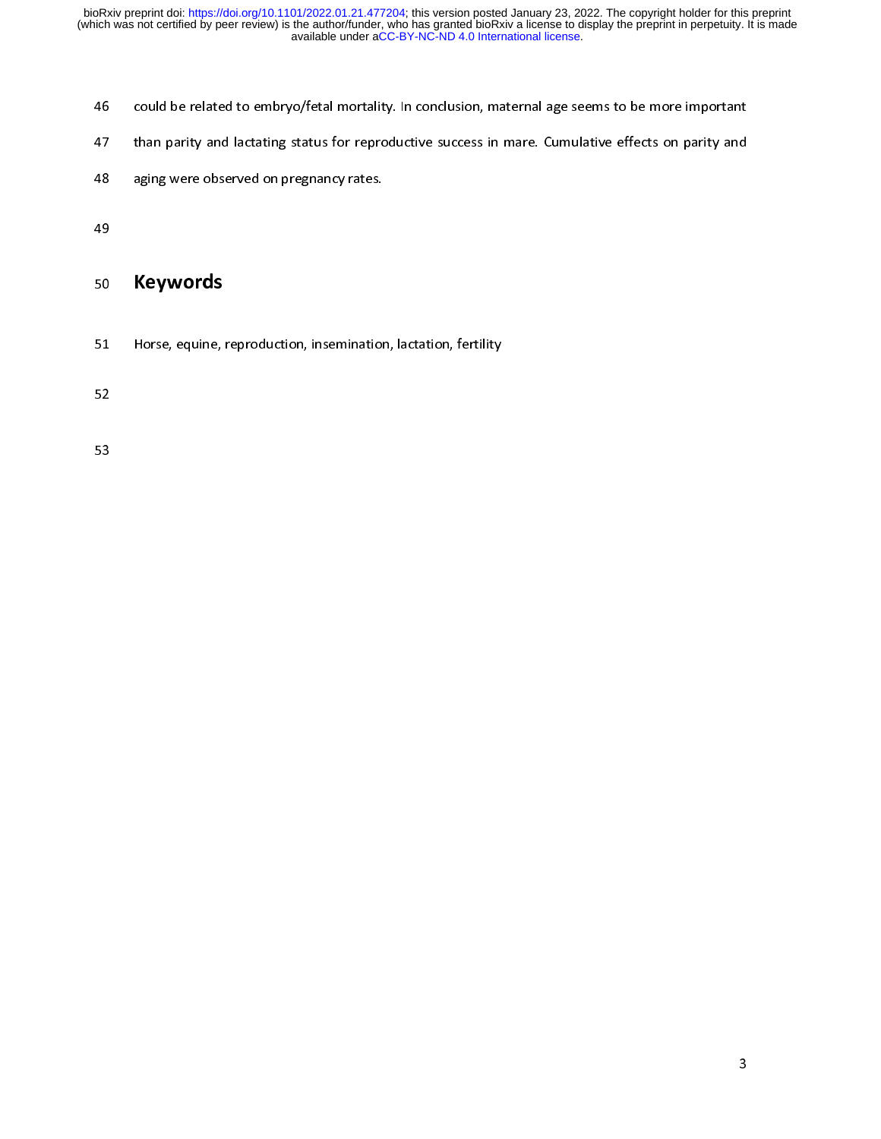- 
- 14 conducts be related to embryone to embryone the total more in the comparison of the mortality and<br>148 aging were observed on pregnancy rates.<br>149<br>150 **Keywords**<br>1651 Horse, equine, reproduction, insemination, lactation,
- 

# 50<br>51<br>52<br>53

aging were observed on pregnancy rates.<br>
49<br>
50 **Keywords**<br>
51 Horse, equine, reproduction, insemination, lactation, fertility<br>
52 49<br>50 **Keywords**<br>51 Horse, equine, reproduction, insemination<br>52<br>53 50 Keywords<br>51 Horse, equine, i 52 Martin equine, representing, insemination, insemination, insemination, insemination, insemination, insemina<br>53<br>53

 $53$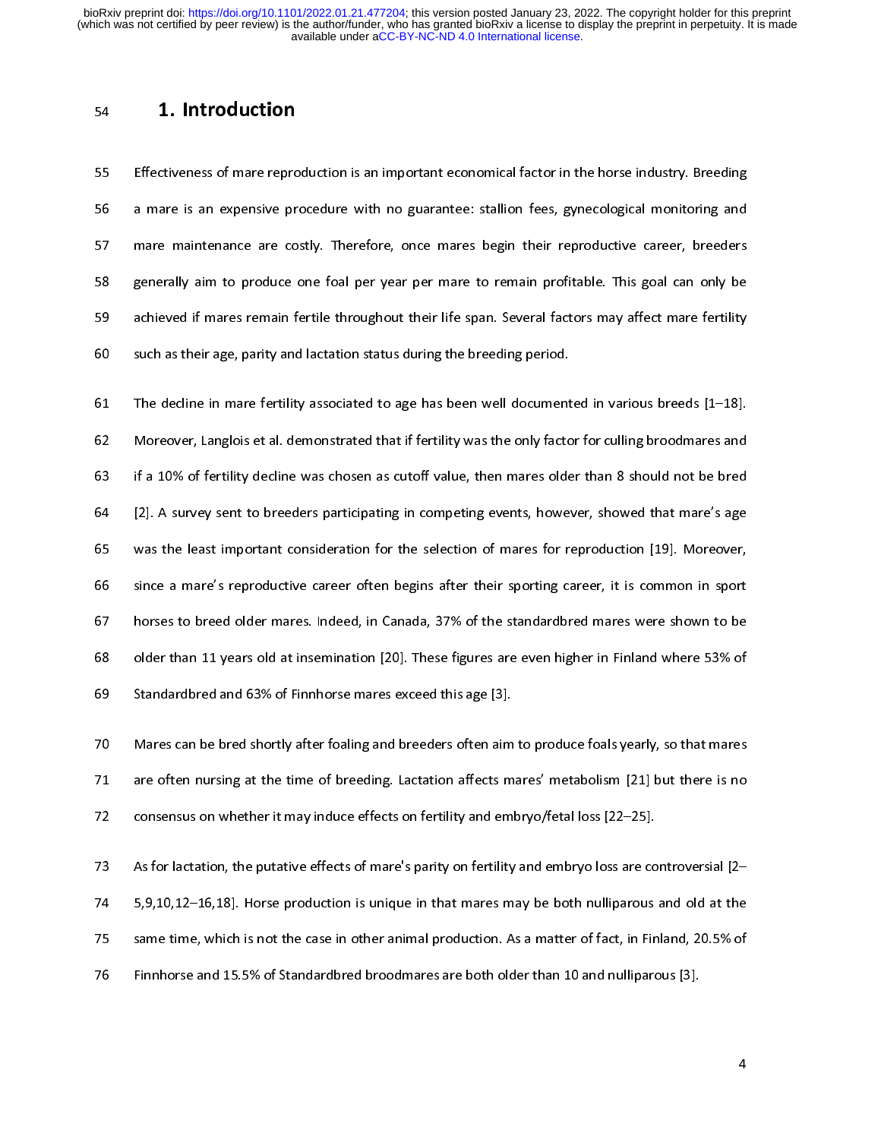1. Introduction<br>55 Effectiveness of mare repro<br>56 a mare is an expensive pro<br>57 mare maintenance are co<br>58 generally aim to produce of<br>60 such as their age, parity and<br>59 achieved if mares remain for<br>59 such as their age, Effectiveness of a marries of marries of marries of an interness of a mare is an expensive procedure with no guarantee: stallion fees, gynecological monitoring and<br>
their reproductive career, breeders<br>
generally aim to pro mare maintenance are costly. Therefore, once mares begin their reproductive career, breeders<br>generally aim to produce one foal per year per mare to remain profitable. This goal can only be<br>achieved if mares remain fertile

Example maintenance are costly. Therefore, once main profitable. This goal can only be<br>generally aim to produce one foal per year per mare to remain profitable. This goal can only be<br>achieved if mares remain fertile throug Experience in the per yearned to remain perturbate one for the perturbation of an experience one for the general factors may affect mare fertility such as their age, parity and lactation status during the breeding period.<br> 59 such as their age, parity and lactation status during the breeding period.<br>
59 The decline in mare fertility associated to age has been well documented in various breeds [1–18].<br>
59 Moreover, Langlois et al. demonstrate Figure 20 such as the decline in mare fertility associated to age has been well document<br>62 Moreover, Langlois et al. demonstrated that if fertility was the only factor<br>65 if a 10% of fertility decline was chosen as cutoff Moreover, Langlois et al. demonstrated that if fertility was the only factor for culling broodmares and<br>
63 if a 10% of fertility decline was chosen as cutoff value, then mares older than 8 should not be bred<br>
64 [2]. A su 63 if a 10% of fertility decline was chosen as cutoff value, then mares older than 8 should not be bred<br>64 [2]. A survey sent to breeders participating in competing events, however, showed that mare's age<br>65 was the least 12]. A survey sent to breeders participating in competing events, however, showed that mare's age<br>
165 was the least important consideration for the selection of mares for reproduction [19]. Moreover,<br>
166 since a mare's r was the least important consideration for the selection of mares for reproduction [19]. Moreover,<br>since a mare's reproductive career often begins after their sporting career, it is common in sport<br>horses to breed older mar since a mare's reproductive career often begins after their sporting career, it is common in sport<br>horses to breed older mares. Indeed, in Canada, 37% of the standardbred mares were shown to be<br>older than 11 years old at i horses to breed older mares. Indeed, in Canada, 37% of the standardbred mares were shown to be<br>
older than 11 years old at insemination [20]. These figures are even higher in Finland where 53% of<br>
Standardbred and 63% of F

older than 11 years old at insemination [20]. These figures are even higher in Finland where 53% of<br>Standardbred and 63% of Finnhorse mares exceed this age [3].<br>Mares can be bred shortly after foaling and breeders often ai

Standardbred and 63% of Finnhorse mares exceed this age [3].<br>
Mares can be bred shortly after foaling and breeders often aim to produce foals yearly, so that mares<br>
are often nursing at the time of breeding. Lactation affe Mares can be bred shortly after foaling and breeders often aim<br>are often nursing at the time of breeding. Lactation affects m<br>consensus on whether it may induce effects on fertility and em<br>As for lactation, the putative ef are often nursing at the time of breeding. Lactation affects mares' metabolism [21] but there is no<br>consensus on whether it may induce effects on fertility and embryo/fetal loss [22–25].<br>As for lactation, the putative effe 22 are strain in the time of breeding. Lactation after in the time of breeding. The interference consensus on whether it may induce effects on fertility and embryo/fetal loss [22–25].<br>
45 for lactation, the putative effect 273 As for lactation, the putative effects of mare's parity on fertility and embryo loss are conserved to the specific material in that mares may be both nulliparous same time, which is not the case in other animal product 73 As for lactation, the putative effects of mare's parity on fertility and embryo loss are controversial [2–<br>5,9,10,12–16,18]. Horse production is unique in that mares may be both nulliparous and old at the<br>same time, whi 74 5,9,10,12–19,19,19,12–19,19,18). However, production is unique in that market may be both numperiod into at the<br>3 Same time, which is not the case in other animal production. As a matter of fact, in Finland, 20.5% of<br>5 76 Finnhorse and 15.5% of Standardbred broodmares are both older than 10 and nulliparous [3]. 76 Finnhorse and 15.5% of Standardbred broodmares are both older than 10 and nulliparous [3].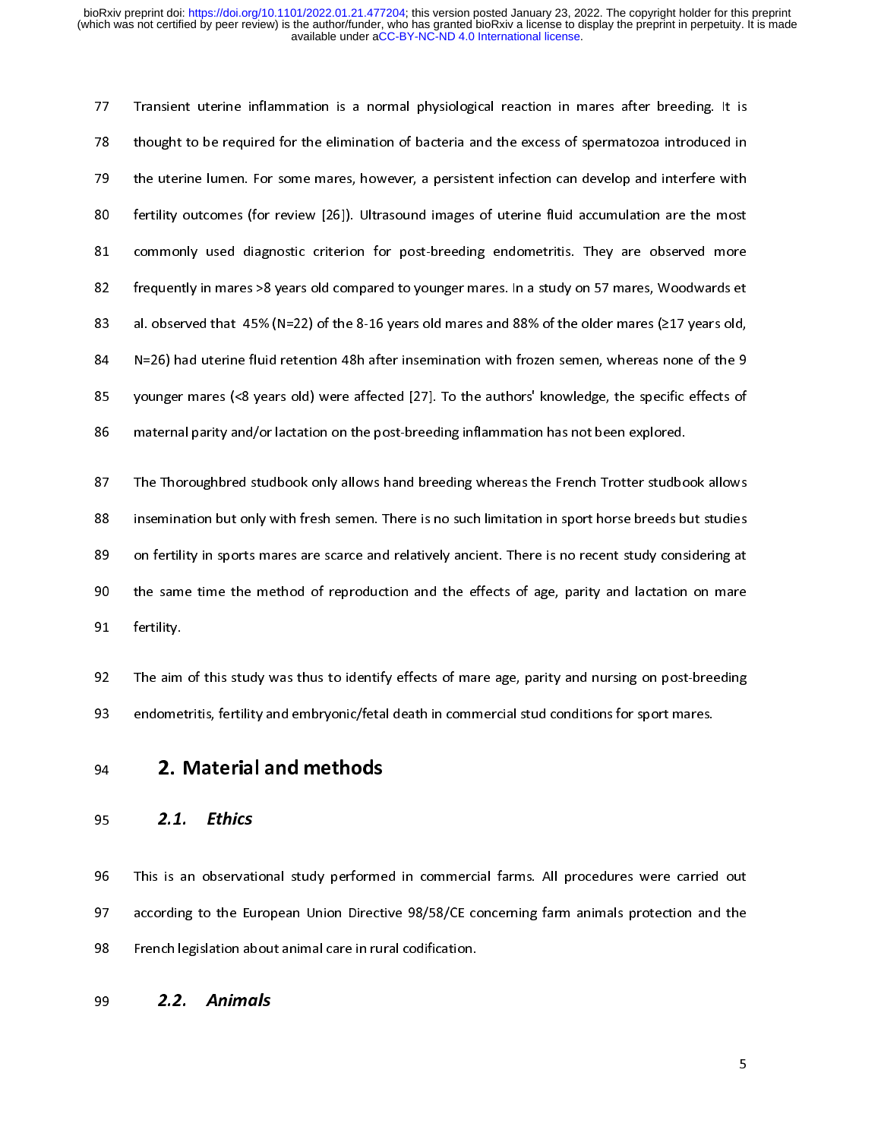Transient uterine inflammation is a normal physiological reaction in interior after after the divergent<br>
279 the uterine lumen. For some mares, however, a persistent infection can develop and interfere with<br>
280 fertility The uterine lumen. For some mares, however, a persistent infection can develop and interfere with<br>
180 fertility outcomes (for review [26]). Ultrasound images of uterine fluid accumulation are the most<br>
181 commonly used d For first the uterine florest (for review [26]). Ultrasound images of uterine fluid accumulation are the most<br>
81 commonly used diagnostic criterion for post-breeding endometritis. They are observed more<br>
82 frequently in Example in the state (explicit of review [26]). The statement is the most statement of the most<br>commonly used diagnostic criterion for post-breeding endometritis. They are observed more<br>frequently in mares >8 years old com Frammann, The They are more in prediction, The Theodore material more frequently in mares >8 years old compared to younger mares and 88% of the older mares (217 years old,<br>
N=26) had uterine fluid retention 48h after insem al. observed that 45% (N=22) of the 8-16 years old mares and 88% of the older mares (217 years old,<br>
84 N=26) had uterine fluid retention 48h after insemination with frozen semen, whereas none of the 9<br>
85 younger mares (<

84 N=26) had uterine fluid retention 48h after insemination with frozen semen, whereas none of the 9<br>85 younger mares (<8 years old) were affected [27]. To the authors' knowledge, the specific effects of<br>86 maternal parity 94 NE26) had uterine fluid retention 18 and the authors' knowledge, the specific effects of<br>86 maternal parity and/or lactation on the post-breeding inflammation has not been explored.<br>87 The Thoroughbred studbook only all 95 younger mares (<8 years old) were affected [27]. To the authors' knowledge, the specific effects of<br>86 maternal parity and/or lactation on the post-breeding inflammation has not been explored.<br>87 The Thoroughbred studbo The Thoroughbred studbook only allows hand breeding whereas the French Trotter studbo<br>
insemination but only with fresh semen. There is no such limitation in sport horse breeds b<br>
on fertility in sports mares are scarce an Example in the Thorough the Thorough interaction, the Thomas interaction in sport horse breeds but studies<br>
87 On fertility in sports mares are scarce and relatively ancient. There is no recent study considering at<br>
89 On on fertility in sports mares are scarce and relatively ancient. There is no recent study considering at<br>the same time the method of reproduction and the effects of age, parity and lactation on mare<br>fertility.<br>The aim of th 89 on fertility.<br>89 on fertility.<br>89 on fertility.<br>89 on fertility.<br>89 on fertility.<br>89 on fertility.<br>89 on fertility and relatively and relative of the study was thus to identify effects of mare age, parity and nursing on

91 fertility.<br>92 The aim of this study was thus to identify effects of mare age, parity and nursing on post-breeding<br>93 endometritis, fertility and embryonic/fetal death in commercial stud conditions for sport mares.<br>94 **2** 

92 The aim<br>93 endome<br>94 **2.1**<br>95 **2.1**.<br>96 This is a<br>97 accordin 93 endometritis, fertility and embryonic/fetal death in commercial stud conditions for sport mares.<br>94 **2. Material and methods**<br>95 **2.1. Ethics**<br>96 This is an observational study performed in commercial farms. All procedu 2. **Characterizer 193 Endometrizies**<br>
95 2.1. *Ethics*<br>
96 This is an observational study performed in commercial farms. All procedures were carried<br>
97 according to the European Union Directive 98/58/CE concerning farm an 2. **Material and methods**<br>95 2.1. *Ethics*<br>96 This is an observational study performe<br>97 according to the European Union Directi<br>98 French legislation about animal care in rur<br>2.2. Animals 2.1. Ethics<br>96 This is an observation<br>97 according to the Eu<br>98 French legislation ab<br>**2.2. Anima** 96 This is an observation of the European Union Directive 98/58/CE concerning farm animals protection and the<br>98 French legislation about animal care in rural codification.<br>99 2.2. Animals 98 French legislation about animal care in rural codification.<br>99 2.2. Animals protection and the European Union Direction and the European Union Direction and the European Union Direction and the European Union Direction

99 **2.2.** Animals  $2.2.$  Animals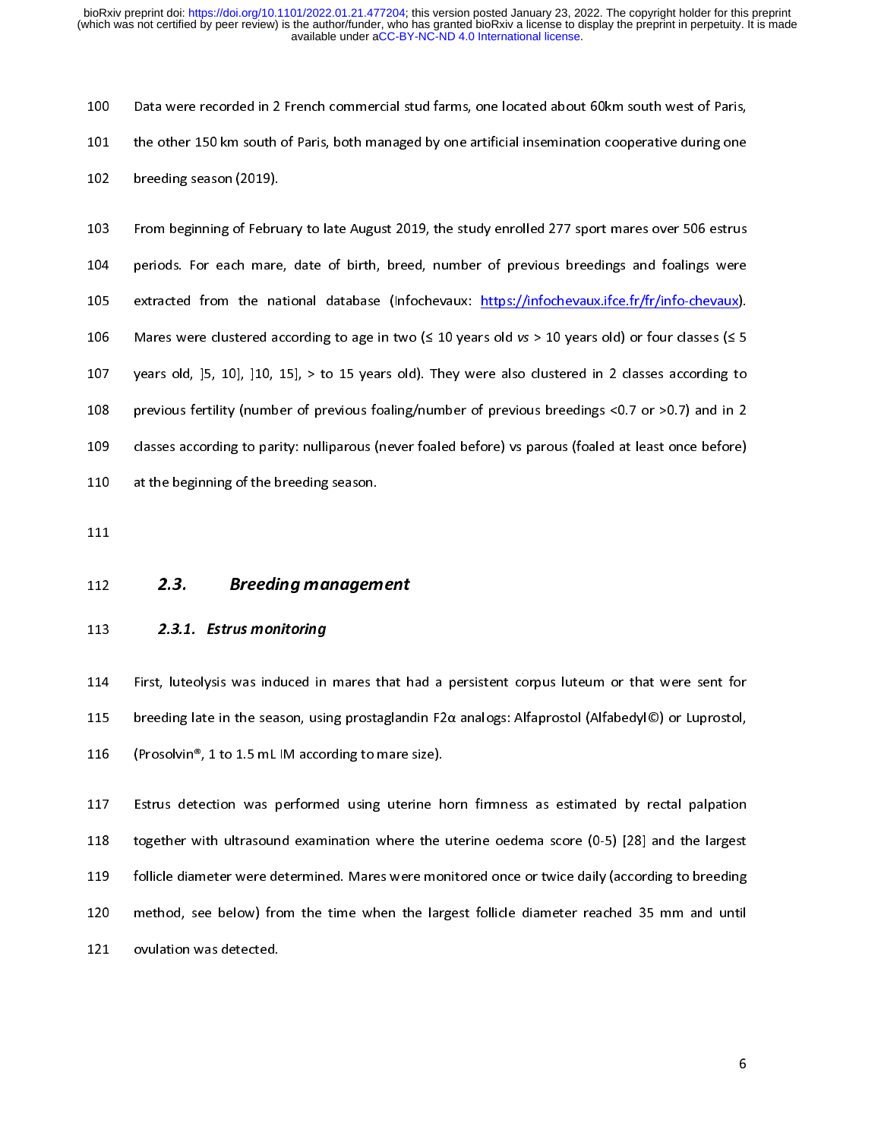100 Intertational studies and the analysis of Data were recorded in 2 French competent in 2 French competed ing<br>100 Interding season (2019).<br>103 From beginning of February to late August 2019, the study enrolled 277 sport From beginning of February to late August 2019, the study enrolled 277 sport mares over 506 estrus<br>
103 From beginning of February to late August 2019, the study enrolled 277 sport mares over 506 estrus<br>
105 extracted from 103 From beginning of Febru<br>104 periods. For each mare<br>105 extracted from the na<br>106 Mares were clustered ac<br>107 years old, [5, 10], [10, 2<br>108 previous fertility (numbe<br>109 classes according to pari<br>110 at the beginning o 104 From beginning of February enterting of February Theodors Prototon Beginning were<br>105 extracted from the national database (Infochevaux: https://infochevaux.ifce.fr/fr/info-chevaux).<br>106 Mares were clustered according Extracted from the national database (Infochevaux: https://infochevaux.ifce.fr/fr/info-chevaux).<br>
106 Mares were clustered according to age in two (≤ 10 years old vs > 10 years old) or four classes (≤ 5 years old, ]5, 10] 106 Mares were clustered according to age in two ( $\leq 10$  years old vs > 10 years old) or four classes ( $\leq 5$ <br>107 years old, [5, 10], [10, 15], > to 15 years old). They were also clustered in 2 classes according to<br>108 106 Mares were clustered according to 100 Mares were clustered and the previous fertility (number of previous foaling/number of previous breedings <0.7 or >0.7) and in 2<br>108 previous fertility (number of previous foaling/n previous fertility (number of previous foaling/number of previous breedings <0.7 or >0.7) and in 2<br>
109 classes according to parity: nulliparous (never foaled before) vs parous (foaled at least once before)<br>
110 at the beg 109<br>
109 classes according to parity: nulliparous (never foaled before) vs parous (foaled at least once before)<br>
110 at the beginning of the breeding season.<br>
111<br>
112 2.3.1. Estrus monitoring<br>
114 First, luteolysis was in

110 at the beginning of parity: numper extend at least once before the before in the beginning of the breeding season.<br>
111<br>
112 2.3. Breeding management<br>
113 2.3.1. Estrus monitoring<br>
114 First, luteolysis was induced in 2.3. **Breeding managem**<br>112 **2.3.1. Estrus monitoring**<br>113 **Estrus monitoring**<br>114 First, luteolysis was induced in mares t<br>115 breeding late in the season, using prosta<br>116 (Prosolvin®, 1 to 1.5 mL IM according to i ---<br>112<br>113<br>114<br>115<br>116<br>117

2.3. **Breeding management**<br>
2.3.1. Estrus monitoring<br>
113 2.3.1. Estrus monitoring<br>
115 breeding late in the season, using prostagland<br>
116 (Prosolvin®, 1 to 1.5 mL IM according to mare<br>
117 Estrus detection was performed 2.3.1. Estrus momtoring<br>114 First, luteolysis was induced in<br>115 breeding late in the season, usir<br>116 (Prosolvin®, 1 to 1.5 mL IM accor<br>117 Estrus detection was performe<br>118 together with ultrasound exami<br>119 follicle dia 115 breeding late in the season, using prostaglandin F2 $\alpha$  analogs: Alfaprostol (Alfabedyl©) or Luprostol,<br>116 (Prosolvin®, 1 to 1.5 mL IM according to mare size).<br>117 Estrus detection was performed using uterine horn fir 116 (Prosolvin®, 1 to 1.5 mL IM according to mare size).<br>
117 Estrus detection was performed using uterine horn firmness as estimated by rectal palpation<br>
118 together with ultrasound examination where the uterine oedema s Estrus detection was performed using uterine h<br>118 together with ultrasound examination where the<br>119 follicle diameter were determined. Mares were more<br>120 method, see below) from the time when the larg<br>121 ovulation was 118 together with ultrasound examination where the uterine oedema score (0-5) [28] and the largest<br>119 follicle diameter were determined. Mares were monitored once or twice daily (according to breeding<br>120 method, see belo 119 follicle diameter were determined. Mares were monitored once or twice daily (according to breeding<br>120 method, see below) from the time when the largest follicle diameter reached 35 mm and until<br>121 ovulation was detec 120 method, see below) from the time when the largest follicle diameter reached 35 mm and until<br>121 ovulation was detected.<br>6 121 ovulation was detected.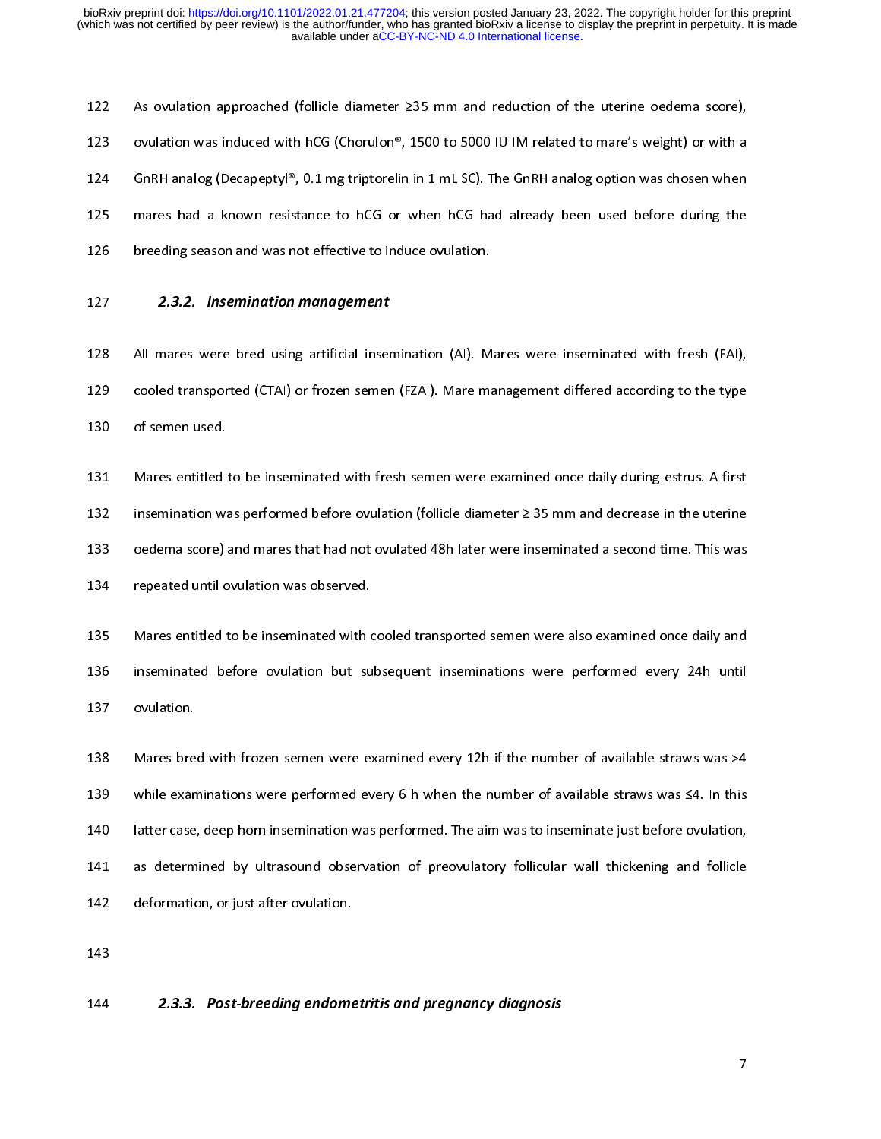123 ovulation was induced with hCG (Chorulon®, 1500 to 5000 IU IM related to mare's weight) or with a<br>124 GnRH analog (Decapeptyl®, 0.1 mg triptorelin in 1 mL SC). The GnRH analog option was chosen when<br>125 mares had a kn GnRH analog (Decapeptyl®, 0.1 mg triptorelin in 1 mL SC). The GnRH analog option was chosen when<br>
125 mares had a known resistance to hCG or when hCG had already been used before during the<br>
126 breeding season and was not

mares had a known resistance to hCG or when hCG had already been used before during the<br>126 breeding season and was not effective to induce ovulation.<br>127 2.3.2. Insemination management<br>128 All mares were bred using artifi 126 breeding season and was not effective to induce ovulation.<br>
127 2.3.2. Insemination management<br>
128 All mares were bred using artificial insemination (AI). Mares were inseminated with fresh (FAI),<br>
129 cooled transpor

2.3.2. *Insemination management*<br>128 All mares were bred using artificial insemination (AI). M<br>129 cooled transported (CTAI) or frozen semen (FZAI). Mare ma<br>130 of semen used.<br>131 Mares entitled to be inseminated with fres 2.3.2. *Insemination management*<br>128 All mares were bred using artificial inser<br>130 of semen used.<br>131 Mares entitled to be inseminated with fre<br>132 insemination was performed before ovulat<br>133 oedema score) and mares that 129 Cooled transported (CTAI) or frozen semen (FZAI). Mare management differed according to the type<br>129 of semen used.<br>131 Mares entitled to be inseminated with fresh semen were examined once daily during estrus. A first<br> 130 of semen used.<br>
131 Mares entitled to be inseminated with fresh semen were examined once daily during estrus. A first<br>
132 insemination was performed before ovulation (follicle diameter ≥ 35 mm and decrease in the ute 131 Mares entitled<br>132 insemination wa<br>133 oedema score)<br>134 repeated until o<br>135 Mares entitled t<br>136 inseminated be<br>137 ovulation. Intertainment in the interted to be inseminated with free interted with a first semention was performed before ovulation (follicle diameter 235 mm and decrease in the uterine<br>133 oedema score) and mares that had not ovulat

133 oedema score) and mares that had not ovulated 48h later were inseminated a second time. This was<br>
134 repeated until ovulation was observed.<br>
135 Mares entitled to be inseminated with cooled transported semen were als

134 repeated until ovulation was observed.<br>
135 Mares entitled to be inseminated with cooled transported semen were also examined once daily and<br>
136 inseminated before ovulation but subsequent inseminations were performed 135 Mares entitled to be inseminated with interest in the inseminated before ovulation but su<br>137 ovulation.<br>138 Mares bred with frozen semen were e:<br>139 while examinations were performed ev<br>140 latter case, deep horn inse 136 inseminated before ovulation but subsequent inseminations were performed every 24h until<br>137 ovulation.<br>138 Mares bred with frozen semen were examined every 12h if the number of available straws was >4<br>139 while exami ovulation.<br>
138 Mares bred with frozen semen were examined every 12h if the number of available straws was >4<br>
139 while examinations were performed every 6 h when the number of available straws was ≤4. In this<br>
140 latter 138 Mares bre<br>139 while exan<br>140 latter case<br>141 as determ<br>142 deformatic<br>143<br>144 **2.3.3.** while examinations were performed every 6 h when the number of available straws was  $\leq 4$ . In this<br>140 latter case, deep horn insemination was performed. The aim was to inseminate just before ovulation,<br>141 as determine 140 latter case, deep horn insemination was performed. The aim was to inseminate just before ovulation,<br>
141 as determined by ultrasound observation of preovulatory follicular wall thickening and follicle<br>
142 deformation, 141 as determined by ultrasound observation of preovulatory follicular wall thickening and follicle<br>142 deformation, or just after ovulation.<br>143<br>2.3.3. Post-breeding endometritis and pregnancy diagnosis<br>144 2.3.3. Post-br 142 deformation, or just after ovulation.<br>143<br>**2.3.3.** Post-breeding endometritis and pregnancy diagnosis<br>7

## 143  $2.3.3. Post-breaking endome$ - 144<br>144 144 2.3.3. Post-breeding endometritis and pregnancy diagnosis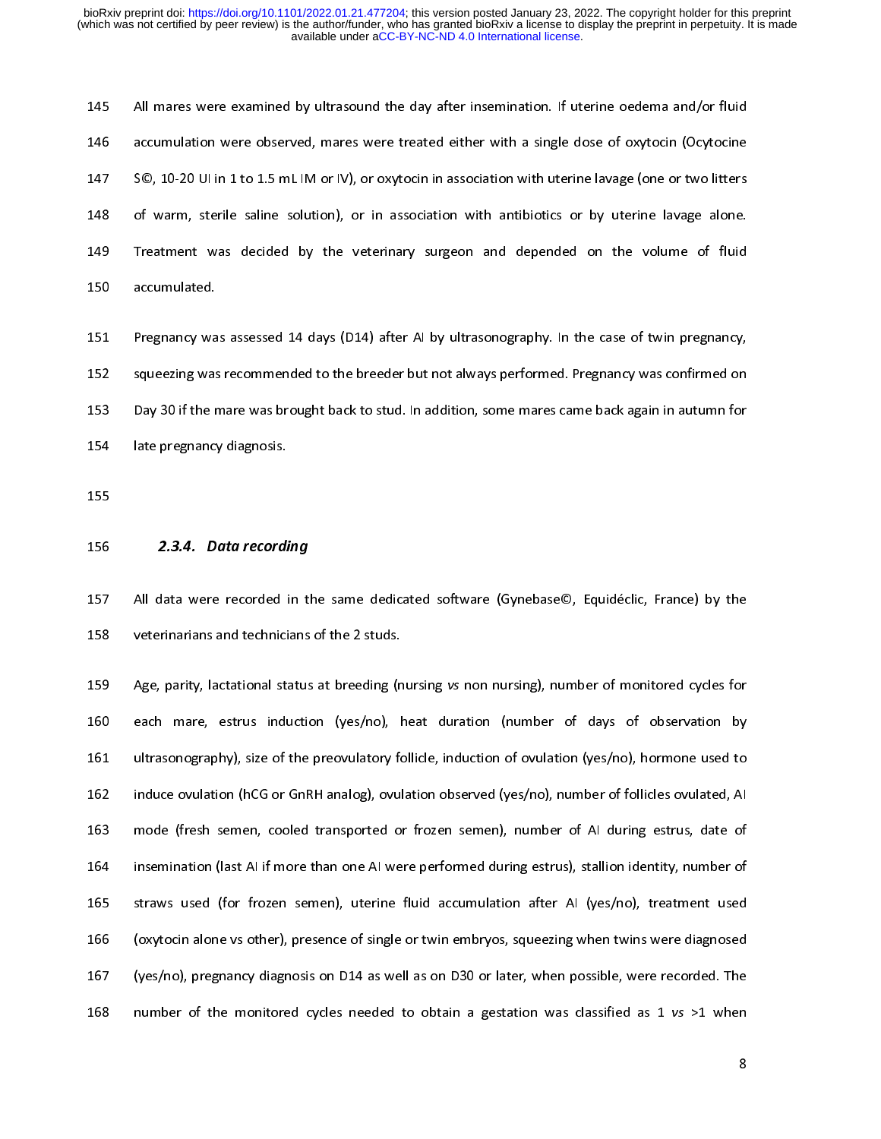146 accumulation were observed, mares were treated either with a single dose of oxytocin (Ocytocine<br>147 SO, 10-20 Ulin 1 to 1.5 mL IM or IV), or oxytocin in association with uterine lavage (one or two litters<br>148 of warm, 147 SC, 10-20 Ulin 1 to 1.5 mL IM or IV), or oxytocin in association with uterine lavage (one or two litters<br>148 of warm, sterile saline solution), or in association with antibiotics or by uterine lavage alone.<br>149 Treatme

148 of warm, sterile saline solution), or in association with antibiotics or by uterine lavage alone.<br>149 Treatment was decided by the veterinary surgeon and depended on the volume of fluid<br>150 accumulated.<br>152 Pregnancy w 148 Treatment was decided by the veterinary surgeon and depended on the volume of fluid<br>150 accumulated.<br>151 Pregnancy was assessed 14 days (D14) after Al by ultrasonography. In the case of twin pregnancy,<br>152 squeezing wa 150 accumulated.<br>
159 accumulated.<br>
151 Pregnancy was assessed 14 days (D14) after Al by ultrasonography. In the case of twin pregnancy,<br>
152 squeezing was recommended to the breeder but not always performed. Pregnancy was 151 Pregnancy wa<br>152 squeezing was<br>153 Day 30 if the r<br>154 late pregnancy<br>155 2.3.4. De 152 Squeezing was recommended to the breeder but not always performed. Pregnancy was confirmed on<br>153 Squeezing was recommended to the breeder but not always performed. Pregnancy was confirmed on<br>153 Day 30 if the mare was 153 Day 30 if the mare was brought back to stud. In addition, some mares came back again in autumn for<br>154 late pregnancy diagnosis.<br>155 **2.3.4. Data recording**<br>157 All data were recorded in the same dedicated software (Gy

154 late pregnancy diagnosis.<br>155<br>155 2.3.4. Data recording<br>157 All data were recorded in the same dedicated software (Gynebase©, Equidéclic, France) by the<br>158 veterinarians and technicians of the 2 studs.<br>159 Age, parity

155<br>
156 **2.3.4. Data recordi**<br>
157 All data were recorded i<br>
158 veterinarians and technici<br>
159 Age, parity, lactational sta<br>
160 each mare, estrus indu 156<br>156<br>157<br>158<br>159<br>160<br>161 2.3.4. *Data* recording<br>157 All data were recorded in the<br>158 veterinarians and technicians<br>159 Age, parity, lactational status<br>160 each mare, estrus induction<br>161 ultrasonography), size of the<br>162 induce ovulation (hCG or 158 veterinarians and technicians of the 2 studs.<br>
158 Age, parity, lactational status at breeding (nursing vs non nursing), number of monitored cycles for<br>
160 each mare, estrus induction (yes/no), heat duration (number o 159 Age, parity, lactational status at breeding (n<br>160 each mare, estrus induction (yes/no), 1<br>161 ultrasonography), size of the preovulatory for<br>162 induce ovulation (hCG or GnRH analog), ovul<br>163 mode (fresh semen, coole 159 Age, parity, status at alternational (yes/no), heat duration (number of days of observation by<br>161 ultrasonography), size of the preovulatory follicle, induction of ovulation (yes/no), hormone used to<br>162 induce ovulat 161 ultrasonography), size of the preovulatory follicle, induction of ovulation (yes/no), hormone used to<br>162 induce ovulation (hCG or GnRH analog), ovulation observed (yes/no), number of follicles ovulated, AI<br>163 mode (f induce ovulation (hCG or GnRH analog), ovulation observed (yes/no), number of follicles ovulated, AI<br>163 mode (fresh semen, cooled transported or frozen semen), number of AI during estrus, date of<br>164 insemination (last AI mode (fresh semen, cooled transported or frozen semen), number of AI during estrus, date of<br>164 insemination (last AI if more than one AI were performed during estrus), stallion identity, number of<br>165 straws used (for fro insemination (last Al if more than one AI were performed during estrus), stallion identity, number of<br>165 straws used (for frozen semen), uterine fluid accumulation after AI (yes/no), treatment used<br>166 (oxytocin alone vs 165 straws used (for frozen semen), uterine fluid accumulation after AI (yes/no), treatment used<br>166 (oxytocin alone vs other), presence of single or twin embryos, squeezing when twins were diagnosed<br>167 (yes/no), pregnanc 166 (oxytocin alone vs other), presence of single or twin embryos, squeezing when twins were diagnosed<br>167 (yes/no), pregnancy diagnosis on D14 as well as on D30 or later, when possible, were recorded. The<br>168 number of t 167 (yes/no), pregnancy diagnosis on D14 as well as on D30 or later, when possible, were recorded. The<br>168 number of the monitored cycles needed to obtain a gestation was classified as 1 vs >1 when<br>168 number of the monito 168 number of the monitored cycles needed to obtain a gestation was classified as 1  $vs > 1$  when 80 or 16 as well as  $\frac{1}{100}$  or  $\frac{1}{100}$  or  $\frac{1}{100}$  or  $\frac{1}{100}$  or  $\frac{1}{100}$  or  $\frac{1}{100}$  or  $\frac{1}{100}$  or  $168$  number of the monitored cycles needed to obtain a gestation was classified as  $1$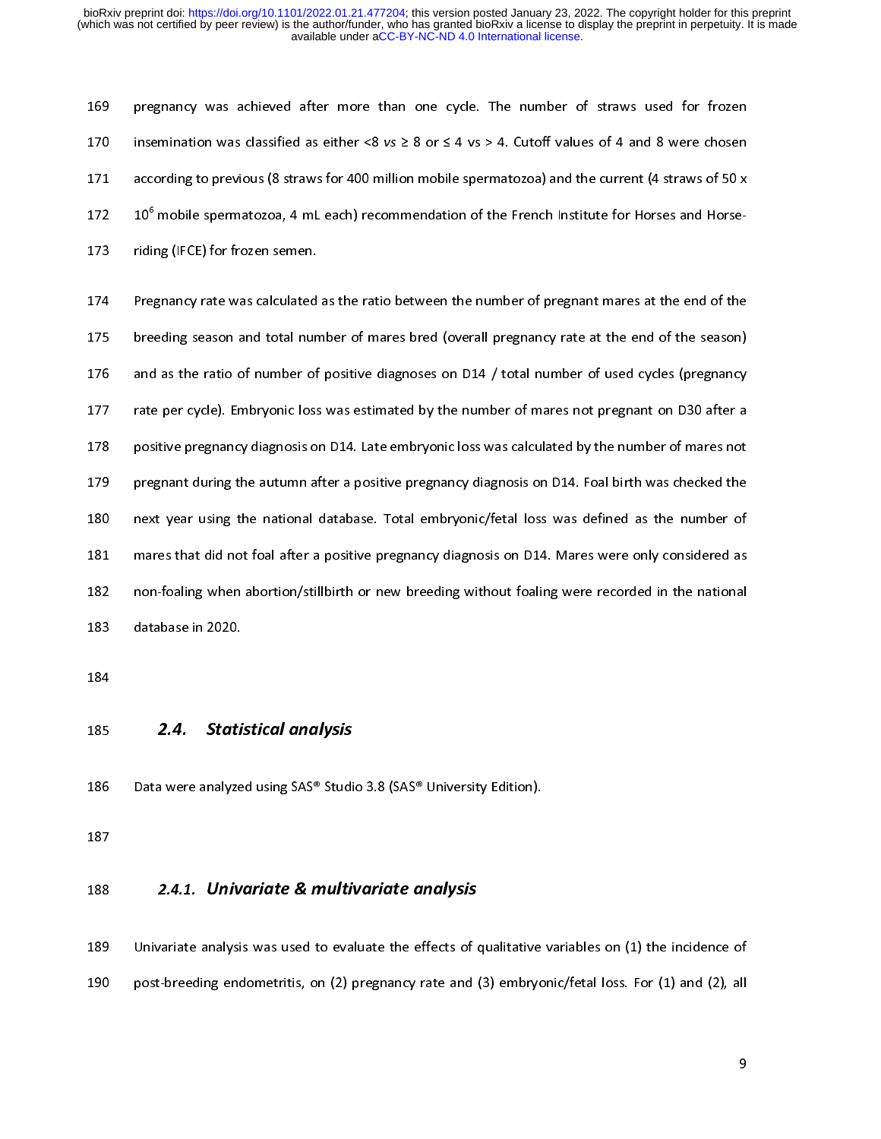179 insemination was classified as either <8  $vs \ge 8$  or  $\le 4$  vs  $> 4$ . Cutoff values of 4 and 8 were chosen<br>171 according to previous (8 straws for 400 million mobile spermatozoa) and the current (4 straws of 50 x<br>172 1

171 according to previous (8 straws for 400 million mobile spermatozoa) and the current (4 straws of 50 x<br>172 10<sup>6</sup> mobile spermatozoa, 4 mL each) recommendation of the French Institute for Horses and Horse-<br>173 riding (IF 172 10<sup>6</sup> mobile spermatozoa, 4 mL each) recommendation of the French Institute for Horses and Horse-<br>173 riding (IFCE) for frozen semen.<br>174 Pregnancy rate was calculated as the ratio between the number of pregnant mares 172 10" mobile spermatozoa, 4 mL each) recommendation of the French Institute for Horses and Horse-<br>173 riding (IFCE) for frozen semen.<br>174 Pregnancy rate was calculated as the ratio between the number of pregnant mares at 174 Pregnancy rate was calculated<br>175 breeding season and total nun<br>176 and as the ratio of number of<br>177 rate per cycle). Embryonic loss<br>178 positive pregnancy diagnosis or<br>179 pregnant during the autumn af<br>180 next year Freeding season and total number of mares bred (overall pregnancy rate at the end of the season)<br>
and as the ratio of number of positive diagnoses on D14 / total number of used cycles (pregnancy<br>
rate per cycle). Embryonic 175 and as the ratio of number of positive diagnoses on D14 / total number of used cycles (pregnancy<br>177 rate per cycle). Embryonic loss was estimated by the number of mares not pregnant on D30 after a<br>178 positive pregnan rate per cycle). Embryonic loss was estimated by the number of mares not pregnant on D30 after a<br>positive pregnancy diagnosis on D14. Late embryonic loss was calculated by the number of mares not<br>pregnant during the autumn 178 positive pregnancy diagnosis on D14. Late embryonic loss was calculated by the number of mares not<br>179 pregnant during the autumn after a positive pregnancy diagnosis on D14. Foal birth was checked the<br>180 next year us Frame pregnant, angular and anti-randomizing measure in the number of pregnant during the autumn after a positive pregnancy diagnosis on D14. Foal birth was checked the next year using the national database. Total embryoni 179 pregnant during the during the protons program, magnetic to the automorphic metastem in the automorphic metastem of mares that did not foal after a positive pregnancy diagnosis on D14. Mares were only considered as non mares that did not foal after a positive pregnancy diagnosis on D14. Mares were only considered as<br>
182 non-foaling when abortion/stillbirth or new breeding without foaling were recorded in the national<br>
183 database in 20 182 mares that did not for four for four for four foal after a positive pregnancy diagnosis dividends and after a positive pregnancy of the mational distabase in 2020.<br>183 database in 2020.<br>184 2.4. Statistical analysis Da 183 database in 2020.<br>183 database in 2020.<br>184<br>185 2.4. Statistical analysis<br>186 Data were analyzed using SAS® Studio 3.8 (SAS® University Edition).<br>187<br>2.4.1. Univariate & multivariate analysis

- 184<br>185 **2.4. Stati.**<br>186 Data were analyze<br>187<br>188 **2.4.1. Univ**
- 

185<br>186<br>187<br>188<br>189 2.4. Statistical analysis<br>186 Data were analyzed using SAS® Studi<br>187 2.4.1. Univariate & multin<br>189 Univariate analysis was used to eval<br>190 post-breeding endometritis, on (2) p 2.4.1. **Univariate & multivariate analysis**<br>188 Data were analysis was used to evaluate the effects of qualitative<br>190 post-breeding endometritis, on (2) pregnancy rate and (3) embryo ---<br>188<br>189<br>190 2.4.1. Univariate & multivariate analysis<br>189 Univariate analysis was used to evaluate the effects of control post-breeding endometritis, on (2) pregnancy rate and ( 190 post-breeding endometritis, on (2) pregnancy rate and (3) embryonic/fetal loss. For (1) and (2), all  $\frac{1}{2}$  $199$  post-breeding endometricis, on (2) pregnancy rate and (2) embryonic/fetal loss. (2) and (2), all  $\epsilon$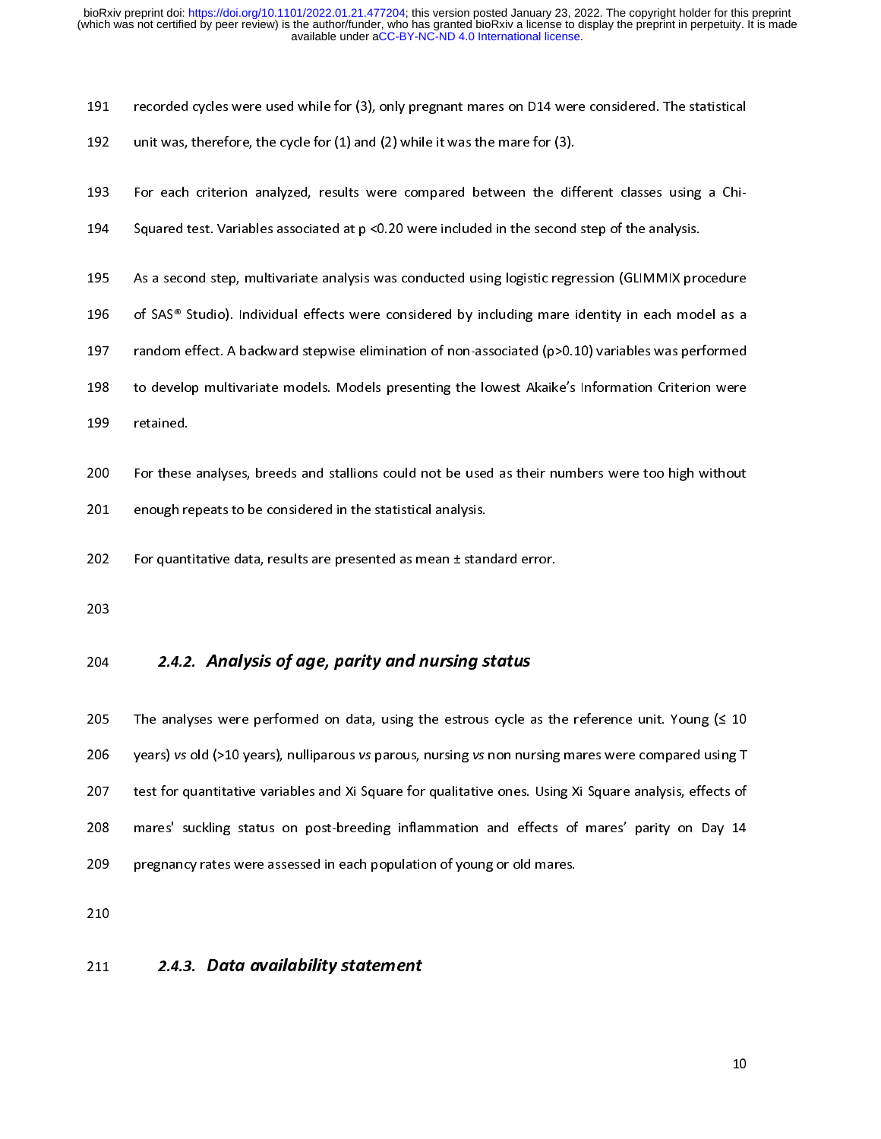- 
- 
- 
- 
- 193 For each criterion analyzed, results were compared between the difference for each criterion analyzed, results were compared between the difference of Squared test. Variables associated at  $p < 0.20$  were included in th 495 As a second step, multivariate analysis was conducted using logistic regression (GLIMMIX pro<br>196 of SAS® Studio). Individual effects were considered by including mare identity in each mod<br>197 random effect. A backward
- 
- 211 For the statistical cycles were compared between the different classes using a Chi-<br>193 For each criterion analyzed, results were compared between the different classes using a Chi-<br>194 Squared test. Variables associat 196 of SAS® Studio). Individual effects were considered by including mare identity in each model as a<br>197 andom effect. A backward stepwise elimination of non-associated (p>0.10) variables was performed<br>198 to develop mult random effect. A backward stepwise elimination of non-associated (p>0.10) variables was performed<br>
198 to develop multivariate models. Models presenting the lowest Akaike's Information Criterion were<br>
199 retained.<br>
200 Fo 197 to develop multivariate models. Models presenting the lowest Akaike's Information Criterion were<br>199 retained.<br>200 For these analyses, breeds and stallions could not be used as their numbers were too high without<br>201 e
- 
- 199 retained.<br>
199 retained.<br>
199 of these analyses, breeds and stallions could not be used as their numbers were too high without<br>
199 enough repeats to be considered in the statistical analysis.<br>
199 of presented as mean
- 
- 

200 For these<br>201 enough re<br>202 For quant<br>203 204 2.4.2<br>205 The analy 201 For these analysis and state and state and state and state and state and state and state and state and standard error.<br>202 For quantitative data, results are presented as mean ± standard error.<br>203<br>204 2.4.2. Analysis 202 For quantitative data, results are presented as mean ± stan<br>203<br>204 2.4.2. Analysis of age, parity and nursing s<br>205 The analyses were performed on data, using the estrous<br>206 years) vs old (>10 years), nulliparous vs 203<br>203<br>204 **2.4.2. Analysis of age, parity and nursing status**<br>205 The analyses were performed on data, using the estrous cycle as th<br>206 years) vs old (>10 years), nulliparous vs parous, nursing vs non nursing<br>207 test f ---<br>204<br>205<br>206<br>207<br>208<br>209 2.4.2. Analysis of age, parity and nursing status<br>205 The analyses were performed on data, using the estrous cycle a<br>206 years) vs old (>10 years), nulliparous vs parous, nursing vs non nur<br>207 test for quantitative varia 206 years) vs old (>10 years), nulliparous vs parous, nursing vs non nursing mares were compared using T<br>207 test for quantitative variables and Xi Square for qualitative ones. Using Xi Square analysis, effects of<br>208 mare 2020 years) variety the process particle process particle process particle compared using Xi Square analysis, effects of mares' suckling status on post-breeding inflammation and effects of mares' parity on Day 14<br>2009 preg 208 mares' suckling status on post-breeding inflammation and effects of mares' parity on Day 14<br>209 pregnancy rates were assessed in each population of young or old mares.<br>210<br>211 2.4.3. Data availability statement 208 mares' suckling status on post-breeding inflammation and effects of mares' parity on Day 14<br>209 pregnancy rates were assessed in each population of young or old mares.<br>210<br>211 2.4.3. Data availability statement

## 210 pregnancy rates were assessed in the matrix of population of young or old matrix  $2.4.3$ . Data availability statement 211<br>|<br>| 211 2.4.3. Data availability statement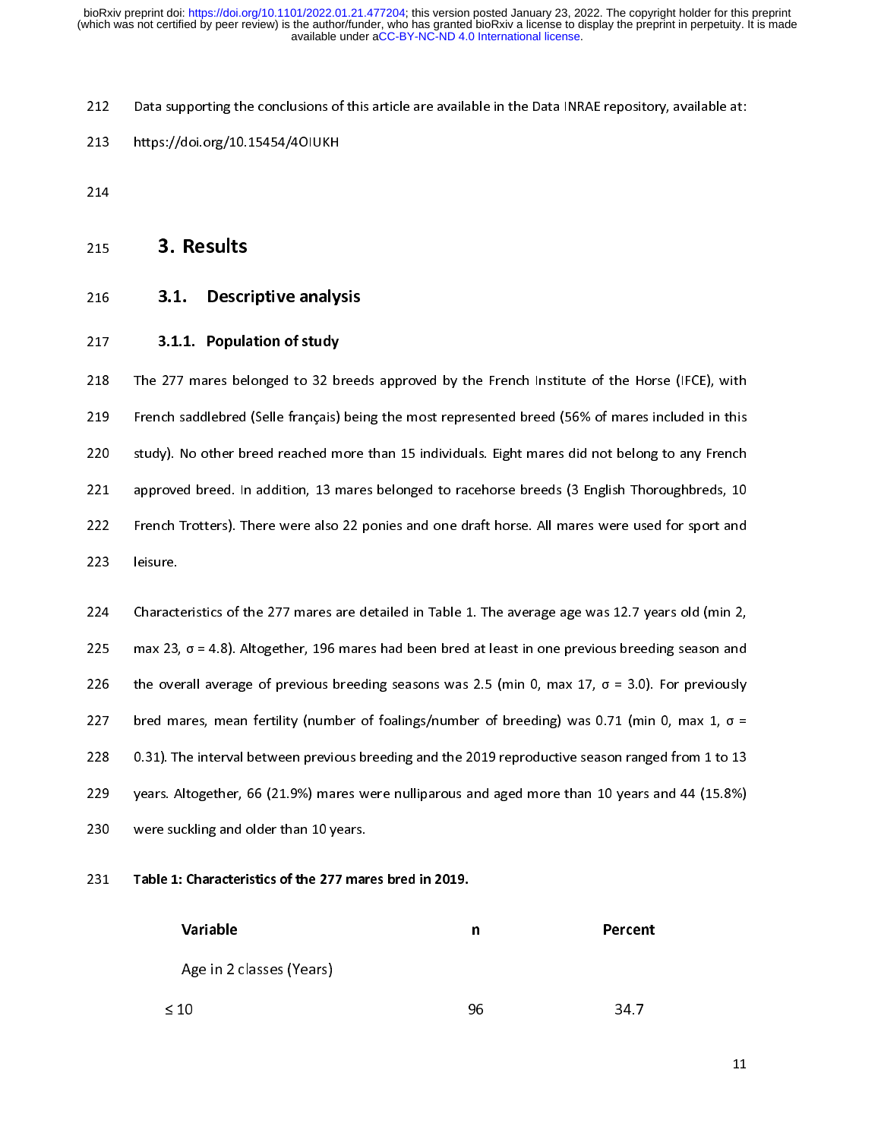212 Data supporting the conclusions of the conclusions of this article are available in the Conclusions of this article are available in the Data Inc. The Conclusions of the Data Inc. The Data Inc. The Data Inc. The Data I 214<br>
215 **3. Results**<br>
216 **3.1. Descriptive analy:**<br>
217 **3.1.1. Population of study**<br>
218 The 277 mares belonged to 32 bi<br>
219 French saddlebred (Selle français) 215<br>216<br>217<br>218<br>229<br>220 **3.1. Descript 3.1. Popula<br>
215 3.1.1. Popula<br>
218 The 277 mares bel<br>
219 French saddlebred<br>
220 study). No other br<br>
221 approved breed. In<br>
222 French Trotters). Th** 216 3.1. Descriptive analysis<br>217 3.1.1. Population of study<br>218 The 277 mares belonged to 32 breed<br>229 French saddlebred (Selle français) beil<br>220 study). No other breed reached more<br>221 approved breed. In addition, 13 ma 218 The 277 mares belonged to 32 bi<br>
219 French saddlebred (Selle français)<br>
220 study). No other breed reached m<br>
221 approved breed. In addition, 13 m<br>
222 French Trotters). There were also<br>
223 leisure.<br>
224 Characteris 219 French saddlebred (Selle français) being the most represented breed (56% of mares included in this<br>220 study). No other breed reached more than 15 individuals. Eight mares did not belong to any French<br>221 approved bre 2219 French Totters). There were also 22 ponies and one draft horse. All mares were used for sport and leisure.<br>221 French Trotters). There were also 22 ponies and one draft horse. All mares were used for sport and leisur

Example 1221 approved breed. In addition, 13 mares belonged to racehorse breeds (3 English Thoroughbreds, 10<br>222 French Trotters). There were also 22 ponies and one draft horse. All mares were used for sport and<br>223 leisu 222 French Trotters). There were also 22 ponies and one draft horse. All mares were used for sport and<br>223 French Trotters). There were also 22 ponies and one draft horse. All mares were used for sport and<br>224 Characteris 223 Ielsure.<br>
223 Elsure.<br>
223 Characteristics of the 277 mares are detailed in Table 1. The average age was 12.7 years old (min 2,<br>
225 max 23,  $\sigma$  = 4.8). Altogether, 196 mares had been bred at least in one previous br 224 Charact:<br>225 max 23,<br>226 the ove<br>227 bred ma<br>228 0.31). Tl<br>229 years. A<br>230 were su 225 max 23,  $\sigma$  = 4.8). Altogether, 196 mares had been bred at least in one previous breeding season and<br>226 the overall average of previous breeding seasons was 2.5 (min 0, max 17,  $\sigma$  = 3.0). For previously<br>227 bred m 226 the overall average of previous breeding seasons was 2.5 (min 0, max 17,  $\sigma = 3.0$ ). For previously<br>227 bred mares, mean fertility (number of foalings/number of breeding) was 0.71 (min 0, max 1,  $\sigma =$ <br>228 0.31). The i 227 bred mares, mean fertility (number of foalings/number of breeding) was 0.71 (min 0, max 1, σ = 228 0.31). The interval between previous breeding and the 2019 reproductive season ranged from 1 to 13 years. Altogether, 228 bred mare mare matter matter matter meridian the control of the 2019 reproductive season ranged from 1 to 13<br>
229 years. Altogether, 66 (21.9%) mares were nulliparous and aged more than 10 years and 44 (15.8%)<br>
230 we

| 229 |           | years. Altogether, 66 (21.9%) mares were nulliparous and aged more than 10 years and 44 (15.8%) |    |         |    |
|-----|-----------|-------------------------------------------------------------------------------------------------|----|---------|----|
| 230 |           | were suckling and older than 10 years.                                                          |    |         |    |
| 231 |           | Table 1: Characteristics of the 277 mares bred in 2019.                                         |    |         |    |
|     |           | Variable                                                                                        | n  | Percent |    |
|     |           | Age in 2 classes (Years)                                                                        |    |         |    |
|     | $\leq 10$ |                                                                                                 | 96 | 34.7    |    |
|     |           |                                                                                                 |    |         | 11 |
|     |           |                                                                                                 |    |         |    |
|     |           |                                                                                                 |    |         |    |
|     |           |                                                                                                 |    |         |    |
|     |           |                                                                                                 |    |         |    |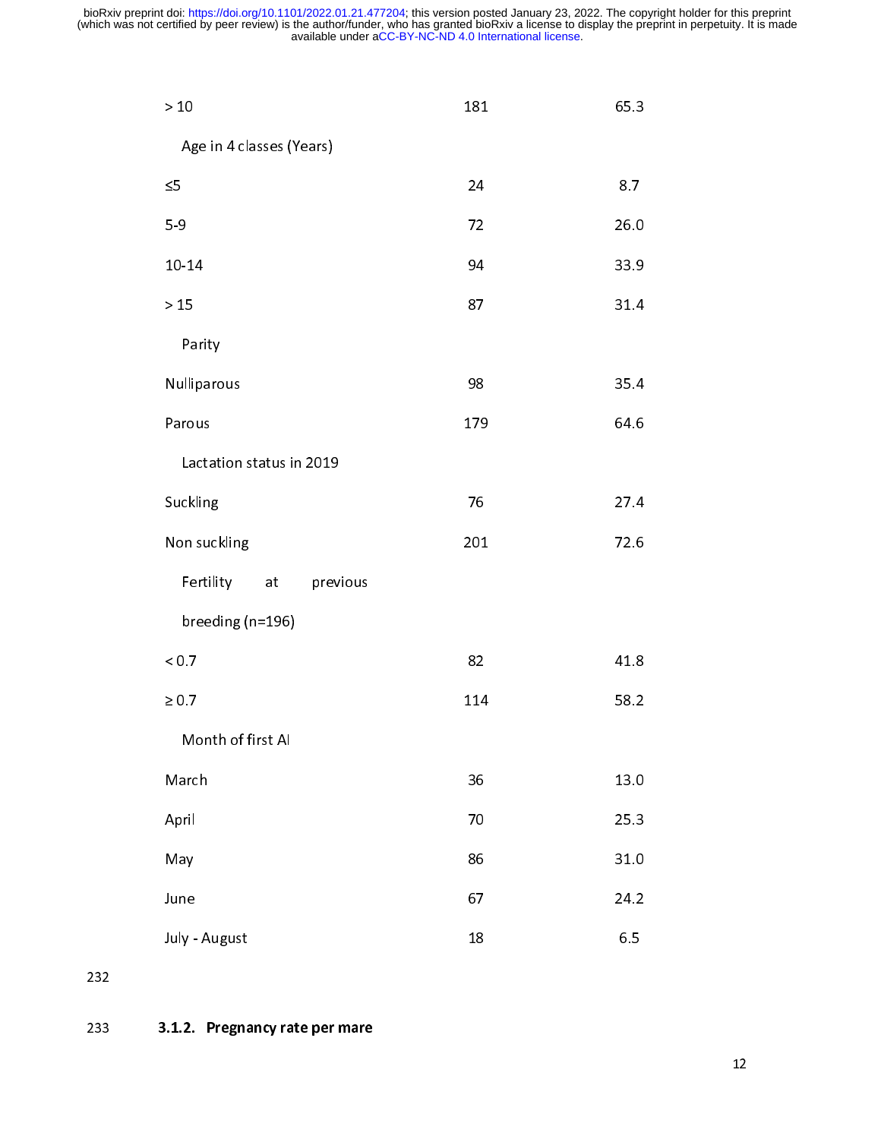| $>10$                       | 181 | 65.3 |
|-----------------------------|-----|------|
| Age in 4 classes (Years)    |     |      |
| $\leq$                      | 24  | 8.7  |
| $5-9$                       | 72  | 26.0 |
| 10-14                       | 94  | 33.9 |
| $>15$                       | 87  | 31.4 |
| Parity                      |     |      |
| Nulliparous                 | 98  | 35.4 |
| Parous                      | 179 | 64.6 |
| Lactation status in 2019    |     |      |
| Suckling                    | 76  | 27.4 |
| Non suckling                | 201 | 72.6 |
| Fertility<br>previous<br>at |     |      |
| breeding (n=196)            |     |      |
| ${}_{< 0.7}$                | 82  | 41.8 |
| $\geq 0.7$                  | 114 | 58.2 |
| Month of first AI           |     |      |
| March                       | 36  | 13.0 |
| April                       | 70  | 25.3 |
| May                         | 86  | 31.0 |
| June                        | 67  | 24.2 |
| July - August               | 18  | 6.5  |

232

232 233 3.1.2. Pregnancy rate per mare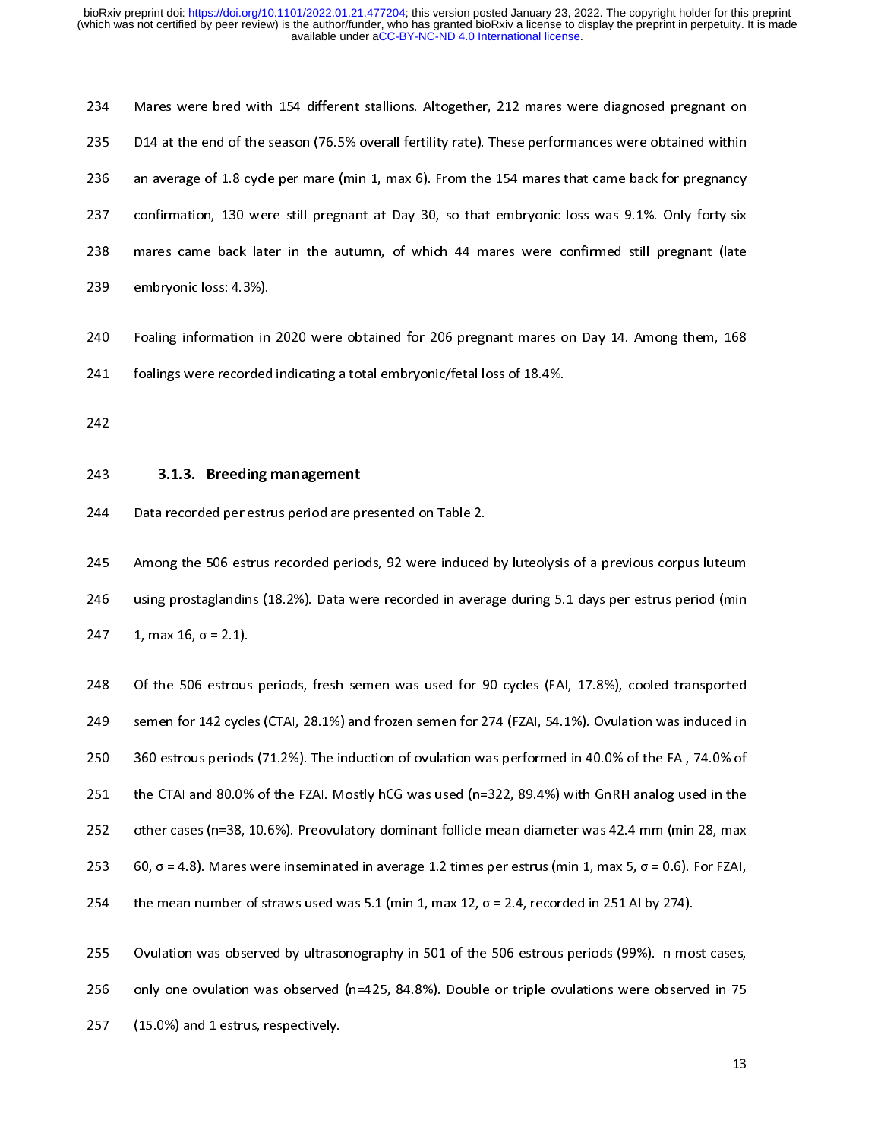235 D14 at the end of the season (76.5% overall fertility rate). These performances were obtained within<br>236 an average of 1.8 cycle per mare (min 1, max 6). From the 154 mares that came back for pregnancy<br>237 confirmation 236 an average of 1.8 cycle per mare (min 1, max 6). From the 154 mares that came back for pregnancy<br>
237 confirmation, 130 were still pregnant at Day 30, so that embryonic loss was 9.1%. Only forty-six<br>
238 mares came bac 237 confirmation, 130 were still pregnant at Day 30, so that embryonic loss was 9.1%. Only forty-six<br>238 mares came back later in the autumn, of which 44 mares were confirmed still pregnant (late<br>239 embryonic loss: 4.3%). 238 mares came back later in the autumn, of which 44 mares were confirmed still pregnant (late<br>239 embryonic loss: 4.3%).<br>240 Foaling information in 2020 were obtained for 206 pregnant mares on Day 14. Among them, 168<br>241 239 embryonic loss: 4.3%).<br>239 embryonic loss: 4.3%).<br>240 Foalings were recorded indicating a total embryonic/fetal loss of 18.4%.<br>242 3.1.3. Breeding management<br>244 Data recorded per estrus period are presented on Table 2

240 Foaling information in<br>241 foalings were recorded<br>242 3.1.3. Breeding<br>243 3.1.3. Breeding<br>244 Data recorded per estr 242<br>241 Foalings were recorded indicating a total embryonic/fetal loss of 18.4%.<br>242<br>243 3.1.3. Breeding management<br>244 Data recorded per estrus period are presented on Table 2.<br>245 Among the 506 estrus recorded periods, 9 242<br>
242 **3.1.3. Breeding management**<br>
244 Data recorded per estrus period are presented on Table 2.<br>
245 Among the 506 estrus recorded periods, 92 were induced by luteolysis<br>
246 using prostaglandins (18.2%). Data were r ---<br>243<br>244<br>245<br>245<br>247<br>248

243 3.1.1.3. Breeding management<br>
244 Data recorded per estrus period are pr<br>
245 Among the 506 estrus recorded perio<br>
246 using prostaglandins (18.2%). Data we<br>
247 1, max 16,  $\sigma$  = 2.1).<br>
248 Of the 506 estrous periods 245 Among the 506 estrus recorded periods, 92 were induced<br>246 using prostaglandins (18.2%). Data were recorded in avera<br>247 1, max 16, σ = 2.1).<br>248 Of the 506 estrous periods, fresh semen was used for 9<br>249 semen for 14 246 Among and 50 EU 2002-2012 were recorded in average during 5.1 days per estrus period (min<br>247 1, max 16,  $\sigma$  = 2.1).<br>248 Of the 506 estrous periods, fresh semen was used for 90 cycles (FAI, 17.8%), cooled transported 247 1, max 16,  $\sigma$  = 2.1).<br>
248 Of the 506 estrous periods, fresh semen was used for 90 cycles (FAI, 17.8%), cooled transported<br>
249 semen for 142 cycles (CTAI, 28.1%) and frozen semen for 274 (FZAI, 54.1%). Ovulation wa 248 Of the 506 estrous<br>249 semen for 142 cycle<br>250 360 estrous periods<br>251 the CTAI and 80.0%<br>252 other cases (n=38, 253 60,  $\sigma$  = 4.8). Mares 249 semen for 142 cycles (CTAI, 28.1%) and frozen semen for 274 (FZAI, 54.1%). Ovulation was induced in<br>250 setrous periods (71.2%). The induction of ovulation was performed in 40.0% of the FAI, 74.0% of<br>251 the CTAI and 250 360 estrous periods (71.2%). The induction of ovulation was performed in 40.0% of the FAI, 74.0% of<br>251 the CTAI and 80.0% of the FZAI. Mostly hCG was used (n=322, 89.4%) with GnRH analog used in the<br>252 other cases ( 251 the CTAI and 80.0% of the FZAI. Mostly hCG was used (n=322, 89.4%) with GnRH analog used in the<br>
252 other cases (n=38, 10.6%). Preovulatory dominant follicle mean diameter was 42.4 mm (min 28, max<br>
253 60,  $\sigma$  = 4.8 252 other cases (n=38, 10.6%). Preovulatory dominant follicle mean diameter was 42.4 mm (min 28, max 60,  $\sigma$  = 4.8). Mares were inseminated in average 1.2 times per estrus (min 1, max 5,  $\sigma$  = 0.6). For FZAI, the mean n 253 60,  $\sigma$  = 4.8). Mares were inseminated in average 1.2 times per estrus (min 1, max 5,  $\sigma$  = 0.6). For FZAI,<br>254 the mean number of straws used was 5.1 (min 1, max 12,  $\sigma$  = 2.4, recorded in 251 AI by 274).<br>255 Ovul

254 the mean number of straws used was 5.1 (min 1, max 12,  $\sigma$  = 2.4, recorded in 251 Al by 274).<br>255 Ovulation was observed by ultrasonography in 501 of the 506 estrous periods (99%). In most cases,<br>256 only one ovulati 255 Ovulation was observed by ultrasonography in 501 of the 506 estrous periods (99%). In mos<br>256 only one ovulation was observed (n=425, 84.8%). Double or triple ovulations were observed (15.0%) and 1 estrus, respectively 256 only one ovulation was observed (n=425, 84.8%). Double or triple ovulations were observed in 75<br>257 (15.0%) and 1 estrus, respectively. 257 (15.0%) and 1 estrus, respectively.  $\frac{1}{2}$  and  $\frac{1}{2}$  and  $\frac{1}{2}$  and  $\frac{1}{2}$  and  $\frac{1}{2}$  and  $\frac{1}{2}$  and  $\frac{1}{2}$  and  $\frac{1}{2}$  and  $\frac{1}{2}$  and  $\frac{1}{2}$  and  $\frac{1}{2}$  and  $\frac{1}{2}$  and  $\frac{1}{2}$  and 257 (15.0%) and 1 estrus, respectively.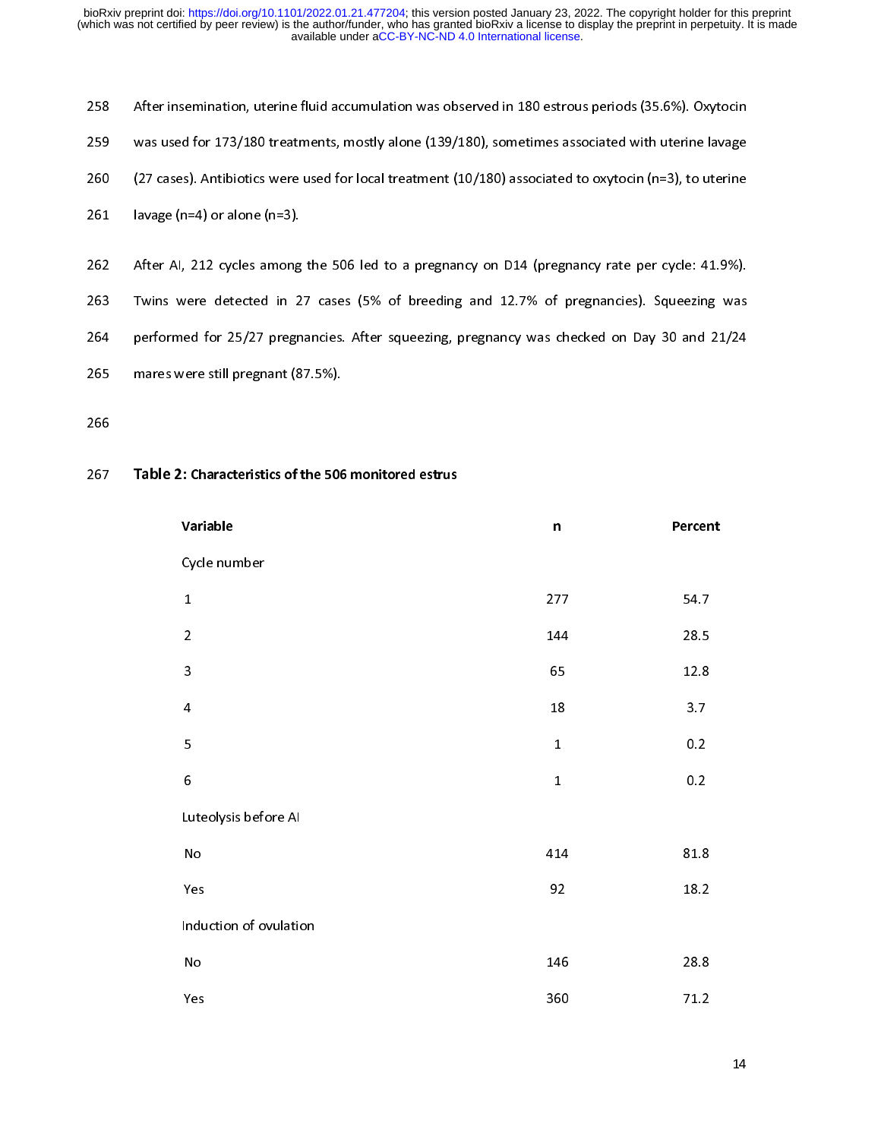|     | .                                                                                                       |
|-----|---------------------------------------------------------------------------------------------------------|
| 267 | Table 2: Characteristics of the 506 monitored estrus                                                    |
| 266 |                                                                                                         |
| 265 | mares were still pregnant (87.5%).                                                                      |
| 264 | performed for 25/27 pregnancies. After squeezing, pregnancy was checked on Day 30 and 21/24             |
| 263 | Twins were detected in 27 cases (5% of breeding and 12.7% of pregnancies). Squeezing was                |
| 262 | After AI, 212 cycles among the 506 led to a pregnancy on D14 (pregnancy rate per cycle: 41.9%).         |
| 261 | lavage $(n=4)$ or alone $(n=3)$ .                                                                       |
| 260 | (27 cases). Antibiotics were used for local treatment (10/180) associated to oxytocin (n=3), to uterine |
| 259 | was used for 173/180 treatments, mostly alone (139/180), sometimes associated with uterine lavage       |
| 258 | After insemination, uterine fluid accumulation was observed in 180 estrous periods (35.6%). Oxytocin    |

# ---<br>267

| 263 | Twins were detected in 27 cases (5% of breeding and 12.7% of pregnancies). Squeezing was    |             |         |  |  |  |
|-----|---------------------------------------------------------------------------------------------|-------------|---------|--|--|--|
| 264 | performed for 25/27 pregnancies. After squeezing, pregnancy was checked on Day 30 and 21/24 |             |         |  |  |  |
| 265 | mares were still pregnant (87.5%).                                                          |             |         |  |  |  |
| 266 |                                                                                             |             |         |  |  |  |
|     |                                                                                             |             |         |  |  |  |
| 267 | Table 2: Characteristics of the 506 monitored estrus                                        |             |         |  |  |  |
|     | Variable                                                                                    | n           | Percent |  |  |  |
|     | Cycle number                                                                                |             |         |  |  |  |
|     | $\mathbf 1$                                                                                 | 277         | 54.7    |  |  |  |
|     | $\overline{a}$                                                                              | 144         | 28.5    |  |  |  |
|     | $\mathsf 3$                                                                                 | 65          | 12.8    |  |  |  |
|     | $\overline{\mathbf{4}}$                                                                     | $18\,$      | 3.7     |  |  |  |
|     | 5                                                                                           | $\mathbf 1$ | 0.2     |  |  |  |
|     | $\boldsymbol{6}$                                                                            | $\mathbf 1$ | 0.2     |  |  |  |
|     | Luteolysis before AI                                                                        |             |         |  |  |  |
|     | $\operatorname{\mathsf{No}}$                                                                | 414         | 81.8    |  |  |  |
|     | Yes                                                                                         | 92          | 18.2    |  |  |  |
|     | Induction of ovulation                                                                      |             |         |  |  |  |
|     | ${\sf No}$                                                                                  | 146         | 28.8    |  |  |  |
|     | Yes                                                                                         | 360         | 71.2    |  |  |  |
|     |                                                                                             |             |         |  |  |  |
|     |                                                                                             |             | 14      |  |  |  |
|     |                                                                                             |             |         |  |  |  |
|     |                                                                                             |             |         |  |  |  |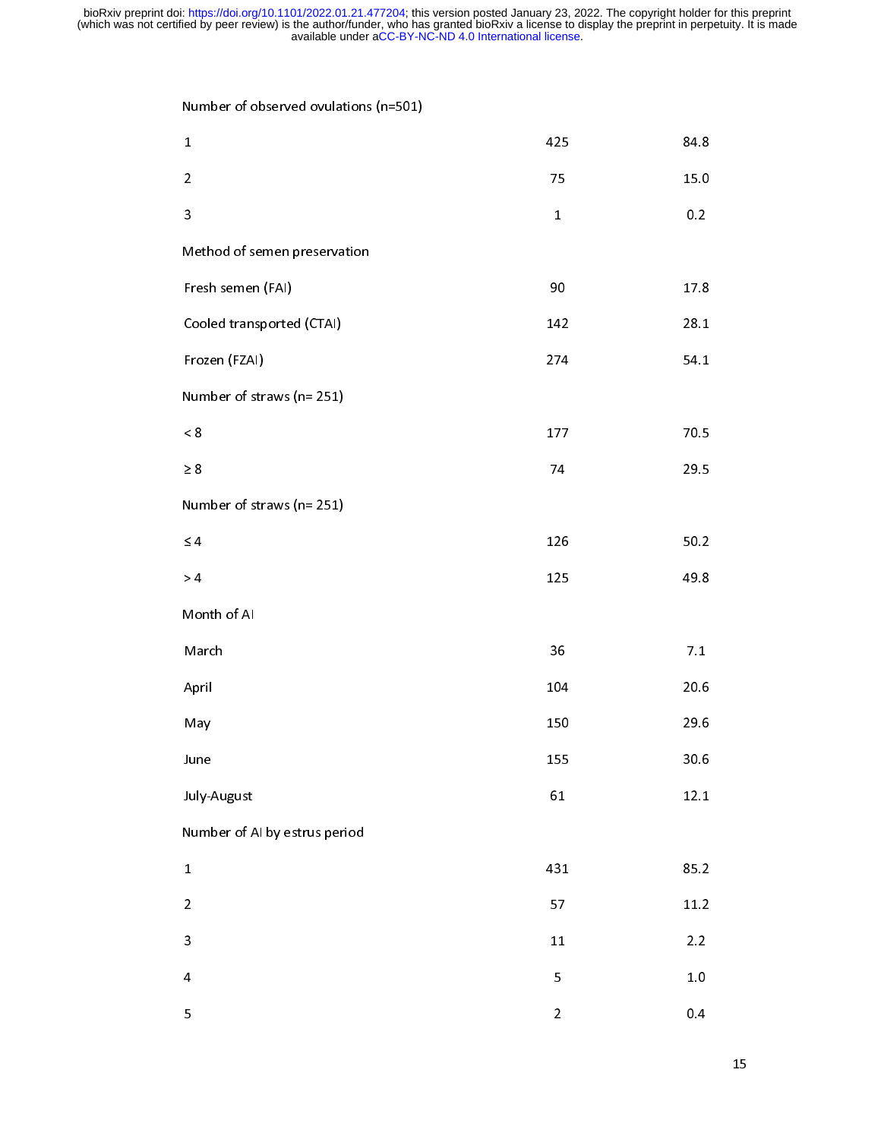| $\mathbf{v}$<br>$\overline{ }$ |                |          |  |  |  |  |  |
|--------------------------------|----------------|----------|--|--|--|--|--|
| $\mathbf{1}$                   | 425            | 84.8     |  |  |  |  |  |
| $\overline{a}$                 | 75             | 15.0     |  |  |  |  |  |
| $\ensuremath{\mathsf{3}}$      | $\mathbf{1}$   | 0.2      |  |  |  |  |  |
| Method of semen preservation   |                |          |  |  |  |  |  |
| Fresh semen (FAI)              | 90             | $17.8\,$ |  |  |  |  |  |
| Cooled transported (CTAI)      | 142            | 28.1     |  |  |  |  |  |
| Frozen (FZAI)                  | 274            | 54.1     |  |  |  |  |  |
| Number of straws (n=251)       |                |          |  |  |  |  |  |
| $< 8\,$                        | 177            | 70.5     |  |  |  |  |  |
| $\geq 8$                       | 74             | 29.5     |  |  |  |  |  |
| Number of straws (n=251)       |                |          |  |  |  |  |  |
| $\leq 4$                       | 126            | 50.2     |  |  |  |  |  |
| > 4                            | 125            | 49.8     |  |  |  |  |  |
| Month of AI                    |                |          |  |  |  |  |  |
| March                          | 36             | $7.1\,$  |  |  |  |  |  |
| April                          | 104            | 20.6     |  |  |  |  |  |
| May                            | 150            | 29.6     |  |  |  |  |  |
| June                           | 155            | 30.6     |  |  |  |  |  |
| July-August                    | 61             | $12.1\,$ |  |  |  |  |  |
| Number of AI by estrus period  |                |          |  |  |  |  |  |
| $\mathbf 1$                    | 431            | 85.2     |  |  |  |  |  |
| $\overline{a}$                 | 57             | 11.2     |  |  |  |  |  |
| 3                              | ${\bf 11}$     | $2.2$    |  |  |  |  |  |
| $\overline{\mathbf{4}}$        | 5              | $1.0\,$  |  |  |  |  |  |
| 5                              | $\overline{2}$ | 0.4      |  |  |  |  |  |
|                                |                |          |  |  |  |  |  |
|                                |                |          |  |  |  |  |  |
|                                |                |          |  |  |  |  |  |
|                                |                |          |  |  |  |  |  |
|                                |                |          |  |  |  |  |  |
|                                |                |          |  |  |  |  |  |
|                                |                |          |  |  |  |  |  |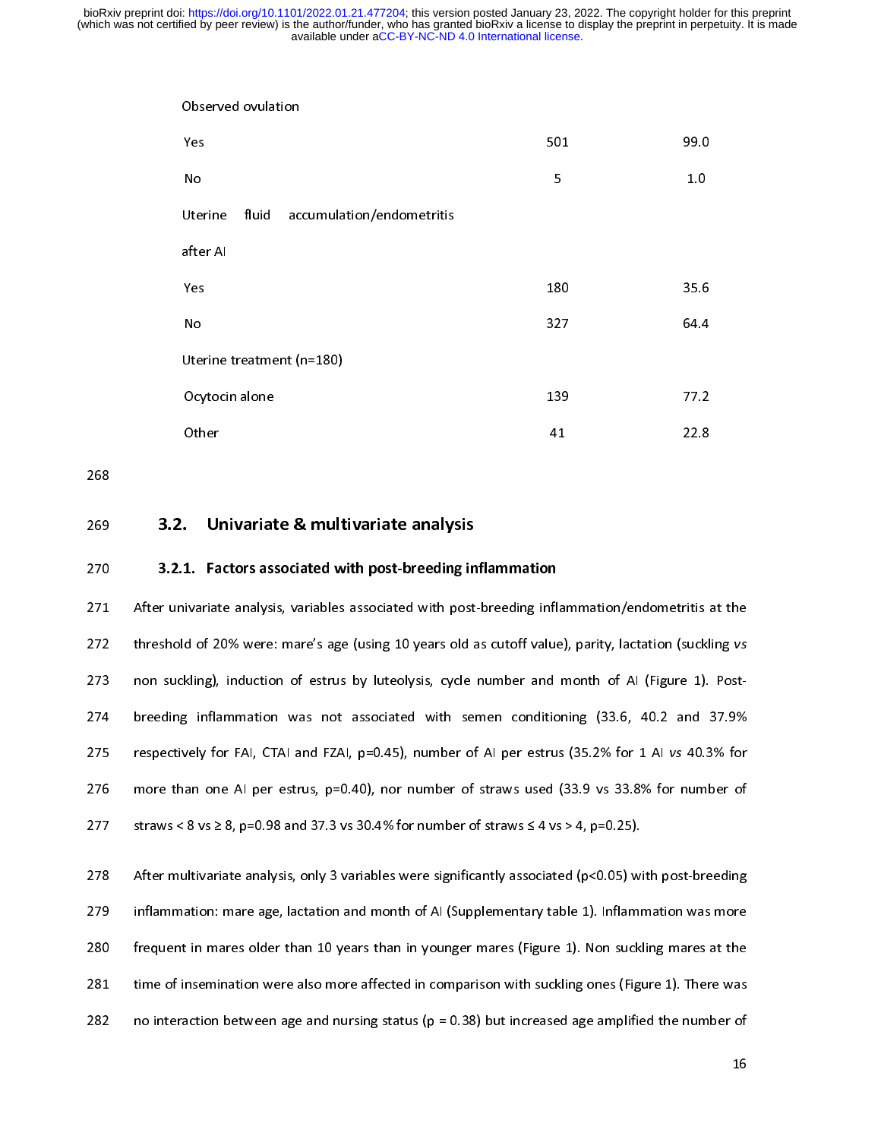| Observed ovulation                                                                          |     |      |  |  |  |  |
|---------------------------------------------------------------------------------------------|-----|------|--|--|--|--|
| Yes                                                                                         | 501 | 99.0 |  |  |  |  |
| No                                                                                          | 5   | 1.0  |  |  |  |  |
| fluid<br>accumulation/endometritis<br>Uterine                                               |     |      |  |  |  |  |
| after AI                                                                                    |     |      |  |  |  |  |
| Yes                                                                                         | 180 | 35.6 |  |  |  |  |
| No                                                                                          | 327 | 64.4 |  |  |  |  |
| Uterine treatment (n=180)                                                                   |     |      |  |  |  |  |
| Ocytocin alone                                                                              | 139 | 77.2 |  |  |  |  |
| Other                                                                                       | 41  | 22.8 |  |  |  |  |
|                                                                                             |     |      |  |  |  |  |
| Univariate & multivariate analysis<br>L.                                                    |     |      |  |  |  |  |
| .1. Factors associated with post-breeding inflammation                                      |     |      |  |  |  |  |
| iivariate analysis, variables associated with post-breeding inflammation/endometritis at    |     |      |  |  |  |  |
| ld of 20% were: mare's age (using 10 years old as cutoff value), parity, lactation (sucklin |     |      |  |  |  |  |
|                                                                                             |     |      |  |  |  |  |

268

State<br>Other<br>**1. Factors ass<br>ivariate analysi<br>d of 20% were:<br>kling), inductio UI**<br>1. Fa<br>ivariat<br>d of 21<br>kling),<br>infla 41<br>**n**<br>1<sup>dan</sup><br>1999<br>1999 **n**<br>flar<br>ue)<br>d m 22.8<br>ritis a<br>suckli<br>a 1). ritis a<br>suckli<br>e 1).<br>nd : 269<br>270<br>271<br>272<br>273<br>274<br>275 270 3.2.1. **Example 3.2.** Universited with post-breeding in<br>271 After univariate analysis, variables associated with post-<br>272 threshold of 20% were: mare's age (using 10 years old a<br>273 non suckling), induction of estrus 270 3.2.1. Factors associated with post-breeding inflammation<br>271 After univariate analysis, variables associated with post-breeding inflat<br>272 threshold of 20% were: mare's age (using 10 years old as cutoff value<br>273 non 272 After multivariate analysis, only 3 variables were significantly associated (p<0.05) with post-<br>274 are the substitute of estrus by luteolysis, cycle number and month of AI (Figure 1). Post-<br>274 breeding inflammation w 273 non suckling), induction of estrus by luteolysis, cycle number and month of Al (Figure 1). Post-<br>274 breeding inflammation was not associated with semen conditioning (33.6, 40.2 and 37.9%<br>275 respectively for FAI, CTA

281 time of insemination were also more affected in comparison with suckling ones (Figure 1). There was 275 respectively for FAI, CTAI and FZAI, p=0.45), number of AI per estrus (35.2% for 1 AI vs 40.3% for<br>276 more than one AI per estrus, p=0.40), nor number of straws used (33.9 vs 33.8% for number of<br>277 straws < 8 vs ≥ 8 276 more than one Al per estrus, p=0.40), nor number of straws used (33.9 vs 33.8% for number of straws <8 vs  $\geq$  8, p=0.98 and 37.3 vs 30.4% for number of straws  $\leq$  4 vs  $>$  4, p=0.25).<br>278 After multivariate analys 277 straws < 8 vs  $\geq$  8, p=0.98 and 37.3 vs 30.4% for number of straws  $\leq$  4 vs  $>$  4, p=0.25).<br>
278 After multivariate analysis, only 3 variables were significantly associated (p<0.05) with post-breeding<br>
279 inflamm 278 After multivariate analysis, only 3 variables were significantly associated (p<0.05) with inflammation: mare age, lactation and month of AI (Supplementary table 1). Inflammation are age, lactation and month of AI (Sup 279 Inflammation: mare age, lactation and month of AI (Supplementary table 1). Inflammation was more frequent in mares older than 10 years than in younger mares (Figure 1). Non suckling mares at the time of insemination w 280 frequent in mares older than 10 years than in younger mares (Figure 1). Non suckling mares at the<br>281 time of insemination were also more affected in comparison with suckling ones (Figure 1). There was<br>282 no interact 281 time of insemination were also more affected in comparison with suckling ones (Figure 1). There was<br>282 no interaction between age and nursing status (p = 0.38) but increased age amplified the number of<br>16 282 no interaction between age and nursing status ( $p = 0.38$ ) but increased age amplified the number of 16  $282$  no interaction between age and number of  $\frac{16}{16}$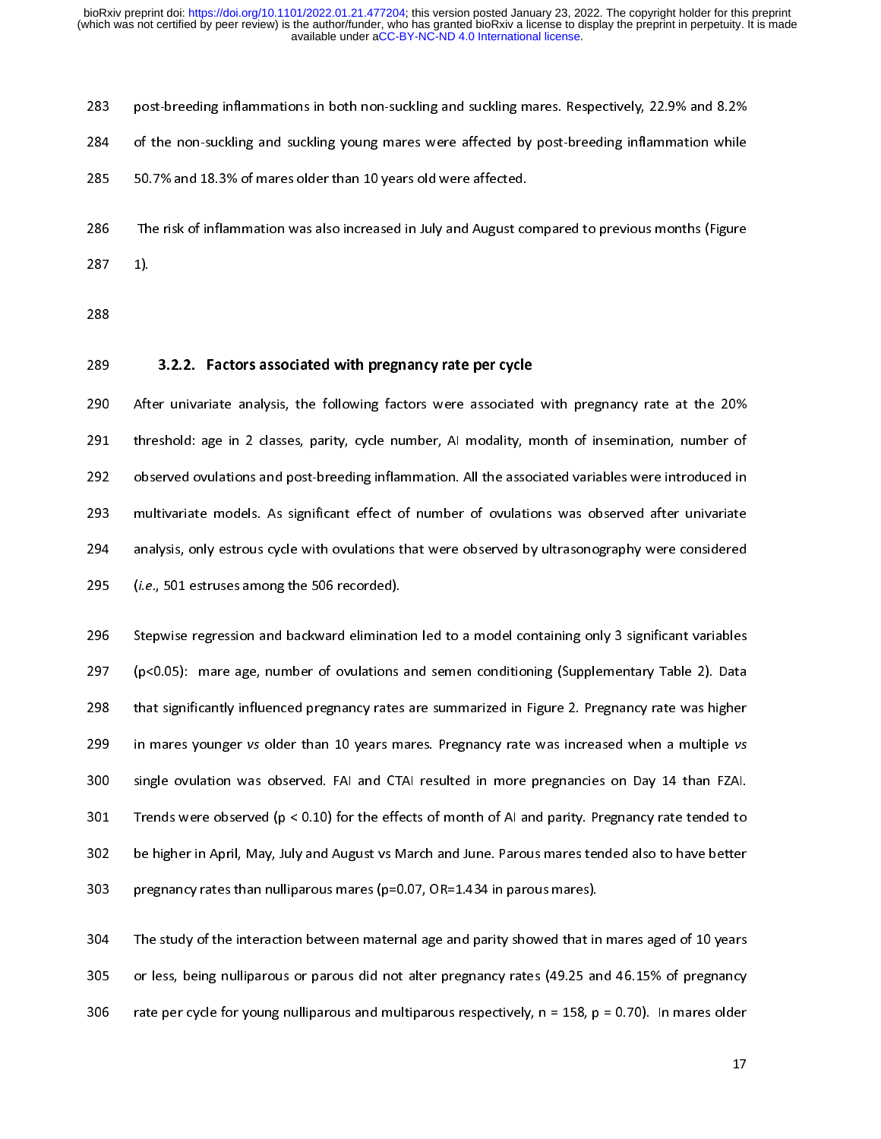284 of the non-suckling and suckling young mares were affected by post-breeding inflammation while<br>285 50.7% and 18.3% of mares older than 10 years old were affected.<br>286 The risk of inflammation was also increased in July 285 50.7% and 18.3% of mares older than 10 years old were affected.<br>286 The risk of inflammation was also increased in July and August compared to previous months (Figure<br>287 1).<br>288 3.2.2. Factors associated with pregnanc 286 The risk of inflammation was also increased in July and August co<br>287 1).<br>288 3.2.2. Factors associated with pregnancy rate per cycle<br>290 After univariate analysis, the following factors were associated<br>291 threshold: 287 1).<br>288 3.2.2. Factors associated with pregnancy rate per cycle<br>290 After univariate analysis, the following factors were associated with pregnancy rate at the 20%<br>291 threshold: age in 2 classes, parity, cycle number, 288<br>288<br>289<br>290 Aft<br>291 thr.<br>292 obs<br>293 mu ---<br>289<br>290<br>291<br>293<br>294<br>295 289 3.2.2. Factors associated with pregnancy rate per cycle<br>290 After univariate analysis, the following factors were associated<br>291 threshold: age in 2 classes, parity, cycle number, AI modality, m<br>292 observed ovulation 291 After universe analysis, the following factor with a but alternative analysis, the following observed ovulations and post-breeding inflammation. All the associated variables were introduced in multivariate models. As s 292 observed ovulations and post-breeding inflammation. All the associated variables were introduced in<br>293 multivariate models. As significant effect of number of ovulations was observed after univariate<br>294 analysis, onl

292 observed over the associated of the associated of the associated analysis, only estrous cycle with ovulations that were observed by ultrasonography were considered<br>292 (*i.e.*, 501 estruses among the 506 recorded).<br>296 analysis, only estrous cycle with ovulations that were observed by ultrasonography were considered<br>
295 (*i.e.*, 501 estruses among the 506 recorded).<br>
296 Stepwise regression and backward elimination led to a model conta 295 (*i.e.*, 501 estruses among the 506 recorded).<br>295 Stepwise regression and backward elimination led to a model containing only 3 significant variables<br>297 (p<0.05): mare age, number of ovulations and semen conditioning 296 Stepwise regression and backward elimination<br>
297 (p<0.05): mare age, number of ovulations<br>
298 that significantly influenced pregnancy rates<br>
299 in mares younger vs older than 10 years m<br>
300 single ovulation was obs 297 (p<0.05): mare age, number of ovulations and semen conditioning (Supplementary Table 2). Data<br>298 that significantly influenced pregnancy rates are summarized in Figure 2. Pregnancy rate was higher<br>299 in mares younge 298 that significantly influenced pregnancy rates are summarized in Figure 2. Pregnancy rate was higher<br>299 in mares younger vs older than 10 years mares. Pregnancy rate was increased when a multiple vs<br>300 single ovulati 299 in mares younger vs older than 10 years mares. Pregnancy rate was increased when a multiple vs<br>
300 single ovulation was observed. FAI and CTAI resulted in more pregnancies on Day 14 than FZAI.<br>
301 Trends were observ 299 in marrier younger variable marked variable variable variable stress on Day 14 than FZAI.<br>
299 single ovulation was observed. FAI and CTAI resulted in more pregnancies on Day 14 than FZAI.<br>
299 be higher in April, May 301 Trends were observed (p < 0.10) for the effects of month of AI and parity. Pregnancy rate tended to<br>302 be higher in April, May, July and August vs March and June. Parous mares tended also to have better<br>303 pregnancy

302 be higher in April, May, July and August vs March and June. Parous mares tended also to have better pregnancy rates than nulliparous mares (p=0.07, OR=1.434 in parous mares).<br>304 The study of the interaction between m 303 pregnancy rates than nulliparous mares (p=0.07, OR=1.434 in parous mares).<br>304 The study of the interaction between maternal age and parity showed that in mares aged of 10 years<br>305 or less, being nulliparous or parou 304 The study of the interaction between maternal age and parity showed that in or less, being nulliparous or parous did not alter pregnancy rates (49.25 are rate per cycle for young nulliparous and multiparous respective 305 or less, being nulliparous or parous did not alter pregnancy rates (49.25 and 46.15% of pregnancy<br>306 rate per cycle for young nulliparous and multiparous respectively, n = 158, p = 0.70). In mares older<br>17 306 rate per cycle for young nulliparous and multiparous respectively,  $n = 158$ ,  $p = 0.70$ ). In mares older 17  $306$  rate per cycle for young nulliparous respectively, n  $37$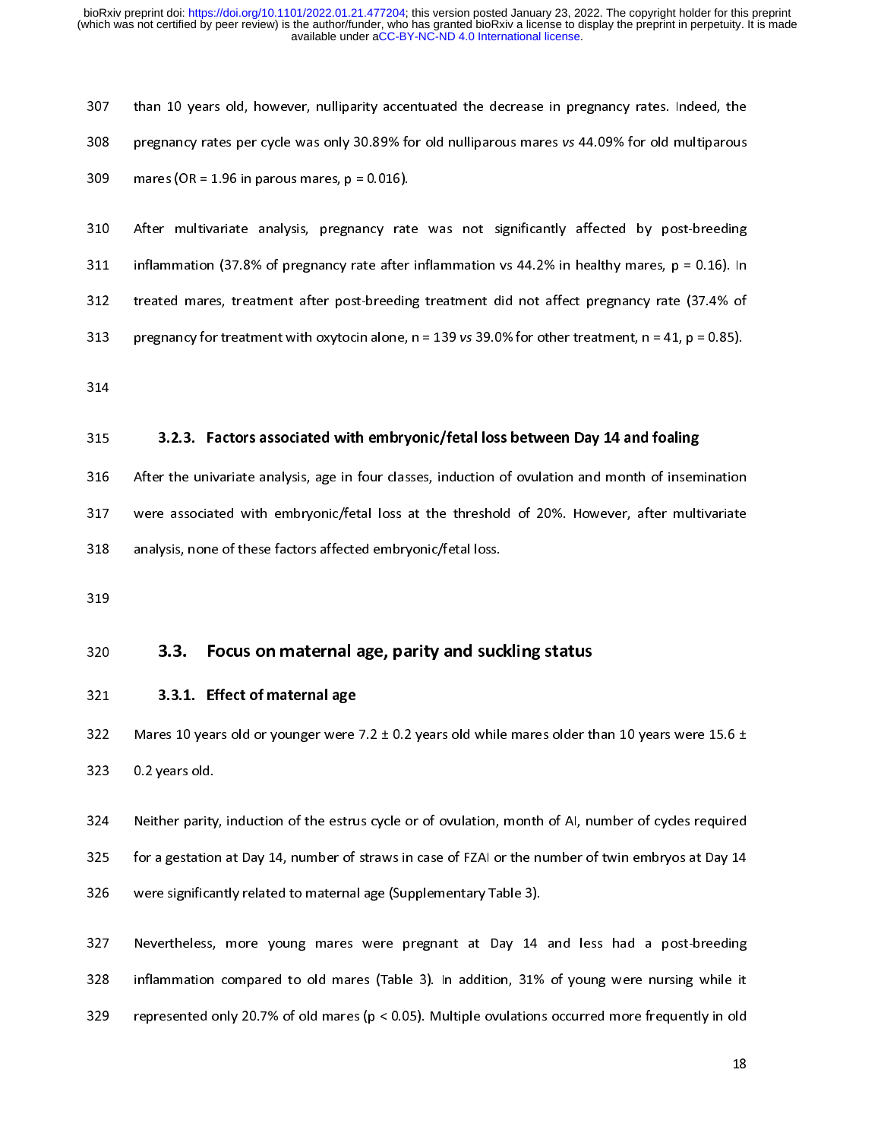308 pregnancy rates per cycle was only 30.89% for old nulliparous mares vs 44.09% for old multiparous<br>309 mares (OR = 1.96 in parous mares,  $p = 0.016$ ).<br>310 After multivariate analysis, pregnancy rate was not significantl 309 mares (OR = 1.96 in parous mares,  $p = 0.016$ ).<br>310 After multivariate analysis, pregnancy rate was not significantly affected by post-breeding<br>311 inflammation (37.8% of pregnancy rate after inflammation vs 44.2% in h 310 After multivariate analysis, pregnancy rate<br>311 inflammation (37.8% of pregnancy rate after<br>312 treated mares, treatment after post-breedin<br>313 pregnancy for treatment with oxytocin alone,<br>314 3.2.3. Factors associated 311 Inflammation (37.8% of pregnancy rate after inflammation vs 44.2% in healthy mares, p = 0.16). In<br>312 Irreated mares, treatment after post-breeding treatment did not affect pregnancy rate (37.4% of<br>313 Irregnancy for

312 treated mares, treatment after post-breeding treatment did not affect pregnancy rate (37.4% of pregnancy for treatment with oxytocin alone,  $n = 139$  vs 39.0% for other treatment,  $n = 41$ ,  $p = 0.85$ ).<br>314<br>315 3.2.3. Fa 313 pregnancy for treatment with oxytocin alone, n = 139 vs 39.0% for other treatment, n = 41, p = 0.85).<br>314<br>315 3.2.3. Factors associated with embryonic/fetal loss between Day 14 and foaling<br>316 After the univariate ana 313 **3.2.3.** Factors associated with embryonic/fetal loss between Day 14 and foaling<br>315 **3.2.3.** Factors associated with embryonic/fetal loss between Day 14 and foaling<br>316 After the univariate analysis, age in four class 315<br>315<br>316<br>317<br>318<br>320<br>321 315 3.2.3. Factors associated with embryonic/fetal loss active en Day 14 and foaming<br>317 were associated with embryonic/fetal loss at the threshold of 20%. However, after multi<br>318 analysis, none of these factors affected 317 Were associated with embryonic/fetal loss at the threshold of 20%. However, after multivariate<br>318 analysis, none of these factors affected embryonic/fetal loss.<br>319<br>320 3.3. Focus on maternal age, parity and suckling

317 were associated with embryonic/fetal loss at the threshold of 20%. However, after multivariate 319<br>
320 **3.3. Focus on maternal age, parity and suc**<br>
321 **3.3.1. Effect of maternal age**<br>
322 Mares 10 years old or younger were 7.2 ± 0.2 years old while<br>
323 0.2 years old.<br>
324 Neither parity, induction of the estrus

320<br>321<br>322<br>323<br>324<br>325<br>325 321 3.3. Focus on maternal age, parity and suckling status<br>321 3.3.1. Effect of maternal age<br>322 Mares 10 years old or younger were 7.2 ± 0.2 years old while mares older th<br>323 0.2 years old.<br>324 Neither parity, induction 322 Mares 10 years old or younger were<br>323 0.2 years old.<br>324 Neither parity, induction of the estru<br>325 for a gestation at Day 14, number of<br>326 were significantly related to maternal<br>327 Nevertheless, more young mares<br>in 323 0.2 years old.<br>324 Neither parity, induction of the estrus cycle or of ovulation, month of AI, number of cycles required<br>325 for a gestation at Day 14, number of straws in case of FZAI or the number of twin embryos at 324 Neither parity<br>325 for a gestation<br>326 were significa<br>327 Nevertheless,<br>328 inflammation<br>329 represented c 325 for a gestation at Day 14, number of straws in case of FZAI or the number of twin embryos at Day 14<br>326 were significantly related to maternal age (Supplementary Table 3).<br>327 Nevertheless, more young mares were pregna

326 were significantly related to maternal age (Supplementary Table 3).<br>327 Nevertheless, more young mares were pregnant at Day 14 and less had a post-breeding<br>328 inflammation compared to old mares (Table 3). In addition, Section of the engineering temperature interesting to the engineering of the significant significant significant significant significant significant significant significant significant significant significant significant s 328 inflammation compared to old mares (Table 3). In addition, 31% of young were nursing while it represented only 20.7% of old mares ( $p < 0.05$ ). Multiple ovulations occurred more frequently in old 18 329 represented only 20.7% of old mares ( $p < 0.05$ ). Multiple ovulations occurred more frequently in old 18 329 represented only 20.7% of old mares (p < 0.05). Multiple ovulations occurred more frequently in old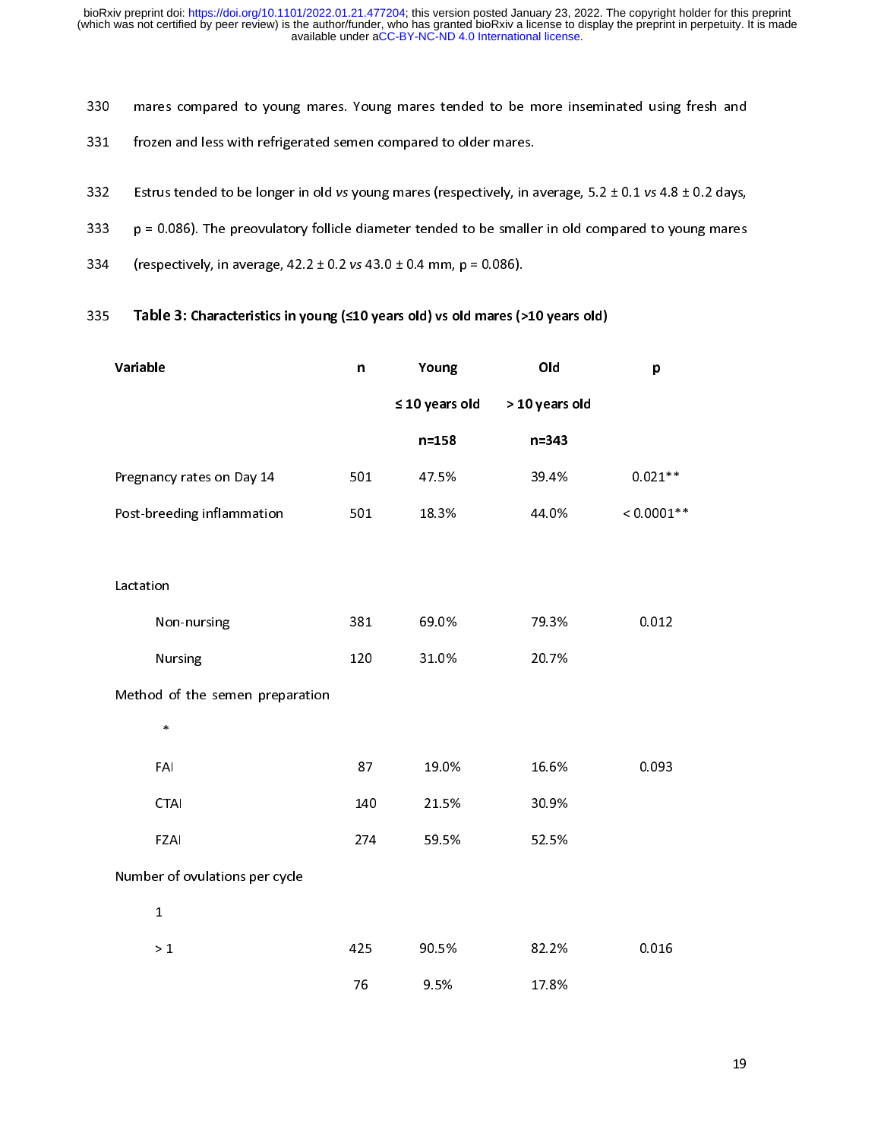- 
- 
- 
- 
- 

| 331 | frozen and less with refrigerated semen compared to older mares.                                         |              |                     |                |              |
|-----|----------------------------------------------------------------------------------------------------------|--------------|---------------------|----------------|--------------|
| 332 | Estrus tended to be longer in old vs young mares (respectively, in average, 5.2 ± 0.1 vs 4.8 ± 0.2 days, |              |                     |                |              |
| 333 | $p = 0.086$ ). The preovulatory follicle diameter tended to be smaller in old compared to young mares    |              |                     |                |              |
| 334 | (respectively, in average, $42.2 \pm 0.2$ vs $43.0 \pm 0.4$ mm, $p = 0.086$ ).                           |              |                     |                |              |
| 335 | Table 3: Characteristics in young (≤10 years old) vs old mares (>10 years old)                           |              |                     |                |              |
|     | Variable                                                                                                 | $\mathsf{n}$ | Young               | Old            | p            |
|     |                                                                                                          |              | $\leq 10$ years old | > 10 years old |              |
|     |                                                                                                          |              | $n = 158$           | $n = 343$      |              |
|     | Pregnancy rates on Day 14                                                                                | 501          | 47.5%               | 39.4%          | $0.021**$    |
|     | Post-breeding inflammation                                                                               | 501          | 18.3%               | 44.0%          | $< 0.0001**$ |
|     |                                                                                                          |              |                     |                |              |
|     | Lactation                                                                                                |              |                     |                |              |
|     | Non-nursing                                                                                              | 381          | 69.0%               | 79.3%          | 0.012        |
|     | Nursing                                                                                                  | 120          | 31.0%               | 20.7%          |              |
|     | Method of the semen preparation                                                                          |              |                     |                |              |
|     | $\ast$                                                                                                   |              |                     |                |              |
|     | FAI                                                                                                      | 87           | 19.0%               | 16.6%          | 0.093        |
|     | <b>CTAI</b>                                                                                              | 140          | 21.5%               | 30.9%          |              |
|     | <b>FZAI</b>                                                                                              | 274          | 59.5%               | 52.5%          |              |
|     | Number of ovulations per cycle                                                                           |              |                     |                |              |
|     | $\mathbf{1}$                                                                                             |              |                     |                |              |
|     | $>1$                                                                                                     | 425          | 90.5%               | 82.2%          | 0.016        |
|     |                                                                                                          | 76           | 9.5%                | 17.8%          |              |
|     |                                                                                                          |              |                     |                |              |
|     |                                                                                                          |              |                     |                | 19           |
|     |                                                                                                          |              |                     |                |              |
|     |                                                                                                          |              |                     |                |              |
|     |                                                                                                          |              |                     |                |              |
|     |                                                                                                          |              |                     |                |              |
|     |                                                                                                          |              |                     |                |              |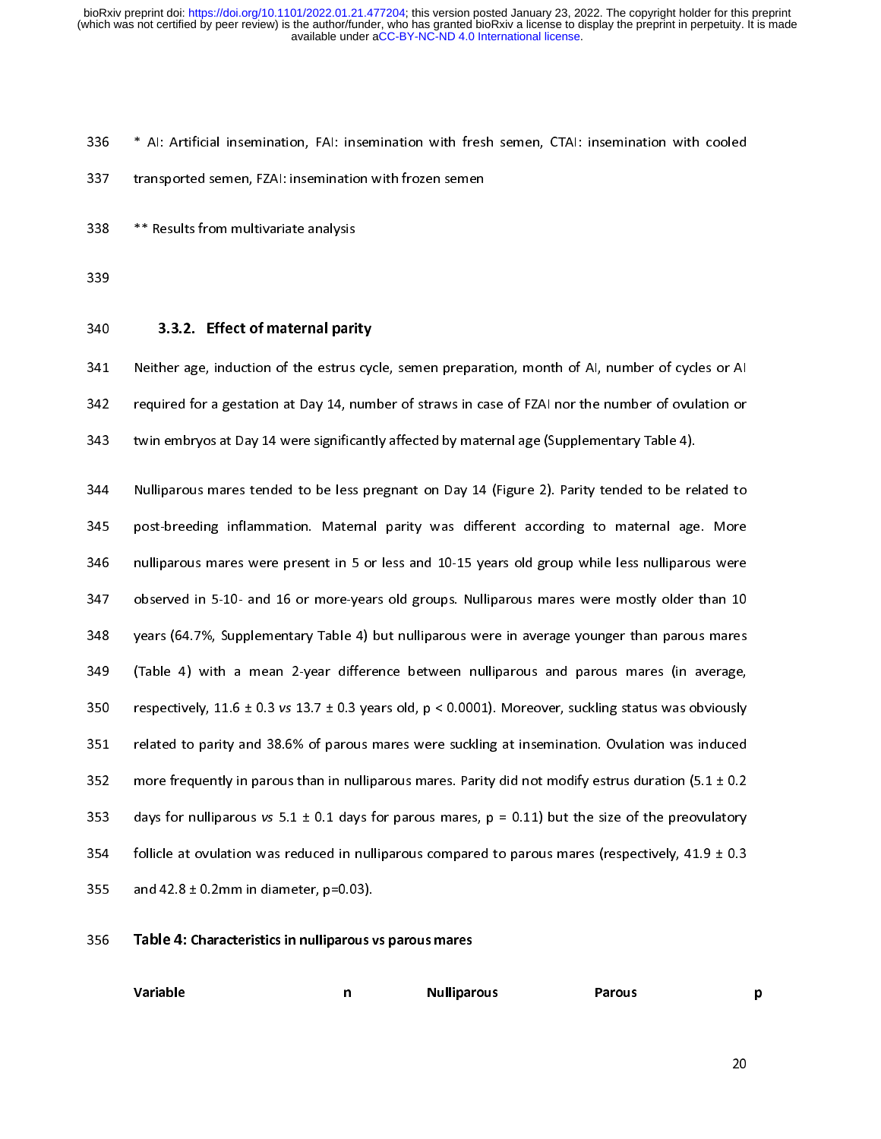ו<br>ג<br>ג transported semen, FZAI: insemination with frozen semen<br>
\*\* Results from multivariate analysis<br>
339<br>
3.3.2. Effect of maternal parity<br>
341 Neither age, induction of the estrus cycle, semen preparation, month of AI, number 338 \*\* Results from multivariate analysis<br>339 339 33.2. Effect of maternal parity<br>341 Neither age, induction of the estrus cycle, semen prepara<br>342 required for a gestation at Day 14, number of straws in ca<br>343 twin embryo 339 33.3.2. Effect of maternal pari<br>341 Neither age, induction of the estrus<br>342 required for a gestation at Day 14, n<br>343 twin embryos at Day 14 were significa<br>344 Nulliparous mares tended to be less<br>345 post-breeding inf

---<br>340<br>341<br>342<br>343<br>344<br>345 340 SERIEC OF Indefinition party<br>341 Neither age, induction of the estrus cyc<br>342 required for a gestation at Day 14, num<br>343 twin embryos at Day 14 were significant<br>344 Nulliparous mares tended to be less pr<br>345 post-bree 342 required for a gestation at Day 14, number of straws in case of FZAI nor the number of ovulation or<br>3343 required for a gestation at Day 14, number of straws in case of FZAI nor the number of ovulation or<br>3343 Nullipar 343 twin embryos at Day 14 were significantly affected by maternal age (Supplementary Table 4).<br>344 Nulliparous mares tended to be less pregnant on Day 14 (Figure 2). Parity tended to be related to<br>345 post-breeding inflam 344 Nulliparous mares tended to be less pregnant on Day 14 (Figure 2). Parity tended to be re<br>345 post-breeding inflammation. Maternal parity was different according to maternal age<br>346 nulliparous mares were present in 5 345 Dost-breeding inflammation. Maternal parity was different according to maternal age. More<br>346 nulliparous mares were present in 5 or less and 10-15 years old group while less nulliparous were<br>347 observed in 5-10- and 346 post-breeding inflammation. In the third is also and the the material particles nulliparous were<br>347 observed in 5-10- and 16 or more-years old groups. Nulliparous mares were mostly older than 10<br>348 years (64.7%, Sup 347 observed in 5-10- and 16 or more-years old groups. Nulliparous mares were mostly older than 10<br>348 years (64.7%, Supplementary Table 4) but nulliparous were in average younger than parous mares<br>349 (Table 4) with a me 348 years (64.7%, Supplementary Table 4) but nulliparous were in average younger than parous mares<br>349 (Table 4) with a mean 2-year difference between nulliparous and parous mares (in average,<br>350 respectively, 11.6 ± 0.3 349 (Table 4) with a mean 2-year difference between nulliparous and parous mares (in average,<br>350 respectively, 11.6 ± 0.3 vs 13.7 ± 0.3 years old, p < 0.0001). Moreover, suckling status was obviously<br>351 related to parit 350 respectively, 11.6 ± 0.3 vs 13.7 ± 0.3 years old, p < 0.0001). Moreover, suckling status was obviously<br>351 related to parity and 38.6% of parous mares were suckling at insemination. Ovulation was induced<br>352 more freq 351 related to parity and 38.6% of parous mares were suckling at insemination. Ovulation was induced<br>352 more frequently in parous than in nulliparous mares. Parity did not modify estrus duration (5.1 ± 0.2<br>353 days for n 352 more frequently in parous than in nulliparous mares. Parity did not modify estrus duration (5.1 ± 0.2 days for nulliparous vs 5.1 ± 0.1 days for parous mares, p = 0.11) but the size of the preovulatory<br>354 follicle at 353 days for nulliparous vs 5.1 ± 0.1 days for parous mares, p = 0.11) but the size of the preovulatory<br>354 follicle at ovulation was reduced in nulliparous compared to parous mares (respectively, 41.9 ± 0.3<br>355 and 42.8 ± 354 follicle at ovulation was reduced in nulliparous compared to parous mares (respectively, 41.9 ± 0.3<br>355 and 42.8 ± 0.2mm in diameter, p=0.03).<br>356 Table 4: Characteristics in nulliparous vs parous mares<br>356 Variable 1. 355 and 42.8 ± 0.2mm in diameter, p=0.03).<br>356 **Table 4: Characteristics in nulliparous vs parous mares**<br>Variable  $\begin{array}{ccc}\nn\end{array}$  Nulliparous Parous Parous<br>20.

|     | $\sim$ $\sim$                                           | $\mathbf{r}$ |                    |        |    |
|-----|---------------------------------------------------------|--------------|--------------------|--------|----|
| 356 | Table 4: Characteristics in nulliparous vs parous mares |              |                    |        |    |
|     | Variable                                                | $\mathsf{n}$ | <b>Nulliparous</b> | Parous | p  |
|     |                                                         |              |                    |        | 20 |
|     |                                                         |              |                    |        |    |
|     |                                                         |              |                    |        |    |
|     |                                                         |              |                    |        |    |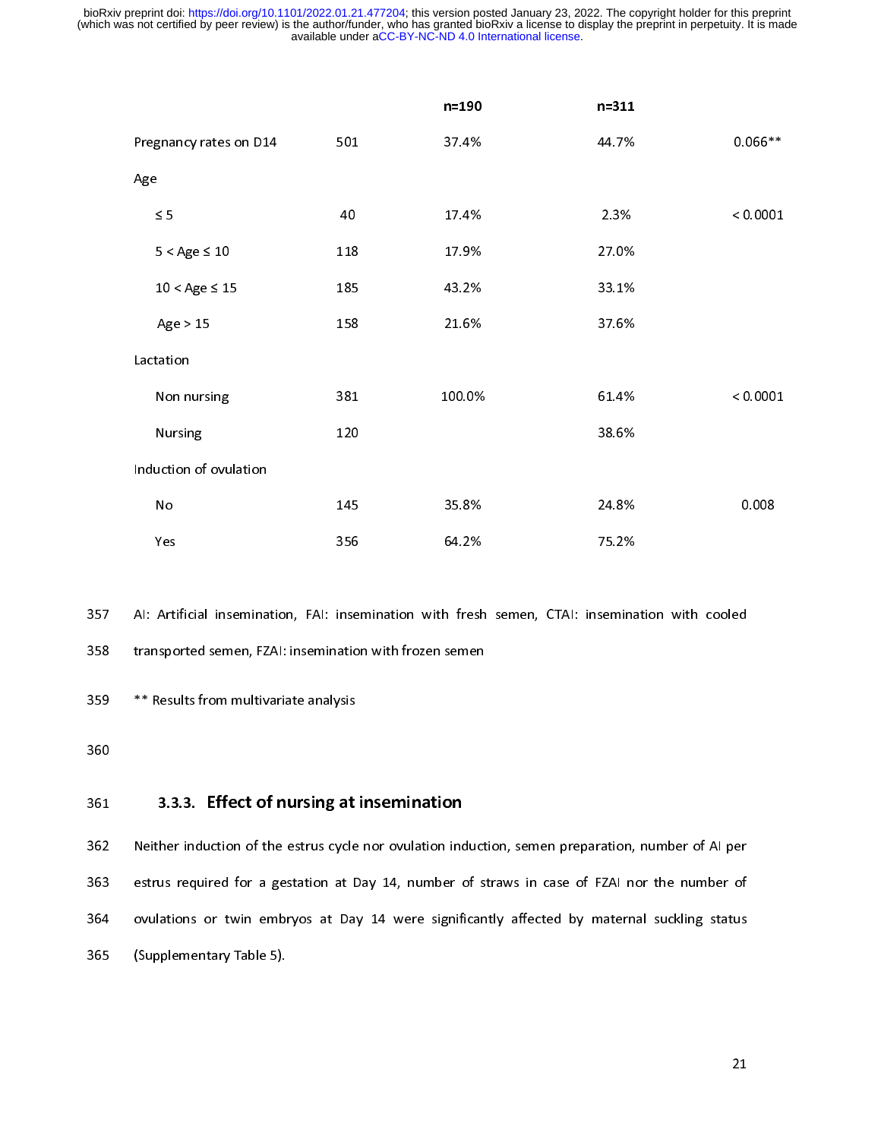|                                                                                                 |                                          | n=190  | $n = 311$ |           |  |  |  |
|-------------------------------------------------------------------------------------------------|------------------------------------------|--------|-----------|-----------|--|--|--|
| Pregnancy rates on D14                                                                          | 501                                      | 37.4%  | 44 7%     | $0.066**$ |  |  |  |
| Age                                                                                             |                                          |        |           |           |  |  |  |
| $\leq 5$                                                                                        | 40                                       | 17.4%  | 2.3%      | < 0.0001  |  |  |  |
| $5 <$ Age $\leq 10$                                                                             | 118                                      | 17.9%  | 27.0%     |           |  |  |  |
| $10 <$ Age $\leq 15$                                                                            | 185                                      | 43.2%  | 33.1%     |           |  |  |  |
| Age > 15                                                                                        | 158                                      | 21.6%  | 37.6%     |           |  |  |  |
| Lactation                                                                                       |                                          |        |           |           |  |  |  |
| Non nursing                                                                                     | 381                                      | 100.0% | 61.4%     | < 0.0001  |  |  |  |
| Nursing                                                                                         | 120                                      |        | 38.6%     |           |  |  |  |
| Induction of ovulation                                                                          |                                          |        |           |           |  |  |  |
| No                                                                                              | 145                                      | 35.8%  | 24.8%     | 0.008     |  |  |  |
| Yes                                                                                             | 356                                      | 64.2%  | 75.2%     |           |  |  |  |
|                                                                                                 |                                          |        |           |           |  |  |  |
| Al: Artificial insemination, FAI: insemination with fresh semen, CTAI: insemination with cooled |                                          |        |           |           |  |  |  |
| transported semen, FZAI: insemination with frozen semen                                         |                                          |        |           |           |  |  |  |
| ** Results from multivariate analysis                                                           |                                          |        |           |           |  |  |  |
|                                                                                                 |                                          |        |           |           |  |  |  |
|                                                                                                 | 3.3.3. Effect of nursing at insemination |        |           |           |  |  |  |

n fresh<br>semen<br>**on**<br>induc semina<br>75.<br>75.<br>75.

## Arti<br>1980<br>Resu<br>**3.3** insel<br>atiol<br>ysis<br>**at i**

:<br>:<br>}<br>} <sup>358</sup> transported semen, FZAI: insemination with frozen semen<br><sup>359</sup> <sup>\*\*</sup> Results from multivariate analysis<br><sup>361</sup> 3.3.3. **Effect of nursing at insemination**<br><sup>362</sup> Neither induction of the estrus cycle nor ovulation inducti <sup>1</sup><br>359 \*\* Results from multivariate analysis<br>360<br>361 3.3.3. Effect of nursing at insemination<br>362 Neither induction of the estrus cycle nor ovulation induct<br>363 estrus required for a gestation at Day 14, number of st<br>364 360<br>361 **3.3.3. Effect of nursing at**<br>362 Neither induction of the estrus cycle<br>363 estrus required for a gestation at D<br>364 ovulations or twin embryos at Da<sub>1</sub><br>365 (Supplementary Table 5). 361<br>361<br>362<br>363<br>364<br>365 361 3.3.3. Effect of nursing at insemination<br>362 Neither induction of the estrus cycle nor ovulation ind<br>363 estrus required for a gestation at Day 14, number c<br>364 ovulations or twin embryos at Day 14 were signifi<br>365 (Su 363 estrus required for a gestation at Day 14, number of straws in case of FZAI nor the number of<br>364 ovulations or twin embryos at Day 14 were significantly affected by maternal suckling status<br>365 (Supplementary Table 5) 364 ovulations or twin embryos at Day 14 were significantly affected by maternal suckling status<br>365 (Supplementary Table 5).  $365$  (Supplementary Table 5).  $\frac{1}{3}$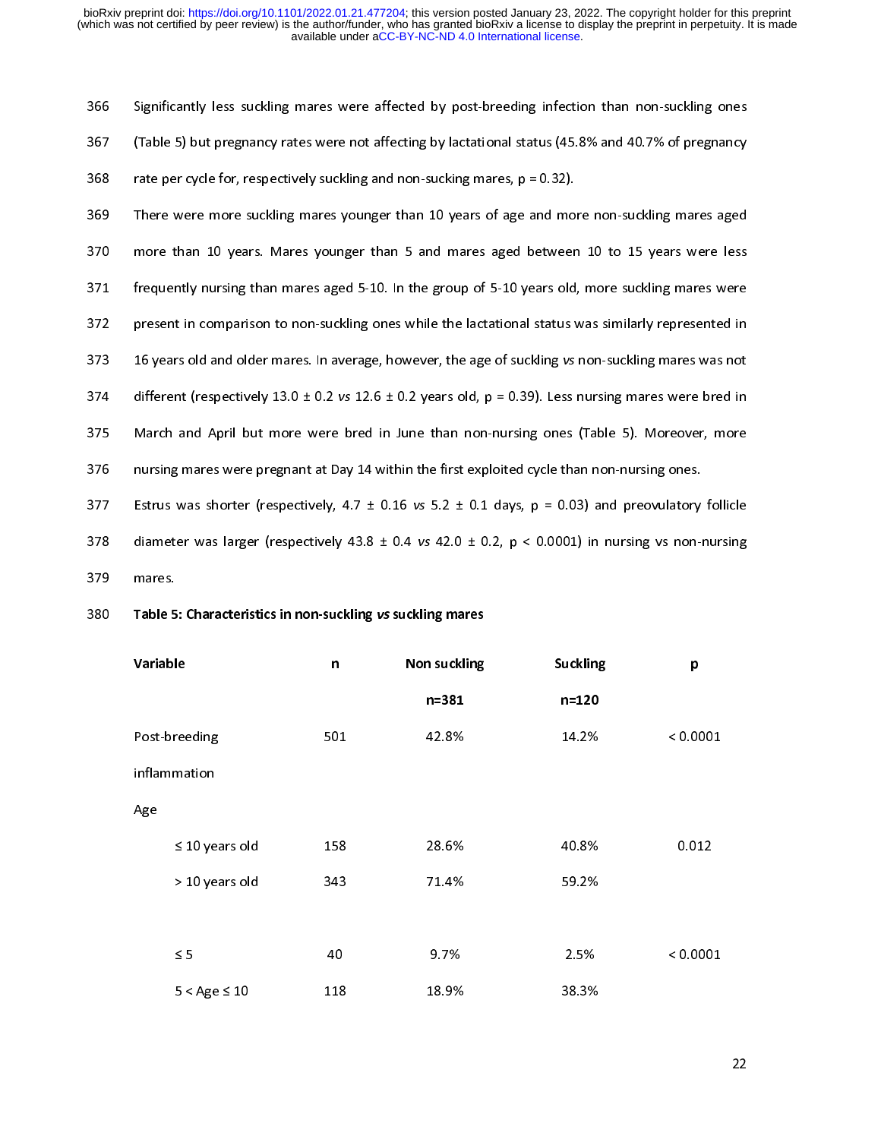367 (Table 5) but pregnancy rates were not affecting by lactational status (45.8% and 40.7% of pregnancy<br>368 rate per cycle for, respectively suckling and non-sucking mares, p = 0.32).<br>369 There were more suckling mares yo 368 There were more suckling and non-sucking mares,  $p = 0.32$ ).<br>369 There were more suckling mares younger than 10 years of age and more non-suckling mares aged<br>370 more than 10 years. Mares younger than 5 and mares aged 369 There were more suckling mares younger than 10 years of age and mo<br>370 more than 10 years. Mares younger than 5 and mares aged betweer<br>371 frequently nursing than mares aged 5-10. In the group of 5-10 years old<br>372 pr 370 There were more suckling marter yearly a matter year of age and more than 10 years. Mares younger than 5 and mares aged between 10 to 15 years were less<br>371 Frequently nursing than mares aged 5-10. In the group of 5-10 371 frequently nursing than mares aged 5-10. In the group of 5-10 years old, more suckling mares were<br>372 present in comparison to non-suckling ones while the lactational status was similarly represented in<br>373 16 years o 372 present in comparison to non-suckling ones while the lactational status was similarly represented in<br>373 16 years old and older mares. In average, however, the age of suckling vs non-suckling mares was not<br>374 differe 373 16 years old and older mares. In average, however, the age of suckling vs non-suckling mares was not<br>374 different (respectively 13.0 ± 0.2 vs 12.6 ± 0.2 years old,  $p = 0.39$ ). Less nursing mares were bred in<br>375 Marc 373 different (respectively 13.0 ± 0.2 vs 12.6 ± 0.2 years old,  $p = 0.39$ ). Less nursing mares were bred in<br>375 March and April but more were bred in June than non-nursing ones (Table 5). Moreover, more<br>376 nursing mares 375 March and April but more were bred in June than non-nursing ones (Table 5). Moreover, more<br>376 nursing mares were pregnant at Day 14 within the first exploited cycle than non-nursing ones.<br>377 Estrus was shorter (respe

| 376 | nursing mares were pregnant at Day 14 within the first exploited cycle than non-nursing ones.               |              |              |           |          |  |  |  |
|-----|-------------------------------------------------------------------------------------------------------------|--------------|--------------|-----------|----------|--|--|--|
| 377 | Estrus was shorter (respectively, 4.7 $\pm$ 0.16 vs 5.2 $\pm$ 0.1 days, p = 0.03) and preovulatory follicle |              |              |           |          |  |  |  |
| 378 | diameter was larger (respectively 43.8 $\pm$ 0.4 vs 42.0 $\pm$ 0.2, p < 0.0001) in nursing vs non-nursing   |              |              |           |          |  |  |  |
| 379 | mares.                                                                                                      |              |              |           |          |  |  |  |
| 380 | Table 5: Characteristics in non-suckling vs suckling mares                                                  |              |              |           |          |  |  |  |
|     | Variable                                                                                                    | $\mathsf{n}$ | Non suckling | Suckling  | p        |  |  |  |
|     |                                                                                                             |              | $n = 381$    | $n = 120$ |          |  |  |  |
|     | Post-breeding                                                                                               | 501          | 42.8%        | 14.2%     | < 0.0001 |  |  |  |
|     | inflammation                                                                                                |              |              |           |          |  |  |  |
|     | Age                                                                                                         |              |              |           |          |  |  |  |
|     | $\leq 10$ years old                                                                                         | 158          | 28.6%        | 40.8%     | 0.012    |  |  |  |
|     | > 10 years old                                                                                              | 343          | 71.4%        | 59.2%     |          |  |  |  |
|     |                                                                                                             |              |              |           |          |  |  |  |
|     | $\leq 5$                                                                                                    | 40           | 9.7%         | 2.5%      | < 0.0001 |  |  |  |
|     | $5 <$ Age $\leq 10$                                                                                         | 118          | 18.9%        | 38.3%     |          |  |  |  |
|     |                                                                                                             |              |              |           |          |  |  |  |
|     |                                                                                                             |              |              |           | 22       |  |  |  |
|     |                                                                                                             |              |              |           |          |  |  |  |
|     |                                                                                                             |              |              |           |          |  |  |  |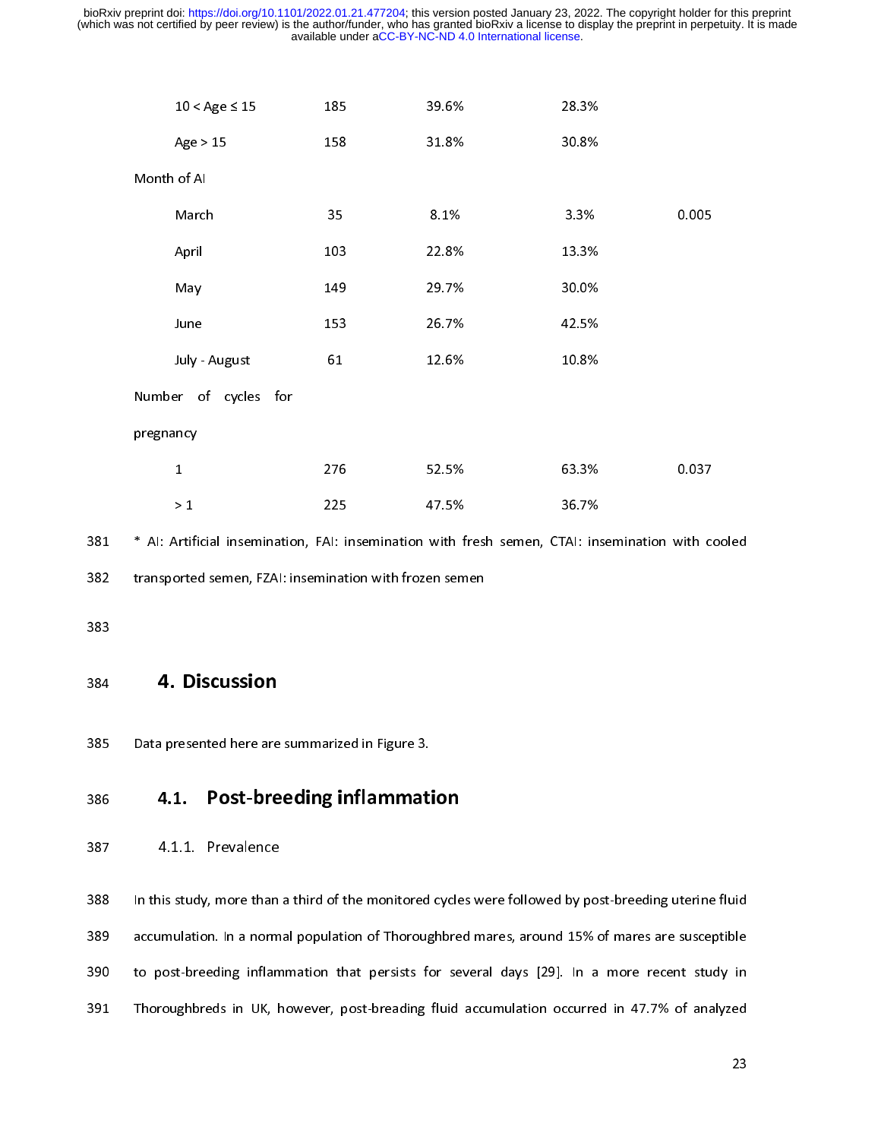| $10 <$ Age $\leq 15$                                                                          | 185 | 39.6% | 28.3% |       |  |  |
|-----------------------------------------------------------------------------------------------|-----|-------|-------|-------|--|--|
| Age > 15                                                                                      | 158 | 31.8% | 30.8% |       |  |  |
| Month of AI                                                                                   |     |       |       |       |  |  |
| March                                                                                         | 35  | 8.1%  | 3.3%  | 0.005 |  |  |
| April                                                                                         | 103 | 22.8% | 13.3% |       |  |  |
| May                                                                                           | 149 | 29.7% | 30.0% |       |  |  |
| June                                                                                          | 153 | 26 7% | 42.5% |       |  |  |
| July - August                                                                                 | 61  | 12.6% | 10.8% |       |  |  |
| Number of cycles for                                                                          |     |       |       |       |  |  |
| pregnancy                                                                                     |     |       |       |       |  |  |
| $\mathbf{1}$                                                                                  | 276 | 52.5% | 63.3% | 0.037 |  |  |
| $>1$                                                                                          | 225 | 47.5% | 36 7% |       |  |  |
| * Al: Artificial insemination, FAI: insemination with fresh semen, CTAI: insemination with co |     |       |       |       |  |  |
| transported semen, FZAI: insemination with frozen semen                                       |     |       |       |       |  |  |
|                                                                                               |     |       |       |       |  |  |
|                                                                                               |     |       |       |       |  |  |
| 4. Discussion                                                                                 |     |       |       |       |  |  |
| Data presented here are summarized in Figure 3.                                               |     |       |       |       |  |  |
|                                                                                               |     |       |       |       |  |  |

with f<br>en sem<br>.<br>. TAI: ins<br>36.7%<br>3.7%

### itifortifort<br>D<br>Trese<br>1. Al: i<br>iinat<br>arize<br>**g ir** 382 transported semen, FZAI: insemination with frozen semen<br>383<br>384 **4. Discussion**<br>385 Data presented here are summarized in Figure 3.<br>**4.1. Post-breeding inflammation**<br>387 4.1. Prevalence 383<br>384 **4. Discussion**<br>385 Data presented here are summarized in Figure 3.<br>**4.1. Post-breeding inflammation**<br>387 4.1.1. Prevalence

384<br>385<br>385<br>386<br>387<br>388 385 Data presented here are<br>385 **4.1. Post-bre**<br>387 4.1.1. Prevalence<br>388 In this study, more than<br>389 accumulation. In a norm<br>390 to post-breeding inflan **4.1. Post-breeding inflammation 4.1.1.** Prevalence<br>383 In this study, more than a third of the monitored<br>389 accumulation. In a normal population of Thoroug<br>390 to post-breeding inflammation that persists for<br>391 Thorough 387 4.1.1. Prevalence<br>388 In this study, more than a third of the monitored cycle<br>389 accumulation. In a normal population of Thoroughbre<br>390 to post-breeding inflammation that persists for se<br>391 Thoroughbreds in UK, howe 4.1.1. Prevalence<br>388 In this study, more than<br>389 accumulation. In a norm<br>390 to post-breeding inflam<br>391 Thoroughbreds in UK, h 389 accumulation. In a normal population of Thoroughbred mares, around 15% of mares are susceptible<br>390 to post-breeding inflammation that persists for several days [29]. In a more recent study in<br>391 Thoroughbreds in UK, 390 to post-breeding inflammation that persists for several days [29]. In a more recent study in<br>391 Thoroughbreds in UK, however, post-breading fluid accumulation occurred in 47.7% of analyzed<br>23 391 Thoroughbreds in UK, however, post-breading fluid accumulation occurred in 47.7% of analyzed<br>23 391 Thoroughbreds in UK, however, post-breading fluid accumulation occurred in 47.7% of analyzed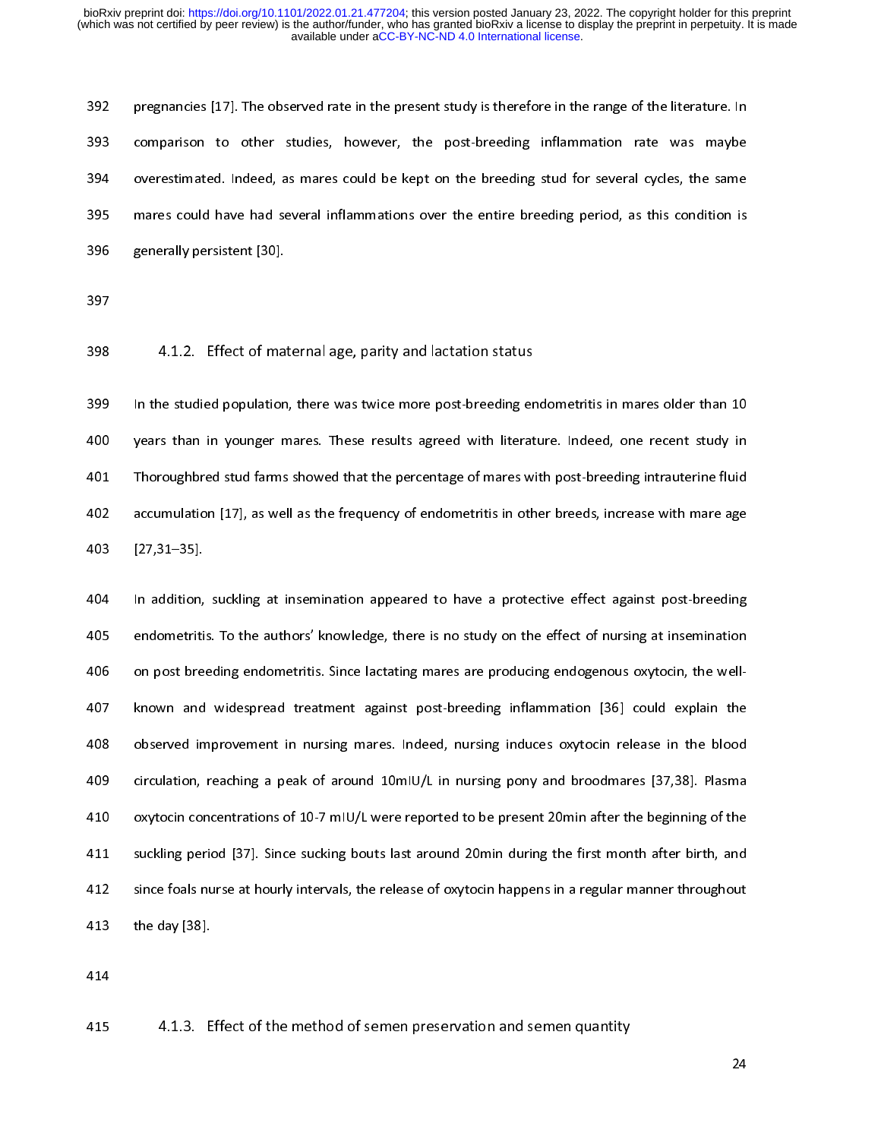2022 pregnancies predicted and many predicted rate in the range of the material and comparison to other studies, however, the post-breeding inflammation rate was maybe<br>393 overestimated. Indeed, as mares could be kept on t overestimated. Indeed, as mares could be kept on the breeding stud for several cycles, the same<br>mares could have had several inflammations over the entire breeding period, as this condition is<br>generally persistent [30].<br>4.

395 mares could have had several inflammations over the entire breeding period, as this condition is<br>396 generally persistent [30].<br>397<br>4.1.2. Effect of maternal age, parity and lactation status<br>399 In the studied populati 395 generally persistent [30].<br>397<br>393 4.1.2. Effect of maternal age, parity and lactation status<br>399 In the studied population, there was twice more post-breeding endometritis in mares older than 10<br>399 In the studied pop 397<br>
398 4.1.2. Effect of max<br>
399 In the studied population<br>
400 years than in younger n<br>
401 Thoroughbred stud farms<br>
402 accumulation [17], as we<br>
403 [27,31–35]. ---<br>398<br>399<br>400<br>402<br>403<br>404 4.1.2. Effect of materinal age, parity and lactation status<br>399 In the studied population, there was twice more post-breeding er<br>400 years than in younger mares. These results agreed with literat<br>401 Thoroughbred stud farm Solution, the studied population, the studies was the studies with literature. Indeed, one recent study in<br>Thoroughbred stud farms showed that the percentage of mares with post-breeding intrauterine fluid<br>accumulation [17]

Thoroughbred stud farms showed that the percentage of mares with post-breeding intrauterine fluid<br>
402 accumulation [17], as well as the frequency of endometritis in other breeds, increase with mare age<br>
403 [27,31–35].<br>
4 accumulation [17], as well as the frequency of endometritis in other breeds, increase with mare age<br>
403 [27,31–35].<br>
404 In addition, suckling at insemination appeared to have a protective effect against post-breeding<br>
40 22, 11–185<br>404 In addition, suckling at insemination appeared to have a protective effect against post-breeding<br>405 endometritis. To the authors' knowledge, there is no study on the effect of nursing at insemination<br>406 o 404 In addition,<br>405 endometriti<br>406 on post bre<br>407 known and<br>408 observed in<br>410 circulation,<br>410 oxytocin cor 405 endometritis. To the authors' knowledge, there is no study on the effect of nursing at insemination<br>406 on post breeding endometritis. Since lactating mares are producing endogenous oxytocin, the well-<br>407 known and wi on post breeding endometritis. Since lactating mares are producing endogenous oxytocin, the well-<br>
407 known and widespread treatment against post-breeding inflammation [36] could explain the<br>
408 observed improvement in n by the dom shows observed improvement in nursing mares. Indeed, nursing induces oxytocin release in the blood<br>
409 circulation, reaching a peak of around 10mlU/L in nursing pony and broodmares [37,38]. Plasma<br>
410 oxytocin circulation, reaching a peak of around 10mlU/L in nursing pony and broodmares [37,38]. Plasma<br>
410 oxytocin concentrations of 10-7 mlU/L were reported to be present 20min after the beginning of the<br>
411 suckling period [37 4109 concentrations of 10-7 mIU/L were reported to be present 20min after the beginning of the<br>411 suckling period [37]. Since sucking bouts last around 20min during the first month after birth, and<br>412 since foals nurse a 411 suckling period [37]. Since sucking bouts last around 20min during the first month after birth, and<br>412 since foals nurse at hourly intervals, the release of oxytocin happens in a regular manner throughout<br>413 the day 412 since foals nurse at hourly intervals, the release of oxytocin happens in a regular manner throughout<br>
413 the day [38].<br>
414 415 4.1.3. Effect of the method of semen preservation and semen quantity<br>
415 4.1.3. Effect 413 the day [38].<br>414<br>415 4.1.3. Effect of the method of semen preservation and semen quantity<br>415

 $414$ 

414<br>415  $4.1.3. E$  $415$ 415 4.1.3. Effect of the method of semen preservation and semen quantity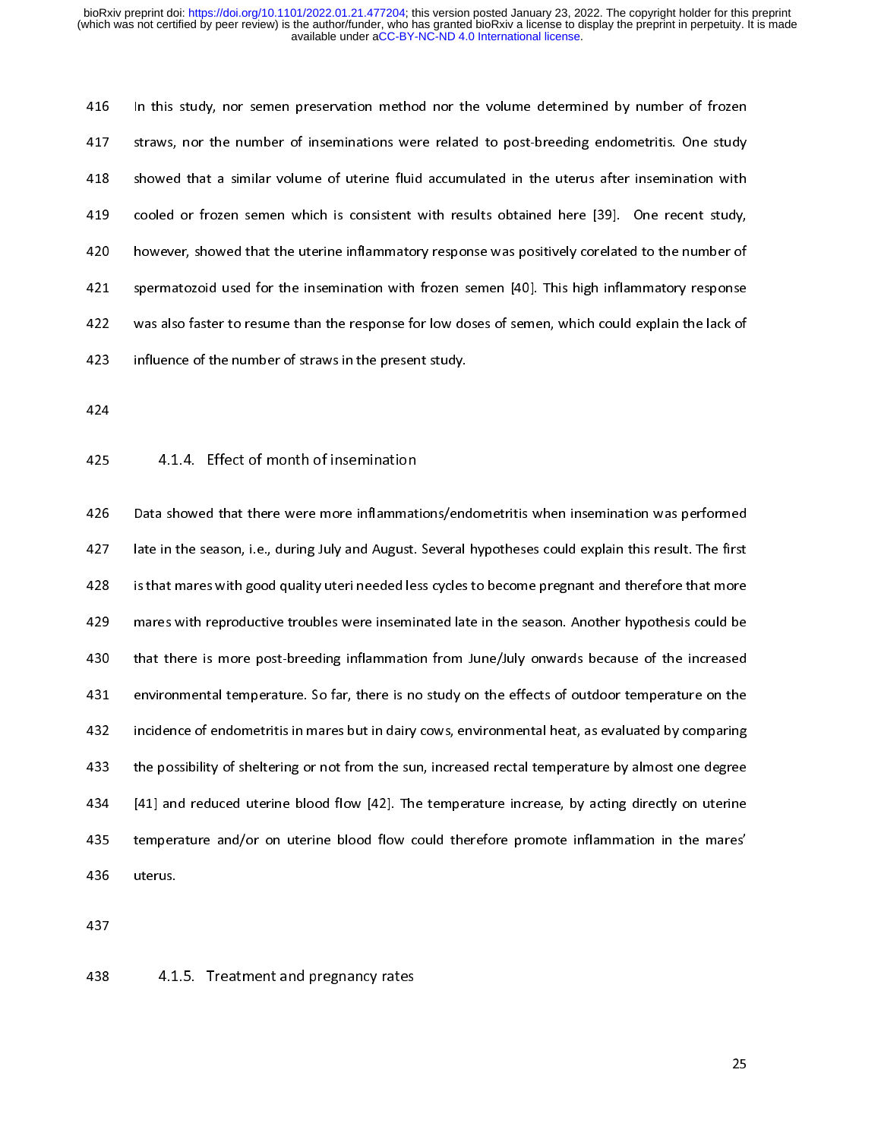417 Straws, nor the number of inseminations were related to post-breeding endometritis. One study showed that a similar volume of uterine fluid accumulated in the uterus after insemination with cooled or frozen semen which 418 showed that a similar volume of uterine fluid accumulated in the uterus after insemination with<br>419 cooled or frozen semen which is consistent with results obtained here [39]. One recent study,<br>420 however, showed that cooled or frozen semen which is consistent with results obtained here [39]. One recent study,<br>
420 however, showed that the uterine inflammatory response was positively corelated to the number of<br>
421 spermatozoid used for 420<br>420 however, showed that the uterine inflammatory response was positively corelated to the number of<br>421 spermatozoid used for the insemination with frozen semen [40]. This high inflammatory response<br>422 was also faste 421 spermatozoid used for the insemination with frozen semen [40]. This high inflammatory response<br>422 was also faster to resume than the response for low doses of semen, which could explain the lack of<br>423 influence of th

422 was also faster to resume than the response for low doses of semen, which could explain the lack of<br>423 influence of the number of straws in the present study.<br>424<br>425 4.1.4. Effect of month of insemination<br>426 Data sh 423 influence of the number of straws in the present study.<br>424<br>424<br>425 4.1.4. Effect of month of insemination<br>426 Data showed that there were more inflammations/endometritis when insemination was performed<br>427 late in the 424<br>425 4.1.4. Effect of month of insemination<br>426 Data showed that there were more inflammations/enc<br>427 late in the season, i.e., during July and August. Several<br>428 is that mares with good quality uteri needed less cycl ...<br>425<br>426<br>427<br>428<br>430<br>431 425 4.1.4. Effect of month of insemination<br>426 Data showed that there were more inflammat<br>427 late in the season, i.e., during July and August.<br>428 is that mares with good quality uteri needed les<br>439 mares with reproducti abtraction the season, i.e., during July and August. Several hypotheses could explain this result. The first<br>428 is that mares with good quality uteri needed less cycles to become pregnant and therefore that more<br>429 mares 428 is that mare swith good quality uteri needed less cycles to become pregnant and therefore that more<br>429 mares with reproductive troubles were inseminated late in the season. Another hypothesis could be<br>430 that there i mares with reproductive troubles were inseminated late in the season. Another hypothesis could be<br>that there is more post-breeding inflammation from June/July onwards because of the increased<br>environmental temperature. So 430 that there is more post-breeding inflammation from June/July onwards because of the increased<br>431 environmental temperature. So far, there is no study on the effects of outdoor temperature on the<br>432 incidence of endom 431 environmental temperature. So far, there is no study on the effects of outdoor temperature on the<br>432 incidence of endometritis in mares but in dairy cows, environmental heat, as evaluated by comparing<br>433 the possibil Figures in the temperature of the effects of the effects of the effects of the properties of the possibility of sheltering or not from the sun, increased rectal temperature by almost one degree<br>
433 the possibility of shel the possibility of sheltering or not from the sun, increased rectal temperature by almost one degree<br>434 [41] and reduced uterine blood flow [42]. The temperature increase, by acting directly on uterine<br>435 terus.<br>436 uter 434 [41] and reduced uterine blood flow [42]. The temperature increase, by acting directly on uterine<br>435 temperature and/or on uterine blood flow could therefore promote inflammation in the mares'<br>436 uterus.<br>437<br>438 4.1.  $435$  temperature and/or on uterine blood flow could therefore promote inflammation in the mares'<br>uterus.<br>436 uterus.<br>437<br>4.1.5. Treatment and pregnancy rates 436 uterus.<br>437<br>438 4.1.5. Treatment and pregnancy rates

## 437<br>438 4.1  $438$ 438 4.1.5. Treatment and pregnancy rates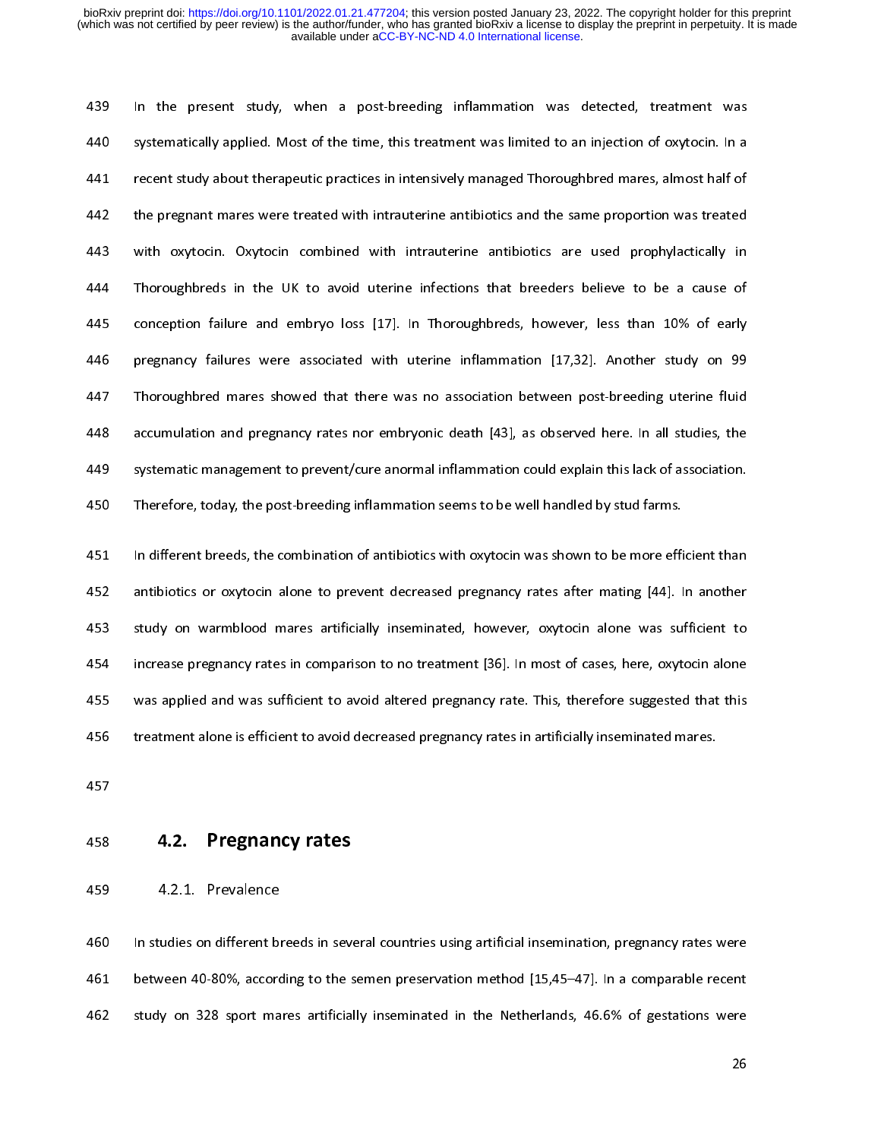Experimentally applied. Most of the time, this treatment was limited to an injection of oxytocin. In a<br>441 Frecent study about therapeutic practices in intensively managed Thoroughbred mares, almost half of<br>442 Freemant ma Francent study about therapeutic practices in intensively managed Thoroughbred mares, almost half of<br>
442 the pregnant mares were treated with intrauterine antibiotics and the same proportion was treated<br>
443 with oxytocin the pregnant mares were treated with intrauterine antibiotics and the same proportion was treated<br>
443 with oxytocin. Oxytocin combined with intrauterine antibiotics are used prophylactically in<br>
444 Thoroughbreds in the U 443 with oxytocin Coxytocin combined with intrauterine antibiotics are used prophylactically in<br>444 Thoroughbreds in the UK to avoid uterine infections that breeders believe to be a cause of<br>445 conception failure and embr 1444 Thoroughbreds in the UK to avoid uterine infections that breeders believe to be a cause of<br>
4445 conception failure and embryo loss [17]. In Thoroughbreds, however, less than 10% of early<br>
445 pregnancy failures were conception failure and embryo loss [17]. In Thoroughbreds, however, less than 10% of early<br>pregnancy failures were associated with uterine inflammation [17,32]. Another study on 99<br>Thoroughbred mares showed that there was From France and embryo loss [17]. In Thorough Lista, however, loss than 11% of 99<br>Thoroughbred mares showed that there was no association between post-breeding uterine fluid<br>accumulation and pregnancy rates nor embryonic d Fregnancy failure are a laterated with uterine inflammation [17,22]. The carry of the computation and pregnancy rates nor embryonic death [43], as observed here. In all studies, the systematic management to prevent/cure an

Examples accumulation and pregnancy rates nor embryonic death [43], as observed here. In all studies, the<br>systematic management to prevent/cure anormal inflammation could explain this lack of association.<br>Therefore, today, systematic management to prevent/cure anormal inflammation could explain this lack of association.<br>
450 Therefore, today, the post-breeding inflammation seems to be well handled by stud farms.<br>
451 In different breeds, the Free the post-breeding inflammation seems to be well handled by stud farms.<br>
451 In different breeds, the combination of antibiotics with oxytocin was shown to be more efficient than<br>
452 antibiotics or oxytocin alone to p 14451 In different breeds, the combination of antibiotics with oxytocin was shown to be more efficantibiotics or oxytocin alone to prevent decreased pregnancy rates after mating [44]. I study on warmblood mares artificiall 452 antibiotics or oxytocin alone to prevent decreased pregnancy rates after mating [44]. In another<br>453 study on warmblood mares artificially inseminated, however, oxytocin alone was sufficient to<br>454 increase pregnancy r 453 study on warmblood mares artificially inseminated, however, oxytocin alone was sufficient to<br>454 increase pregnancy rates in comparison to no treatment [36]. In most of cases, here, oxytocin alone<br>455 was applied and w Find the margin on the theorem is a study of the matter of the matter of the matter of the matter of the matter artificially inseminated, that this treatment alone is efficient to avoid altered pregnancy rates in artificia was applied and was sufficient to avoid altered pregnancy rate. This, therefore suggested that this<br>
treatment alone is efficient to avoid decreased pregnancy rates in artificially inseminated mares.<br> **4.2. Pregnancy rates** 

456 treatment alone is efficient to avoid decreased pregnancy rates in artificially inseminated mares.<br>455 4.2. Pregnancy rates<br>459 4.2.1. Prevalence<br>460 In studies on different breeds in several countries using artificial 4.2. Pregnancy rates<br>456 treatment alone is efficient to avoid decrease and the set of an artificial insemination, pregnancy rates<br>460 In studies on different breeds in several countries using artificial insemination, preg ---<br>458<br>459<br>461<br>462 458 4.2.1. Prevalence<br>460 In studies on different breeds in sev-<br>461 between 40-80%, according to the s<br>462 study on 328 sport mares artificia 459 4.2.1. Prevalence<br>460 In studies on different b<br>461 between 40-80%, accord<br>462 study on 328 sport ma the 461 between 40-80%, according to the semen preservation method [15,45–47]. In a comparable recent<br>462 study on 328 sport mares artificially inseminated in the Netherlands, 46.6% of gestations were<br>26  $462$  study on 328 sport mares artificially inseminated in the Netherlands, 46.6% of gestations were<br>26 462 study on 328 sport mares artificially inseminated in the Netherlands, 46.6% of gestations were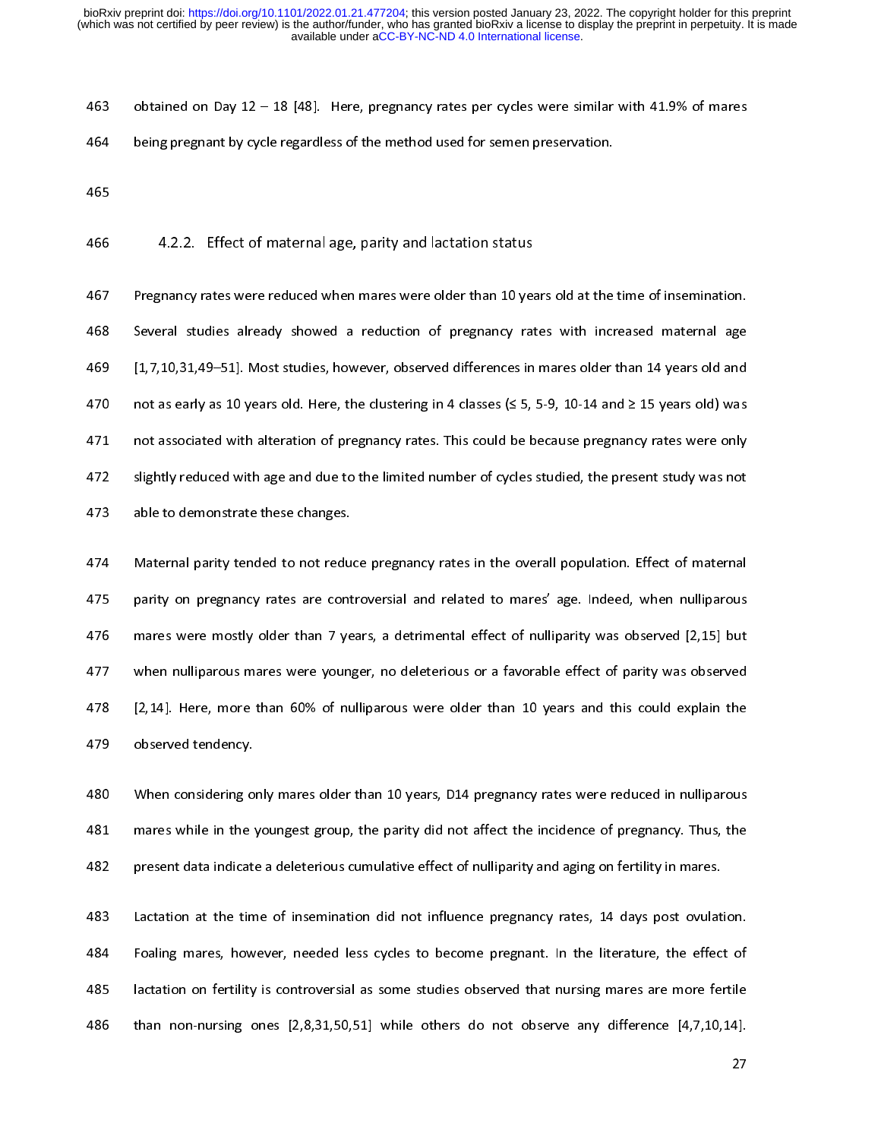464 being pregnant by cycle regardless of the method used for semen preservation.<br>465<br>465<br>465 4.2.2. Effect of maternal age, parity and lactation status<br>466 4.2.2. Effect of maternal age, parity and lactation status<br>467 P 465<br>465<br>42.2. Effect of maternal age, parity and lactation status<br>467 Pregnancy rates were reduced when mares were older than 10 years old at the<br>468 Several studies already showed a reduction of pregnancy rates with incr<br> 466<br>467<br>468<br>470<br>471<br>472 4.2.2. Effect of maternal age, parity and lactation status<br>
466 Pregnancy rates were reduced when mares were older than 10 year<br>
468 Several studies already showed a reduction of pregnancy rat<br>
469 [1,7,10,31,49–51]. Most Exercise Several studies already showed a reduction of pregnancy rates with increased maternal age<br>
469 [1,7,10,31,49–51]. Most studies, however, observed differences in mares older than 14 years old and<br>
470 not as early 469 [1,7,10,31,49–51]. Most studies, however, observed differences in mares older than 14 years old and<br>470 not as early as 10 years old. Here, the clustering in 4 classes (≤ 5, 5-9, 10-14 and ≥ 15 years old) was<br>471 not a 1499 The start of the studies of the clustering in 4 classes ( $\leq$  5, 5-9, 10-14 and  $\geq$  15 years old) was<br>1471 not associated with alteration of pregnancy rates. This could be because pregnancy rates were only<br>1472 sli

471 not associated with alteration of pregnancy rates. This could be because pregnancy rates were only<br>472 slightly reduced with age and due to the limited number of cycles studied, the present study was not<br>473 able to de slightly reduced with age and due to the limited number of cycles studied, the present study was not<br>able to demonstrate these changes.<br>Aza Maternal parity tended to not reduce pregnancy rates in the overall population. Ef 473 able to demonstrate these changes.<br>474 Maternal parity tended to not reduce pregnancy rates in the overall population. Effect of maternal<br>475 parity on pregnancy rates are controversial and related to mares' age. Indee Maternal parity tended to not redu<br>
475 parity on pregnancy rates are cont<br>
476 mares were mostly older than 7 ye<br>
477 when nulliparous mares were young<br>
478 [2,14]. Here, more than 60% of nu<br>
480 When considering only mar From the control program particular program is a control of the original protein in the overall population.<br>
475 mares were mostly older than 7 years, a detrimental effect of nulliparity was observed [2,15] but<br>
477 when n mares were mostly older than 7 years, a detrimental effect of nulliparity was observed [2,15] but<br>when nulliparous mares were younger, no deleterious or a favorable effect of parity was observed<br>[2,14]. Here, more than 60% when nulliparous mares were younger, no deleterious or a favorable effect of parity was observed<br>
12,14]. Here, more than 60% of nulliparous were older than 10 years and this could explain the<br>
1479 observed tendency.<br>
148

12,14]. Here, more than 60% of nulliparous were older than 10 years and this could explain the<br>1479 observed tendency.<br>1480 When considering only mares older than 10 years, D14 pregnancy rates were reduced in nulliparous<br>1

When considering only mares older than 10 years, D14 pregnancy rates were reduced in nulliparous<br>
480 When considering only mares older than 10 years, D14 pregnancy rates were reduced in nulliparous<br>
482 present data indic The Model of When considering of<br>
481 on mares while in the y<br>
482 present data indicate<br>
483 Lactation at the tim<br>
484 Foaling mares, how<br>
485 lactation on fertility<br>
486 than non-nursing c 481 mares while in the youngest group, the parity did not affect the incidence of pregnancy. Thus, the<br>482 present data indicate a deleterious cumulative effect of nulliparity and aging on fertility in mares.<br>483 Lactation From the youngest group of the youngest group, the particle of nulliparity and aging on fertility in mares.<br>
483 Lactation at the time of insemination did not influence pregnancy rates, 14 days post ovulation.<br>
484 Foaling Lactation at the time of insemination did not influence pregnancy rates, 14 days post ovulat<br>Foaling mares, however, needed less cycles to become pregnant. In the literature, the effec<br>lactation on fertility is controversi Foaling mares, however, needed less cycles to become pregnant. In the literature, the effect of lactation on fertility is controversial as some studies observed that nursing mares are more fertile than non-nursing ones [2, 485 Iactation on fertility is controversial as some studies observed that nursing mares are more fertile<br>486 than non-nursing ones [2,8,31,50,51] while others do not observe any difference [4,7,10,14].<br>27 486 than non-nursing ones  $[2,8,31,50,51]$  while others do not observe any difference  $[4,7,10,14]$ .<br>27  $\frac{1}{2}$  and  $\frac{1}{2}$  which is a non-nursing order of observe any difference  $\frac{27}{4}$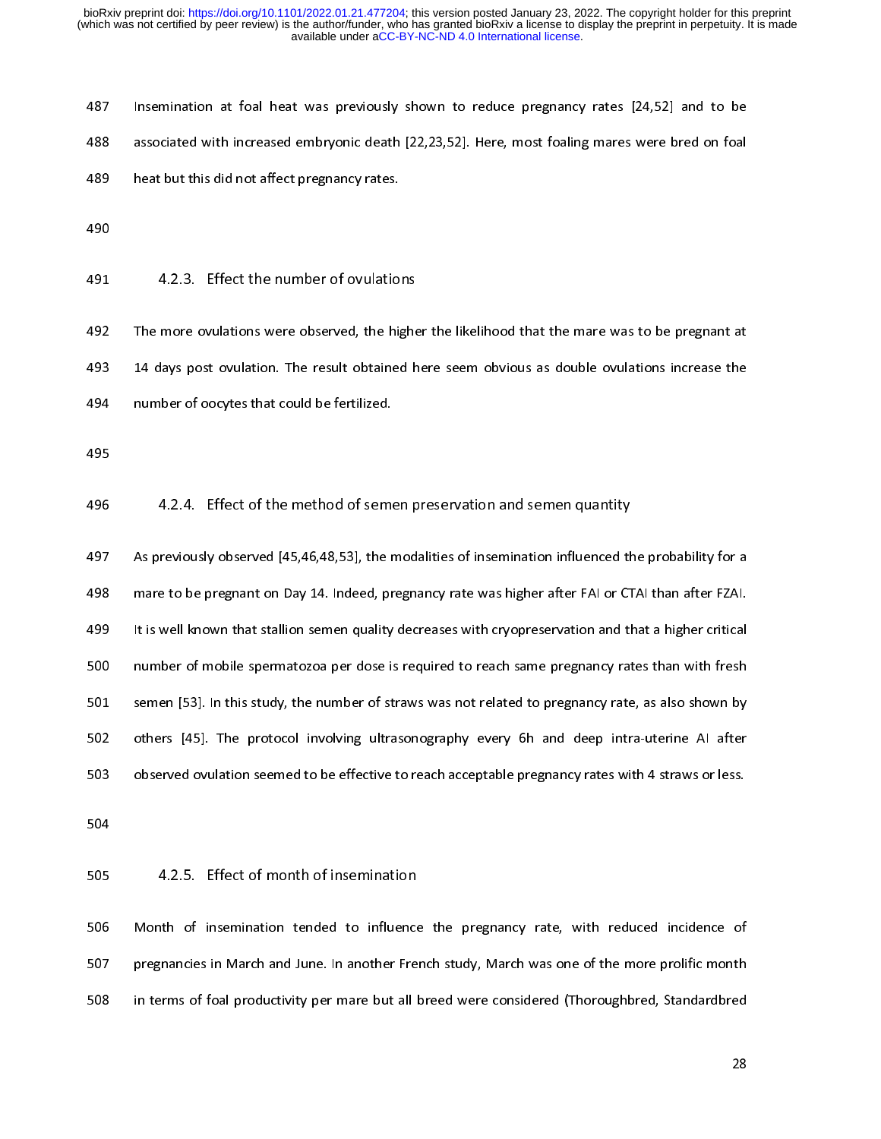| 487 | Insemination at foal heat was previously shown to reduce pregnancy rates [24,52] and to be       |
|-----|--------------------------------------------------------------------------------------------------|
| 488 | associated with increased embryonic death [22,23,52]. Here, most foaling mares were bred on foal |
| 489 | heat but this did not affect pregnancy rates                                                     |

488 associated with increased embryonic death [22,23,52]. Here, most foaling mares were bred on foal<br>489 heat but this did not affect pregnancy rates.<br>490<br>491 d.2.3. Effect the number of ovulations<br>492 The more ovulations 489 heat but this did not affect pregnancy rates.<br>490<br>491 4.2.3. Effect the number of ovulations<br>492 The more ovulations were observed, the higher the likelihood that the mare was to be pregnant at<br>493 14 days post ovulati 490<br>491 4.2.3. Effect the number of ovulatio<br>492 The more ovulations were observed, the hig<br>493 14 days post ovulation. The result obtained<br>494 number of oocytes that could be fertilized.<br>495 491<br>492<br>494<br>495<br>496 491 4.2.3. Effect the number of ovulations<br>492 The more ovulations were observed, the highe<br>493 14 days post ovulation. The result obtained h<br>494 number of oocytes that could be fertilized.<br>495 4.2.4. Effect of the method

493 14 days post ovulation. The result obtained here seem obvious as double ovulations increase the<br>494 number of oocytes that could be fertilized.<br>495<br>4.2.4. Effect of the method of semen preservation and semen quantity<br>4 493 14.2.4. Effect of the method of semen preservation and semen quantity<br>495 14.2.4. Effect of the method of semen preservation and semen quantity<br>497 14.2.4. Effect of the method of semen preservation and semen quantity<br> 495<br>496 1.2.4. Effect of the method of seme<br>497 As previously observed [45,46,48,53], the r<br>498 mare to be pregnant on Day 14. Indeed, pr<br>499 It is well known that stallion semen quality<br>500 number of mobile spermatozoa pe 496<br>497<br>498<br>500<br>501<br>502 496 4.2.4. Effect of the method of semen preservation and semen quantity<br>496 4.2.4. Effect of the method of semen preservation and semen quantity<br>498 mare to be pregnant on Day 14. Indeed, pregnancy rate was higher after F 498 mare to be pregnant on Day 14. Indeed, pregnancy rate was higher after FAI or CTAI than after FZAI.<br>499 it is well known that stallion semen quality decreases with cryopreservation and that a higher critical<br>499 number 499 It is well known that stallion semen quality decreases with cryopreservation and that a higher critical<br>499 It is well known that stallion semen quality decreases with cryopreservation and that a higher critical<br>4501 s 499 It is well also and the statistical material critical material critical material material material material<br>1990 It is started to predict of the state of the state of the state of the state of the state of the state of 501 semen [53]. In this study, the number of straws was not related to pregnancy rate, as also shown by<br>502 others [45]. The protocol involving ultrasonography every 6h and deep intra-uterine AI after<br>503 observed ovulatio

502 studies [45]. The protocol involving ultrasonography every 6h and deep intra-uterine Al after<br>503 observed ovulation seemed to be effective to reach acceptable pregnancy rates with 4 straws or less.<br>504<br>505 4.2.5. Effe 503 observed ovulation seemed to be effective to reach acceptable pregnancy rates with 4 straws or less.<br>504<br>505 4.2.5. Effect of month of insemination<br>506 Month of insemination tended to influence the pregnancy rate, with 503 4.2.5. Effect of month of insemination<br>506 Month of insemination tended to influence the pregnancy rate, with reduced incidence of<br>507 pregnancies in March and June. In another French study, March was one of the more p 505<br>506<br>507<br>508 505 4.2.5. Effect of month of insemination<br>506 Month of insemination tended to influence<br>507 pregnancies in March and June. In another Frei<br>508 in terms of foal productivity per mare but all l pregnancies in March and June. In another French study, March was one of the more prolific month<br>
in terms of foal productivity per mare but all breed were considered (Thoroughbred, Standardbred<br>
28 508 in terms of foal productivity per mare but all breed were considered (Thoroughbred, Standardbred<br>28 508 in terms of foal productivity per mare but all breed were considered (Thoroughbred, Standardbred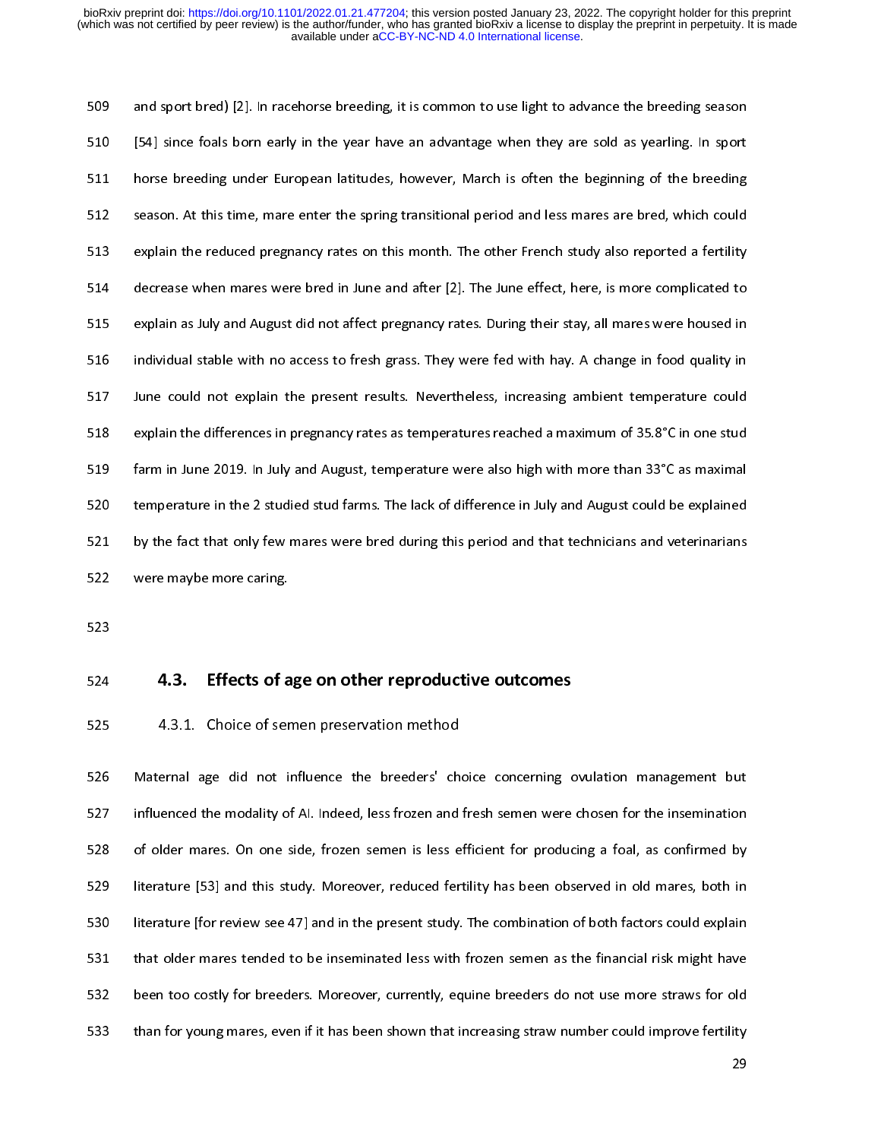510 [54] since foals born early in the year have an advantage when they are sold as yearling. In sport<br>511 horse breeding under European latitudes, however, March is often the beginning of the breeding<br>512 season. At this 511 horse breeding under European latitudes, however, March is often the beginning of the breeding<br>512 season. At this time, mare enter the spring transitional period and less mares are bred, which could<br>513 explain the re season. At this time, mare enter the spring transitional period and less mares are bred, which could<br>
stand explain the reduced pregnancy rates on this month. The other French study also reported a fertility<br>
decrease when Explain the reduced pregnancy rates on this month. The other French study also reported a fertility decrease when mares were bred in June and after [2]. The June effect, here, is more complicated to explain as July and Aug Explain the reduced pregnancy prediction and after [2]. The June effect, here, is more complicated to<br>
explain as July and August did not affect pregnancy rates. During their stay, all mares were housed in<br>
individual stab Explain as July and August did not affect pregnancy rates. During their stay, all mares were housed in<br>
516 individual stable with no access to fresh grass. They were fed with hay. A change in food quality in<br>
517 June cou Explain as Laty and Laty and August did not access to fresh grass. They were fed with hay. A change in food quality in<br>
515 lune could not explain the present results. Nevertheless, increasing ambient temperature could<br>
51 517 June could not explain the present results. Nevertheless, increasing ambient temperature could<br>
stable explain the differences in pregnancy rates as temperatures reached a maximum of 35.8°C in one stud<br>
farm in June 20 explain the differences in pregnancy rates as temperatures reached a maximum of 35.8°C in one stud<br>
farm in June 2019. In July and August, temperature were also high with more than 33°C as maximal<br>
temperature in the 2 stu From in June 2019. In July and August, temperature were also high with more than 33°C as maximal<br>
space in the difference in pregnancy rate and August could be explained<br>
by the fact that only few mares were bred during th 520 temperature in the 2 studied stud farms. The lack of difference in July and August could be explained<br>521 by the fact that only few mares were bred during this period and that technicians and veterinarians<br>522 were may by the fact that only few mares were bred during this period and that technicians and veterinarians<br>
sexted were maybe more caring.<br> **4.3.** Effects of age on other reproductive outcomes<br>
4.3.1. Choice of semen preservation

522 were maybe more caring.<br>523<br>524 **4.3.** Effects of age on other reproductive outcomes<br>525 4.3.1. Choice of semen preservation method<br>526 Maternal age did not influence the breeders' choice concerning ovulation managemen 523<br>
525 **4.3.1. Choice of and 525**<br>
526 Maternal age did not influenced the modality of<br>
528 of older mares. On one s 524<br>525<br>525<br>526<br>527<br>528<br>530 4.3. Effects of age on other reproductive outcomes<br>525 4.3.1. Choice of semen preservation method<br>526 Maternal age did not influence the breeders' choice concerning of<br>527 influenced the modality of AI. Indeed, less frozen 4.3.1. Choice of semen preservation method<br>526 Maternal age did not influence the breeders' ch<br>527 influenced the modality of AI. Indeed, less frozen and<br>528 of older mares. On one side, frozen semen is less e<br>529 literatu Maternal age did not influence the breeders' choice concerning ovulation management but<br>
527 influenced the modality of Al. Indeed, less frozen and fresh semen were chosen for the insemination<br>
528 of older mares. On one s 528 of older mares. On one side, frozen semen is less efficient for producing a foal, as confirmed by<br>529 literature [53] and this study. Moreover, reduced fertility has been observed in old mares, both in<br>530 literature [ Fit<br>In the mare standard mares. Nother mare standard mare standard mare shown in the present study. The combination of both factors could explain<br>1530 Interature [for review see 47] and in the present study. The combinatio Interature [53] and the study. The combination of both factors could explain<br>531 that older mares tended to be inseminated less with frozen semen as the financial risk might have<br>532 been too costly for breeders. Moreover, that older mares tended to be inseminated less with frozen semen as the financial risk might have<br>been too costly for breeders. Moreover, currently, equine breeders do not use more straws for old<br>than for young mares, even been too costly for breeders. Moreover, currently, equine breeders do not use more straws for old<br>
than for young mares, even if it has been shown that increasing straw number could improve fertility<br>
29 than for young mares, even if it has been shown that increasing straw number could improve fertility<br>29<br>29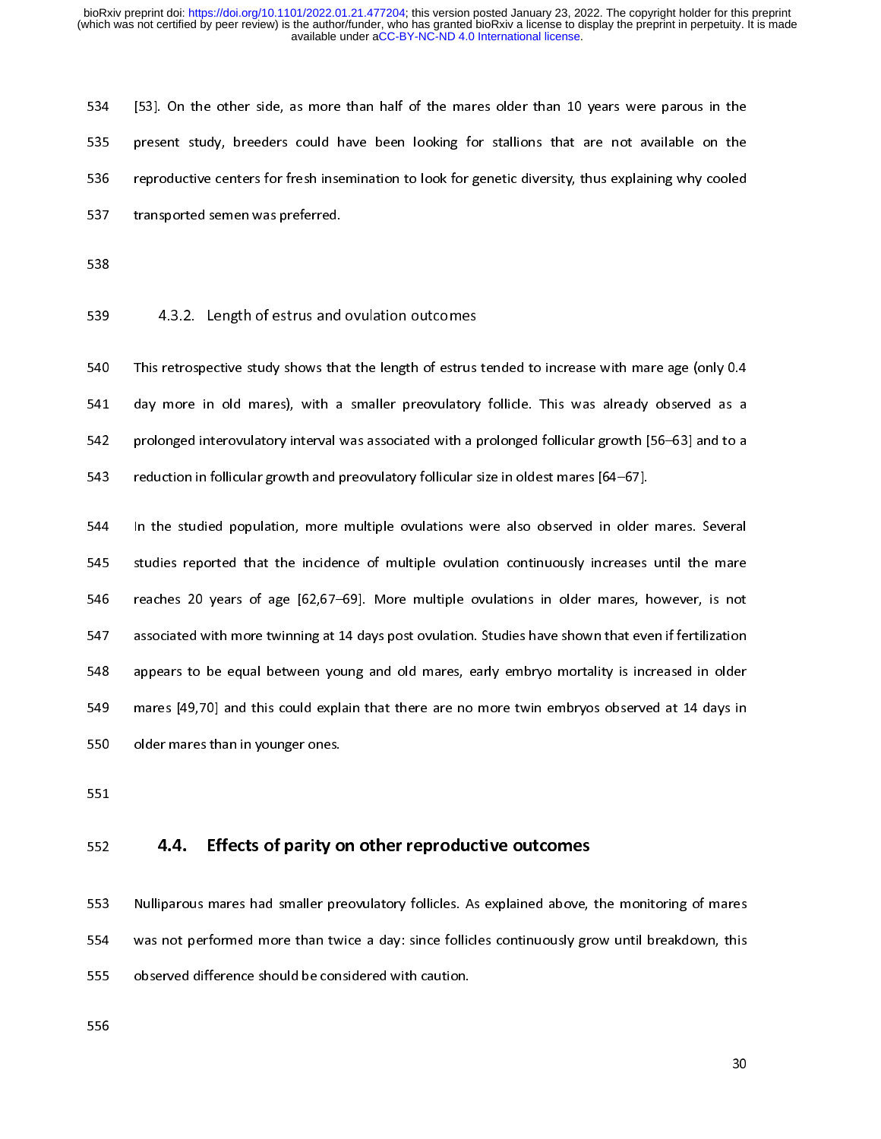Figure side, breeders could have been looking for stallions that are not available on the<br>spresent study, breeders could have been looking for stallions that are not available on the<br>reproductive centers for fresh insemina

For the study of the study shows that the length of estrus tenders of this explaining why cooled<br>
transported semen was preferred.<br>
For starsported semen was preferred.<br>
For stalling that are not available on the state of transported semen was preferred.<br>
538<br>
538 4.3.2. Length of estrus and ovulation outcomes<br>
540 This retrospective study shows that the length of estrus tended to increase with mare age (only 0.4<br>
541 day more in old mares) 538 4.3.2. Length of estrus and<br>540 This retrospective study shows that<br>541 day more in old mares), with a<br>542 prolonged interovulatory interval v<br>543 reduction in follicular growth and p 539<br>539<br>540<br>541<br>542<br>543<br>545 4.3.2. Length of estrus and ovulation outcomes<br>540 This retrospective study shows that the length of estrus<br>541 day more in old mares), with a smaller preovulatory<br>542 prolonged interovulatory interval was associated with

541 day more in old mares), with a smaller preovulatory follicle. This was already observed as a<br>542 prolonged interovulatory interval was associated with a prolonged follicular growth [56–63] and to a<br>543 reduction in fol standary more in the interest, that a smaller presentative market interesting of the smaller and the smaller mares) and to a reduction in follicular growth and preovulatory follicular size in oldest mares [64–67].<br>
In the From the studied population, more multiple ovulations were also observed in older mares. Several<br>
studies reported that the incidence of multiple ovulations were also observed in older mares. Several<br>
studies reported that 1444 In the studied population, more multiple ovulations were also observed in older<br>
545 studies reported that the incidence of multiple ovulation continuously increases<br>
145 reaches 20 years of age [62,67–69]. More multi 545 studies reported that the incidence of multiple ovulation continuously increases until the mare<br>546 reaches 20 years of age [62,67–69]. More multiple ovulations in older mares, however, is not<br>547 associated with more Fraction appears of age [62,67-69]. More multiple ovulations in older mares, however, is not<br>sassociated with more twinning at 14 days post ovulation. Studies have shown that even if fertilization<br>appears to be equal betwe 547 associated with more twinning at 14 days post ovulation. Studies have shown that even if fertilization<br>548 appears to be equal between young and old mares, early embryo mortality is increased in older<br>549 mares [49,70] Example are to be equal between young and old mares, early embryo mortality is increased in older<br>
mares [49,70] and this could explain that there are no more twin embryos observed at 14 days in<br>
older mares than in younge

mares [49,70] and this could explain that there are no more twin embryos observed at 14 days in<br>
550 older mares than in younger ones.<br>
551<br>
552 **4.4. Effects of parity on other reproductive outcomes**<br>
553 Nulliparous mare 550 older mares than in younger ones.<br>551<br>552 **4.4. Effects of parity on other reproductive outcomes**<br>553 Nulliparous mares had smaller preovulatory follicles. As explained above, the monitoring of mares<br>554 was not perfor 551<br>
552 **4.4. Effects of parity on<br>
553** Nulliparous mares had smaller pre<br>
554 was not performed more than tw<br>
555 observed difference should be con:<br>
556 ---<br>552<br>553<br>555<br>555<br>556 4.4. Effects of parity on other reproductive outcomes<br>553 Nulliparous mares had smaller preovulatory follicles. As explained above,<br>554 was not performed more than twice a day: since follicles continuously gro<br>555 observed 554 was not performed more than twice a day: since follicles continuously grow until breakdown, this<br>555 observed difference should be considered with caution.<br>556 555 observed difference should be considered with caution.<br>556<br>30 555 observed difference should be considered with caution.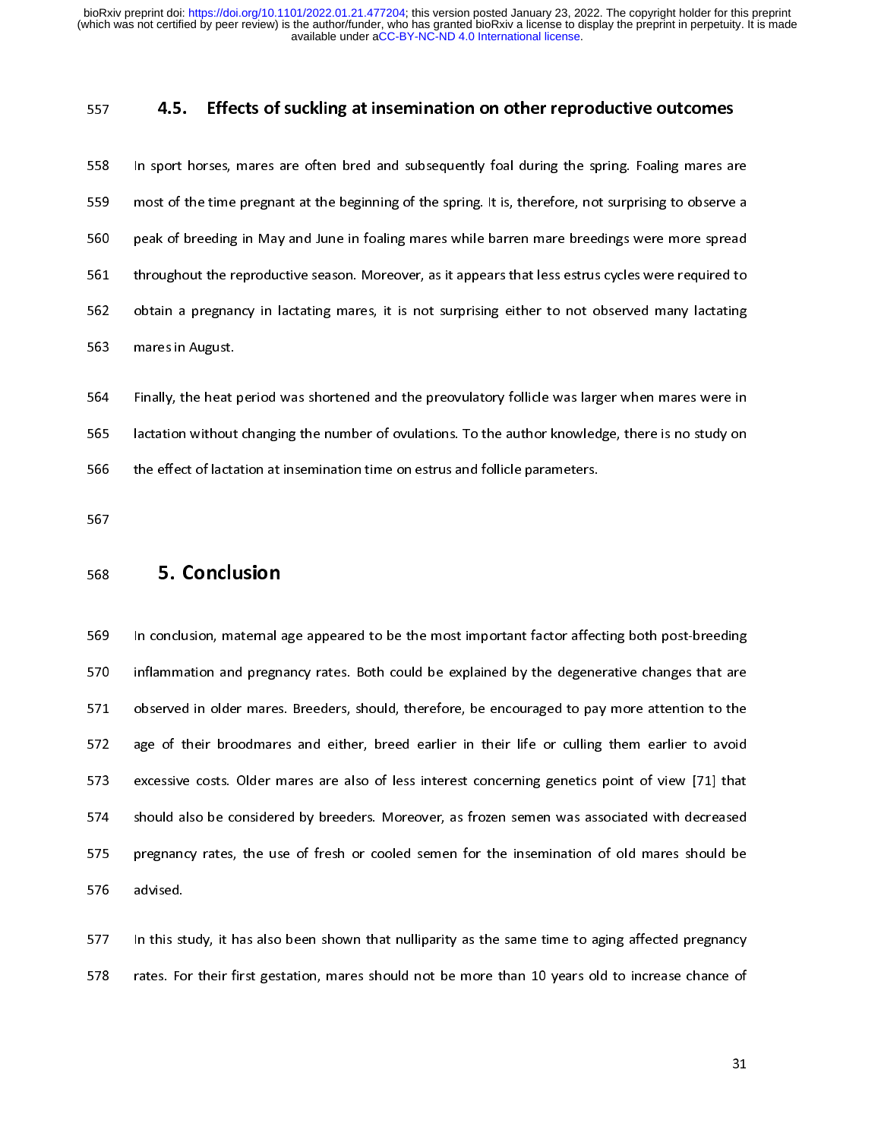4.5. Effects of suckling at insemination on other reproductive outcomes<br>558 In sport horses, mares are often bred and subsequently foal during the spring. Foaling mares are<br>559 most of the time pregnant at the beginning of 559 most of the time pregnant at the beginning of the spring. It is, therefore, not surprising to observe a<br>560 peak of breeding in May and June in foaling mares while barren mare breedings were more spread<br>561 throughout For the time time pregnant at the beginning of the spring. It is, the surprising of the spring. The surprising of the spring of the spring of the spring of the spring of the spring of the spring of the spring of the spring From a throughout the reproductive season. Moreover, as it appears that less estrus cycles were required to<br>562 botain a pregnancy in lactating mares, it is not surprising either to not observed many lactating<br>563 mares in

562 obtain a pregnancy in lactating mares, it is not surprising either to not observed many lactating<br>
563 mares in August.<br>
564 Finally, the heat period was shortened and the preovulatory follicle was larger when mares we From a pregnancy in lactating marrity in the surprising since it is not surprising mare in August.<br>
563 mares in August.<br>
565 Finally, the heat period was shortened and the preovulatory follicle was larger when mares were 564 Finally, the heat<br>565 lactation without<br>566 the effect of lacta<br>567 **5. Conclu**<br>569 In conclusion, ma

565 Finally, increases the heat period was shortened and the effect of lactation at insemination time on estrus and follicle parameters.<br>566 Finally, the effect of lactation at insemination time on estrus and follicle para 566 the effect of lactation at insemination time on estrus and follicle parameters.<br>567<br>567 **568 5. Conclusion**<br>568 **5. Conclusion**<br>569 In conclusion, maternal age appeared to be the most important factor affecting both 568 5. **Conclusion**<br>
568 5. **Conclusion**<br>
569 In conclusion, maternal age appeared to be the most important factor affector<br>
570 inflammation and pregnancy rates. Both could be explained by the degene<br>
571 observed in olde 568<br>568<br>569<br>571<br>572<br>573<br>574 568 In conclusion, maternal a<br>569 In conclusion, maternal a<br>570 inflammation and pregnances<br>572 age of their broodmare<br>573 excessive costs. Older m<br>574 should also be considere<br>575 pregnancy rates, the use Inflammation and pregnancy rates. Both could be explained by the degenerative changes that are<br>
571 observed in older mares. Breeders, should, therefore, be encouraged to pay more attention to the<br>
572 age of their broodma 571 observed in older mares. Breeders, should, therefore, be encouraged to pay more attention to the age of their broodmares and either, breed earlier in their life or culling them earlier to avoid excessive costs. Older m are of their broodmares and either, breed earlier in their life or culling them earlier to avoid<br>
states excessive costs. Older mares are also of less interest concerning genetics point of view [71] that<br>
should also be co Example 2022 and the structure and enterpret to the structure in the structure or considered by breeders. Moreover, as frozen semen was associated with decreased pregnancy rates, the use of fresh or cooled semen for the in 574 should also be considered by breeders. Moreover, as frozen semen was associated with decreased<br>575 pregnancy rates, the use of fresh or cooled semen for the insemination of old mares should be<br>576 advised.<br>577 In this For the insemination of old mares should be<br>advised.<br>S77 In this study, it has also been shown that nulliparity as the same time to aging affected pregnancy<br>rates. For their first gestation, mares should not be more than 1

576 advised.<br>
In this study, it has also been shown that nulliparity as the same time to aging affected pregnancy<br>
1578 rates. For their first gestation, mares should not be more than 10 years old to increase chance of<br>
15 577 In this st<br>578 rates. Fo 578 rates. For their first gestation, mares should not be more than 10 years old to increase chance of 31 578 rates. For their first gestation, mares should not be more than 10 years old to increase chance of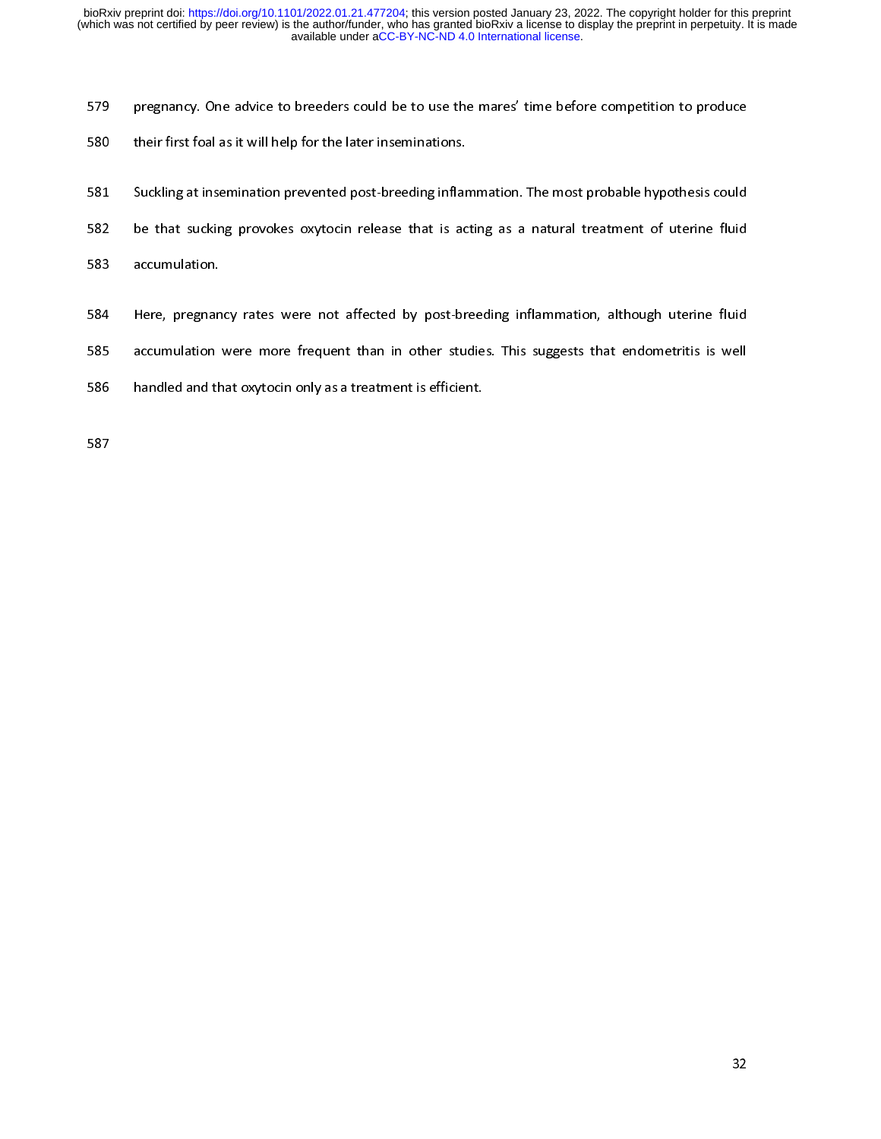- 
- 
- 
- 
- 
- Fregnancy. The advice to breeders course to breeding inflammation.<br>
S81 Suckling at insemination prevented post-breeding inflammation. The most probable hypothesis could<br>
be that sucking provokes oxytocin release that is a Simple their first form intertainmental states and as the later the later insemination:<br>582 be that sucking provokes oxytocin release that is accomulation.<br>583 accumulation.<br>584 Here, pregnancy rates were not affected by p For the sucking provokes oxytocin release that is acting as a natural treatment of uterine fluid<br>SB3 accumulation.<br>SB4 Here, pregnancy rates were not affected by post-breeding inflammation, although uterine fluid<br>SB5 accum 583 accumulation.<br>584 Here, pregnancy rates were not affected by post-breeding inflammation, although uterine fluid<br>585 accumulation were more frequent than in other studies. This suggests that endometritis is well<br>586 han 584 Here, pregnan<br>585 accumulation<br>586 handled and th<br>587
- 585 accumulation were more frequent than in other studies. This suggests that endometritis is well<br>586 handled and that oxytocin only as a treatment is efficient.<br>587
- 585 handled and that oxytocin only as a treatment is efficient.<br>585 handled and that oxytocin only as a treatment is efficient. 586 handled and that oxytocin only as a treatment is efficient.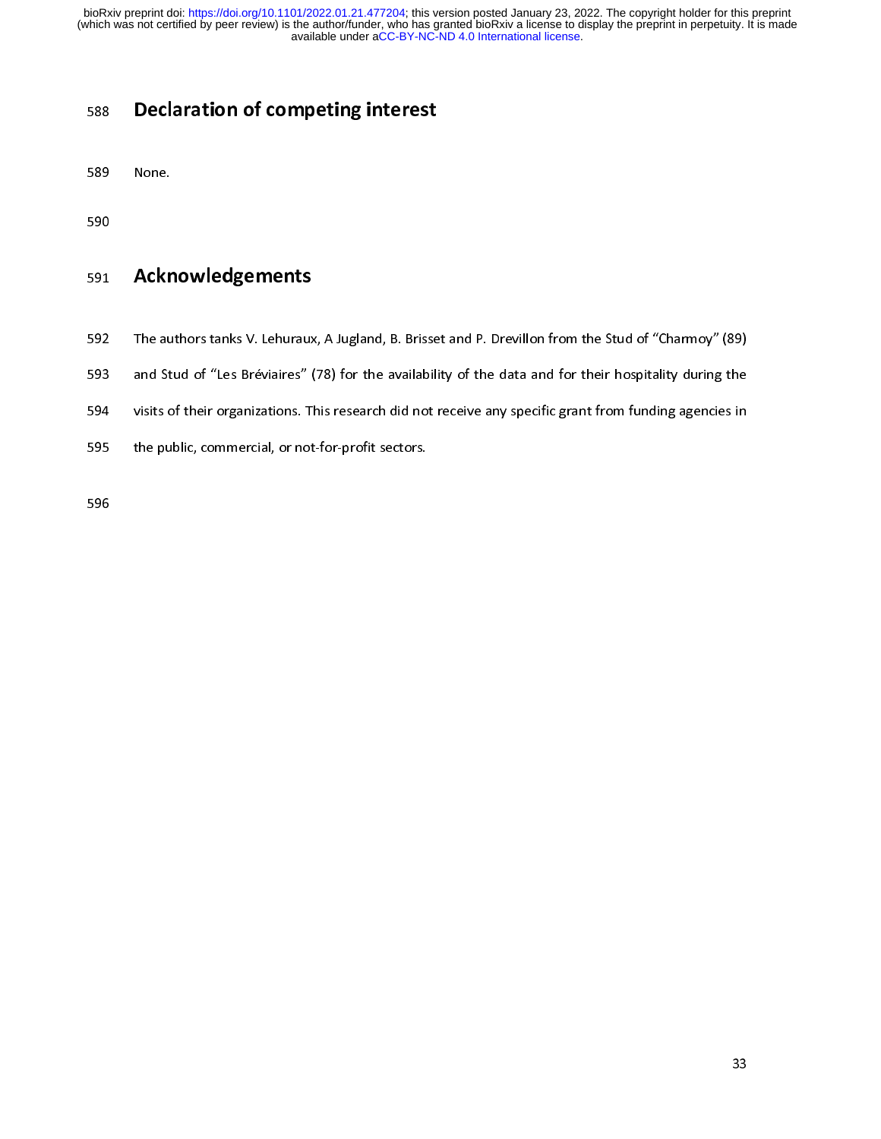## 590<br>591 **Ackr**<br>592 The au<br>593 and St<br>594 visits o<br>595 the pu 591<br>592<br>593<br>594<br>595<br>596

- 
- 
- Sos Declaration of competing interest<br>589 None.<br>591 **Acknowledgements**<br>592 The authors tanks V. Lehuraux, A Jugland, B. Brisse<br>593 and Stud of "Les Bréviaires" (78) for the availabili<br>594 visits of their organizations. Thi 593 and Stud of "Les Bréviaires" (78) for the availability of the data and for their hospitality during the<br>594 visits of their organizations. This research did not receive any specific grant from funding agencies in<br>595 594 busits of their organizations. This research did not receive any specific grant from funding agencies in<br>595 busits of their organizations. This research did not receive any specific grant from funding agencies in<br>595
- 591 **Acknowledgements**<br>592 The authors tanks V. Lehuraux<br>593 and Stud of "Les Bréviaires" (<br>594 visits of their organizations. The public, commercial, or not<br>596 595 the public, commercial, or not-for-profit sectors.<br>596 595 the public, commercial, or not-for-profit sectors.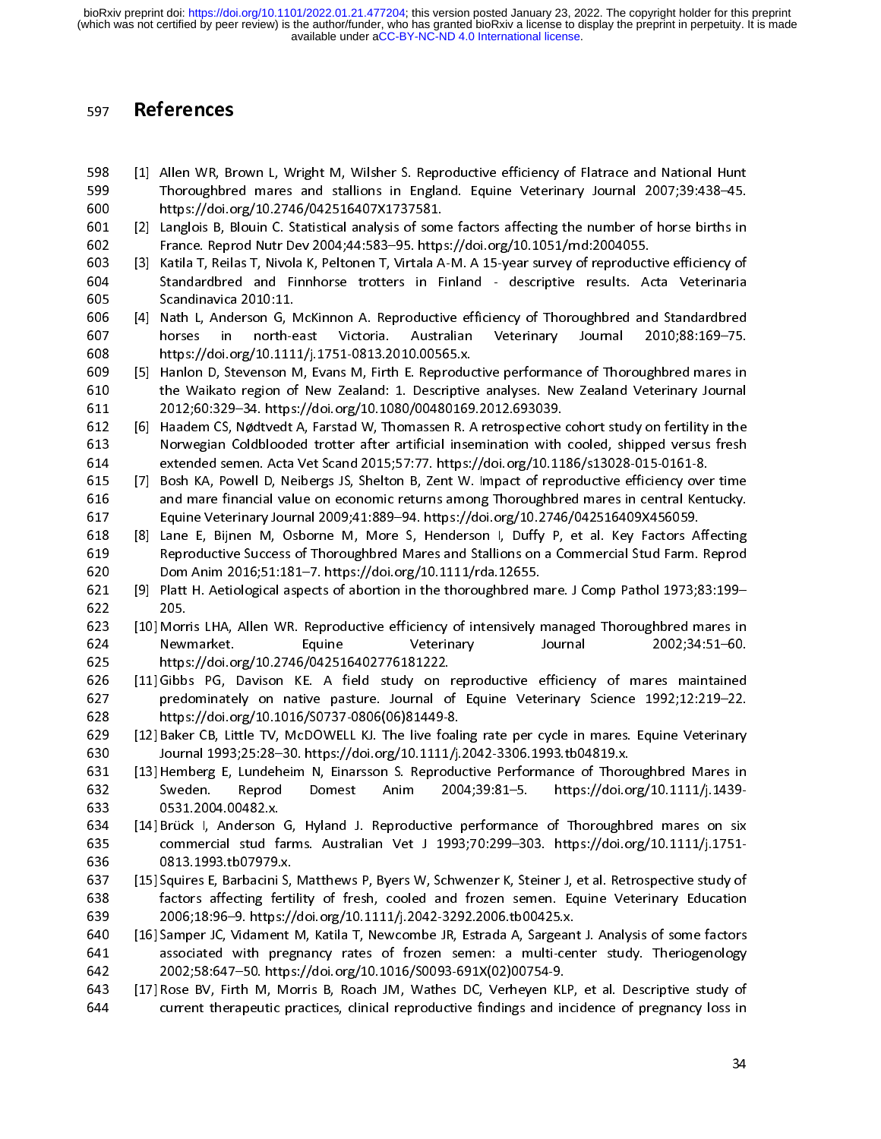- 
- 
- 
- 
- 598 [1] Allen WR, Br<br>599 Thoroughbre<br>600 https://doi.o<br>601 [2] Langlois B, B<br>602 France. Repro<br>603 [3] Katila T, Reila<br>604 Standardbrec<br>605 Scandinavica<br>606 [4] Nath L, Ande<br>607 horses in https://doi.o<br>609 [5] Hanlon D, St Thoroughbred mares and stallions in England. Equine Veterinary Journal 2007;39:438-45.<br>
1999 Thoroughbred mares and stallions in England. Equine Veterinary Journal 2007;39:438-45.<br>
191 Langlois B, Blouin C. Statistical ana 599 Thoroughbred mares and the Waikato regional Relations in Statistical analysis of some factors affecting the number of horse births in France. Reprod Nutr Dev 2004;44:583–55. https://doi.org/10.1051/md:2004055.<br>
509 Tat 601 [2] Langlois B, Blouin C. Statistical analysis of som<br>
France. Reprod Nutr Dev 2004;44:583-95. https://doi.org/10.11.<br>
600 fastala T, Reilas T, Nivola K, Peltonen T, Virtala A<br>
51 Katila T, Reilas T, Nivola K, Peltonen France. Reprod Nutr Dev 2004;44:583-95. https://doi.org/10.1051/md:2004055.<br>
France. Reprod Nutr Dev 2004;44:583-95. https://doi.org/10.1051/md:2004055.<br>
603 [3] Katila T, Reilas T, Nivola K, Peltonen T, Virtala A-M. A 15-(3) Katila T, Reilas T, Nivola K, Peltonen T, Virtala A-M. A 15-year survey of reproduct<br>
Softendardbred and Finnhorse trotters in Finland - descriptive results. Ac<br>
Scandinavica 2010:11.<br>
(4) Nath L, Anderson G, McKinnon Standardbred and Finnhorse trotters in Finland - descriptive results. Acta Veterinaria<br>
605 [4] Nath L, Anderson G, McKinnon A. Reproductive efficiency of Thoroughbred and Standardbred<br>
603 https://doi.org/10.1111/j.1751-0 605 Scandinavica 2010:11.<br>
606 [4] Nath L, Anderson G, McKinnon A. Reproductive efficiency of Thoroughbred and Standardbred<br>
607 horses in north-east Victoria. Australian Veterinary Journal 2010;88:169-75.<br>
609 https://doi 606 [4] Nath L, Anderson G, N<br>607 horses in north-6<br>608 https://doi.org/10.111<br>609 [5] Hanlon D, Stevenson N<br>610 the Waikato region of<br>611 2012;60:329-34. https<br>612 [6] Haadem CS, Nødtvedt<br>613 Norwegian Coldbloode<br>614 exte For interest of the morth-east Victoria. Australian Veterinary Journal 2010;88:169-75.<br>
608 [5] Handon D, Stevenson M, Evans M, Firth E. Reproductive performance of Thoroughbred mares in<br>
610 the Wakkato region of New Zeal 608 https://doi.org/10.1111/j.1751-0813.2010.00565.x.<br>
609 https://doi.org/10.1111/j.1751-0813.2010.00565.x.<br>
609 [5] Hanlon D, Stevenson M, Evans M, Firth E. Reproductive performance of Thoroughbred mares in<br>
610 the Wak Example 15 Hanlon D, Stevenson M, Evans M, Firth E. Reproduction<br>
610 the Waikato region of New Zealand: 1. Descriptive<br>
611 2012;60:329-34. https://doi.org/10.1080/00480169<br>
612 [6] Haadem CS, Nødtvedt A, Farstad W, Thoma
- 610 the Wakato region of New Zealand: 1. Descriptive analyses. New Zealand Veterinary Journal<br>
611 2012;60:329-34. https://doi.org/10.1080/00480169.2012.693039.<br>
611 Handem CS, Notherdt A, Farstad W, Thomassen R. A retrosp 811 2012;60:329-34. https://doi.org/10.1080/00480169.2012.693039.<br>
612 [6] Haadem CS, Nødtvedt A, Farstad W, Thomassen R. A retrospective cohort study on fertility in the Nowegian Coldblooded tortoter after artificial inse 612 [6] Haadem CS, Nødtvedt A, Farstad W, Thomassen R. A retrospective<br>
613 Norwegian Coldblooded trotter after artificial insemination with<br>
614 extended semen. Acta Vet Scand 2015;57:77. https://doi.org/10.11<br>
615 [7] Bo
- 
- Morwegian Coldblooded trotter after artificial insemination with cooled, shipped versus fresh<br>
614 extended semen. Acta Vet Scand 2015;57:77. https://doi.org/10.1186/s13028-015-0161-8.<br>
615 [7] Bosh KA, Powell D, Neibergs 614 extended semen. Acta Vet Scand 2015;57:77. https://doi.org/10.1186/s13028-015-0161-8.<br>
615 [7] Bosh KA, Powell D, Neibergs JS, Shelton B, Zent W. Impact of reproductive efficiency over time<br>
616 and mare financial valu 615 [7] Bosh KA, Powell D, Neibergs JS, Shelton B, Zent W. Impact of reproductive efficiency over and mare financial value on economic returns among Thoroughbred mares in central Kent<br>616 equine Veterinary Journal 2009;41 616 and mare financial value on economic returns among Thoroughbred mares in central Kentucky.<br>
617 Equine Veterinary Journal 2009;41:889–94. https://doi.org/10.2746/042516409X456059.<br>
618 [8] Lane E, Bijnen M, Osborne M, Equine Veterinary Journal 2009;41:889-94. https://doi.org/10.2746/042516409x456059.<br>
618 [8] Lane E, Bijnen M, Osborne M, More S, Henderson I, Duffy P, et al. Key Factors Affecting<br>
619 Reproductive Success of Thoroughbred 618 [8] Lane E, Bijnen M, Osborne M, More S, Henderson I, Duffy P, et al. Key Factors A:<br>
619 Reproductive Success of Thoroughbred Mares and Stallions on a Commercial Stud Farm.<br>
620 Dom Anim 2016;51:181–7. https://doi.or
- 
- 
- 619 Reproductive Success of Thoroughbred Mares and Stallions on a Commercial Stud Farm. Reprod<br>620 Dom Anim 2016;51:181-7. https://doi.org/10.1111/rda.12655.<br>621 [9] Plat H. Aetiological aspects of abortion in the thorough 620 Dom Anim 2016;51:181-7. https://doi.org/10.1111/rda.12655.<br>
621 [9] Platt H. Aetiological aspects of abortion in the thoroughbred mare. J Comp Pathol 1973;83:199-<br>
623 [10] Morris LHA, Allen WR. Reproductive efficiency 621 [9] Platt H. Aetiological aspects of abortion in the thoroughbred m<br>
622 205.<br>
623 [10] Morris LHA, Allen WR. Reproductive efficiency of intensively represented.<br>
625 https://doi.org/10.2746/042516402776181222.<br>
626 ht 622 205.<br>
623 [10] Morris LHA, Allen WR. Reproductive efficiency of intensively managed Thoroughbred mares in<br>
624 Newmarket. Equine Veterinary Successites of about 2002;34:51-60.<br>
625 Nttps://doi.org/10.2746/042516402776 623 [10] Morr<br>623 [10] Morr<br>625 https<br>625 https<br>626 [11] Gibb.<br>627 predd<br>628 https<br>630 [12] Bake<br>630 Jourr<br>631 [13] Hem<br>632 Swec<br>633 [14] Brücl<br>635 com<br>635 [14] Brücl<br>635 com<br>635 [15] Squire<br>635 [15] Squire Four Mewmarket. Equine Veterinary Journal 2002;34:51-60.<br>
625 https://doi.org/10.2746/042516402776181222.<br>
628 predominately on native pasture. Journal of Equine Veterinary Science 1992;12:219-22.<br>
623 https://doi.org/10.1 625 https://doi.org/10.2746/042516402776181222.<br>
625 https://doi.org/10.2746/042516402776181222.<br>
627 predominately on native pasture. Journal of Equine Veterinary Science 1992;12:219-22.<br>
628 https://doi.org/10.1016/50737 626 [11] Gibbs PG, Davison KE. A field study on predominately on native pasture. Journal of thtps://doi.org/10.1016/S0737-0806(06)81449-8<br>629 [12] Baker CB, Little TV, McDOWELL KJ. The live for Journal 1993;25:28–30. http
- 
- 627 [12] Gater CB, Little TV, McDOWELL KI, The live foreigner are setted in mares. Equine Veterinary<br>
629 [12] Baker CB, Little TV, McDOWELL KI. The live foaling rate per cycle in mares. Equine Veterinary<br>
632 [12] Baker C (12) Baker CB, Little TV, McDOWELL KJ. The live foali<br>
foat Journal 1993;25:28–30. https://doi.org/10.1111/j.<br>
(13) Hemberg E, Lundeheim N, Einarsson S. Reprodu<br>
Source Sweden. Reprod Domest Anim 200<br>
633 631.2004.00482.x. Fournal 1993;25:28-30. https://doi.org/10.1111/j.2042-3306.1993.tb04819.x.<br>
13] Hemberg E, Lundeheim N, Einarsson S. Reproductive Performance of Thoroughbred Mares in<br>
529 Soveden. Reproductive Team 2004;39:81-5. https:// 631 [13] Hemberg E, Lundeheim N, Einarsson S. Reproductive Performance of Thorco Sweden. Reprod Domest Anim 2004;39:81–5. https://doi.org/31.2004.00482.x.<br>633 0531.2004.00482.x.<br>635 12004.00482.x.<br>636 0813.1993.tb07979.x.
- 628 https://doi.org/10.1016/S0737-0806(06)81449-8.<br>
629 [12] Baker CB, Little TV, McDOWELL KJ. The live foaling rate per cycle in mares. Equine Veterinary<br>
629 [12] Baker CB, Little TV, McDOWELL KJ. The live foaling rate p Sauder (1) Hemberg E, Hemberg E, Natharan M, Katila T, Newcomberg E, Nathas DC, Nathas DC, Nathas Content Cases (114) Brück I, Anderson G, Hyland J. Reproductive performance of Thoroughbred mares on six<br>
631 [14] Brück I, 633 0531.2004.00482.x.<br>
634 [14] Brück I, Anderson G, Hyland J. Reproductive performance of Thoroughbred mares on six<br>
635 commercial stud farms. Australian Vet J 1993;70:299–303. https://doi.org/10.1111/j.1751-6<br>
638 0813 634 [14] Brück I, Anderson<br>635 commercial stud fa<br>636 0813.1993.tb07979.<br>637 [15] Squires E, Barbacini<br>638 factors affecting fe<br>639 2006;18:96–9. https<br>640 [16] Samper JC, Vidamen<br>641 associated with pr<br>642 2002;58:647–50.
- commercial stud farms. Australian Vet J 1993;70:299-303. https://doi.org/10.1111/j.1751-0813.1993.tb07979.x.<br>
[15] Squires F, Barbacini S, Matthews P, Byers W, Schwenzer K, Steiner J, et al. Retrospective study of<br>
factors 636 0813.1993.tb07979.x.<br>
636 0813.1993.tb07979.x.<br>
636 0813.1993.tb07979.x.<br>
637 [15] Squires E, Barbacini S, Matthews P, Byers W, Schwenzer K, Steiner J, et al. Retrospective study of<br>
638 2006;18:96–9. https://doi.org/1 637 [15] Squires E, Barbacini S,<br>638 factors affecting ferti<br>639 2006;18:96–9. https://<br>640 [16] Samper JC, Vidament<br>641 associated with preg<br>642 2002;58:647–50. https<br>643 [17] Rose BV, Firth M, Mc<br>644 current therapeutic
- Fractions affecting fertility of fresh, cooled and frozen semen. Equine Veterinary Education<br>
638 factors affecting fertility of fresh, cooled and frozen semen. Equine Veterinary Education<br>
640 [16] Samper JC, Vidament M, 2006;18:96–9. https://doi.org/10.1111/j.2042-3292.2006.tb00425.x.<br>
440 [16] Samper JC, Vidament M, Katila T, Newcombe JR, Estrada A, Sargeant J. Analysis of some factors<br>
442 associated with pregnancy rates of frozen semen 640 [16] Samper JC, Vidament M, Katila T, Newcombe JR, Estrada A, Sargeant associated with pregnancy rates of frozen semen: a multi-cen 2002;58:647–50. https://doi.org/10.1016/S0093-691X(02)00754-9.<br>
643 [17] Rose BV, Firt 641 associated with pregnancy rates of frozen semen: a multi-center study. Theriogenology<br>642 2002;58:647–50. https://doi.org/10.1016/S0093-691X(02)00754-9.<br>643 [17] Rose BV, Firth M, Morris B, Roach JM, Wathes DC, Verheye
- 642 2002;58:647-50. https://doi.org/10.1016/S0093-691X(02)00754-9.<br>
643 [17] Rose BV, Firth M, Morris B, Roach JM, Wathes DC, Verheyen KLP, et al. Descriptive study of<br>
644 current therapeutic practices, clinical reproduct 643 [17] Rose BV, Firth M, Morris B, Roach JM, Wathes DC, Verheyen KL<br>644 current therapeutic practices, clinical reproductive findings and in Figure 644 **Exercise By First Merapeutic practices**, clinical reproductive findings and incidence of pregnancy loss in<br>34  $\frac{64}{4}$  current therapeutic practices, clinical reproductive findings and incidence of pregnancy loss incidence of pregnancy loss incidence of pregnancy loss incidence of pregnancy loss incidence of pregnancy loss inci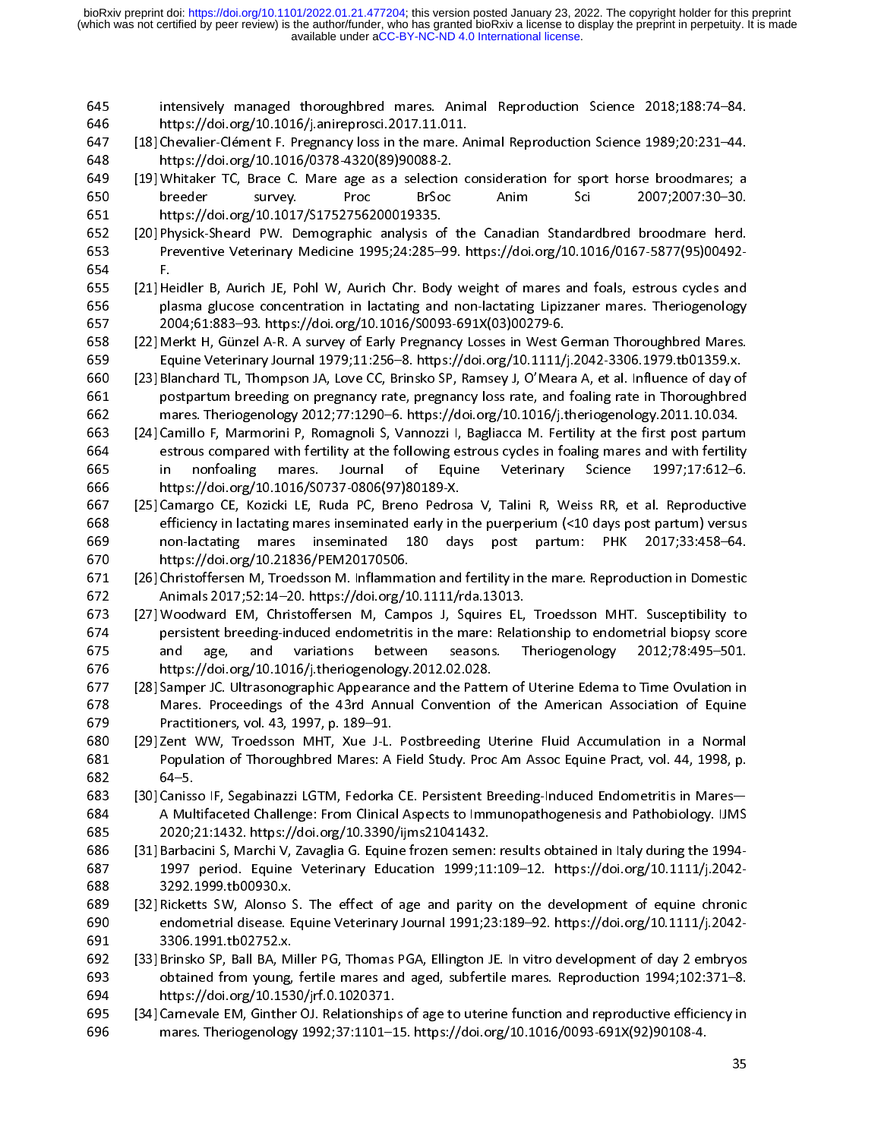- 
- 
- 
- 
- 646 https://doi.org/10.1016/j.anireprosci.2017.11.011.<br>
647 [18] Chevalier-Clément F. Pregnancy loss in the mare. Animal Reproduction Science 1989;20:231-44.<br>
648 https://doi.org/10.1016/0378-4320(89)90088-2.<br>
1919 Whitake 647 [18] Chevalier-Clément F. Pregnancy loss in the mare. A<br>
648 https://doi.org/10.1016/0378-4320(89)90088-2.<br>
649 [19] Whitaker TC, Brace C. Mare age as a selection chreeder survey. Proc BrSoc<br>
650 https://doi.org/10.10 648 [19] Whitaker TC, Brace C. Mare age as a selection consideration for sport horse broodmares; a treaty of the mare age as a selection consideration for sport horse broodmares; a breeder survey. Proce Brood 233.<br>
651 htt (19) Whitaker TC, Brace C. Mare age as a selection<br>
650 breeder survey. Proc BrSoc<br>
651 https://doi.org/10.1017/S1752756200019335.<br>
652 [20] Physick-Sheard PW. Demographic analysis of<br>
653 Preventive Veterinary Medicine 19
- 
- 
- Force BrSoc Anim Sci 2007;2007:30-30.<br>
https://doi.org/10.1017/S1752756200019335.<br>
[20] Physick-Sheard PW. Demographic analysis of the Canadian Standardbred broodmare herd.<br>
Free-trive Veterinary Medicine 1995;24:285-99. h 651 https://doi.org/10.1011/51752756200019335.<br>
[20] Physick-Sheard PW. Demographic analysis of the Canadian Standardbred broodmare herd.<br>
Freventive Veterinary Medicine 1995;24:285–99. https://doi.org/10.1016/0167-5877(95 652 [20] Physick-Sheard PW. Demographic analysis of<br>652 [20] Physick-Sheard PW. Demographic analysis of<br>653 Preventive Veterinary Medicine 1995;24:285-4<br>654 F.<br>655 [21] Heidler B, Aurich JE, Pohl W, Aurich Chr. Bod<br>656 pla Freentive Veterinary Medicine 1995;24:285–99. https://doi.org/10.1016/0167-5877(95)00492-<br>
F. (21) Heidler B, Aurich E, Pohl W, Aurich Chr. Body weight of mares and foals, estrous cycles and<br>
plasma glucose concentration i 655 [21] Heidler B, Aurich JE, Pohl W, Aurich Chr. Body weight of mares indicals, estrous cycles and<br>
plasma glucose concentration in latetting and non-lactating Lipizzaner mares. Theriogenology<br>
2004;61:883–93. https://do 655 [21] He<br>656 [21] He<br>656 222] M<sub>i</sub><br>658 [22] Mi<br>669 [23] Bl;<br>660 [23] Bl;<br>660 [24] Ca<br>663 [24] Ca<br>664 es in<br>665 in ht;<br>665 in ht;<br>666 for [25] Ca<br>668 eff no 2004;61:883–93. https://doi.org/10.1016/50093-691X(03)00279-6.<br>
658 [22] Merkt H, Günzel A-R. A survey of Early Pregnancy Losses in West German Thoroughbred Mares.<br>
660 [23] Blanchard TL, Thompson IA, Love CC, Brishos SP, 658 [22] Merkt H, Günzel A-R. A survey of Early Pregnancy Losses in West G<br>
659 Equine Veterinary Journal 1979;11:256–8. https://doi.org/10.1111/<br>
660 Equine Veterinary Journal 1979;11:256–8. https://doi.org/10.1111/<br>
660 Equine Veterinary Journal 1979;11:256–8. https://doi.org/10.1111/j.2042-3306.1979.tb01359.x.<br>
660 [23] Blanchard TL, Thompson JA, Love CC, Brinsko SP, Ramsey J, O'Meara A, et al. Influence of day of<br>
661 postpartum breedin 660 [23] Blanchard II, Thompson JA, Love CC, Brinsko SP, Ramsey J, O'Meara A, et al. Influence of day of postpartum breeding on pregnancy rate, pregnancy loss rate, and foaling rate in Thoroughbred mares. Theriogenology 20
- For plasma glucose concentration in lactating and non-lactating Lipizzaner mares. Theriogenology<br>
2004;61:883–93. https://doi.org/10.1016/50093-691X(03)00279-6.<br>
[22] Meine Veterinary Journal 1979;11:256–8. https://doi.org
- 
- For external on prognamove and the proposed and folling rate in Thoroughbred<br>
1661 postpartum breeding on pregnancy rate, pregnancy loss rate, and folding rate in Thoroughbred<br>
1662 mars. Theriogenology 2012;77:1290-6. htt mares. Theriogenology 2012;77:1290-6. https://doi.org/10.1016/j.theriogenology.2011.10.034.<br>
[24] Camillo F, Marmorini P, Romagnoli S, Vannozzi I, Bagliacca M. Fertility at the first post partum<br>
estrous compared with fert (24) Camillo F, Marmorini P, Romagnoli S, Vannozzi I, Bagliacca M. Fertility at the first post partumetros compared with fertility at the following estrous cycles in foaling mares and with fertility in nonfoaling mares. Io estrous compared with fertility at the following estrous cycles in foaling mares and with fertility<br>
in nonfoaling mares. Journal of Equine Veterinary Science 1997;17:612-6.<br>
https://doi.org/10.1016/S0737-0806(97)80189-X.<br> in nonfoaling mares. Journal of Equine Veterinary Science 1997;17:612-6.<br>
666 https://doi.org/10.1016/S0737-0806(97)80189-X.<br>
[25] Camargo CE, Kozicki LE, Ruda PC, Breno Pedrosa V, Talini R, Weiss RR, et al. Reproductive<br> 666 https://doi.org/10.1016/S0737-0806(97)80189-X.<br>
666 https://doi.org/10.1016/S0737-0806(97)80189-X.<br>
667 [25] Camargo CE, Kozicki LE, Ruda PC, Breno Pedrosa V, Talini R, Weiss RR, et al. Reproductive<br>
efficiency in lact [25] Camargo CE, Kozicki LE, Ruda PC, Breno Pedro:<br>668 efficiency in lactating mares inseminated early in<br>669 non-lactating mares inseminated 180 day<br>670 https://doi.org/10.21836/PEM20170506.<br>671 [26] Christoffersen M, Tro efficiency in lactating mares inseminated early in the puerperium (<10 days post partum) versus<br>
669 enthus://doi.org/10.21836/PEM20170506.<br>
1025 Christoffersen M, Tredsson M. Inflamation and fertility in the mare. Reprodu for mon-lactating mares inseminated 180 days post partum: PHK 2017;33:458-64.<br>
669 non-lactating mares inseminated 180 days post partum: PHK 2017;33:458-64.<br>
671 [26] Christoffersen M, Troedsson M. Inflammation and fertili 670 https://doi.org/10.21836/PEM20170506.<br>
[26] Christoffersen M, Troedsson M. Inflammation and fertility in the mare. Reproduction in Domestic<br>
26) Christoffersen M, Troedsson M. Inflammation and fertility in the mare. Re (26) Christoffersen M, Troedsson M. Inflamma<br>
672 Animals 2017;52:14–20. https://doi.org/1<br>
673 (27) Woodward EM, Christoffersen M, Cam<br>
persistent breeding-induced endometritis<br>
675 and age, and variations betwe<br>
https:// Animals 2017;52:14-20. https://doi.org/10.1111/rda.13013.<br>
(27) Woodward EM, Christoffersen M, Campos J, Squires EL, Troedsson MHT. Susceptibility to<br>
persistent breeding-induced endometritis in the mare: Relationship to e 27] Woodward EM, Christoffersen M, Campos J, Squires EL,<br>
673 [27] Woodward EM, Christoffersen M, Campos J, Squires EL,<br>
675 and age, and variations between seasons. The hunse://doi.org/10.1016/j.theriogenology.2012.02.028 ersistent breeding-induced endometritis in the mare: Relationship to endometrial biopsy score<br>
and age, and variations between seasons. Theriogenology 2012;78:495-501.<br>
https://doi.org/10.1016/j:theriogenology.2012.02.028.
- F675 and age, and variations between seasons. Theriogenology 2012;78:495-501.<br>
676 and age, and variations between seasons. Theriogenology 2012;78:495-501.<br>
676 and age, and variations of the 43rd Annual Convention of the 676 https://doi.org/10.1016/j.theriogenology.2012.02.028.<br>
676 https://doi.org/10.1016/j.theriogenology.2012.02.028.<br>
677 [28] Samper JC. Ultrasonographic Appearance and the Pattern of Uterine Edema to Time Ovulation in<br>
6 (28) Samper JC. Ultrasonographic Appearance and the Patte<br>
677 [28] Samper JC. Ultrasonographic Appearance and the Patte<br>
678 Mares. Proceedings of the 43rd Annual Convention<br>
679 Practitioners, vol. 43, 1997, p. 189–91.<br>
- 
- Mares. Proceedings of the 43rd Annual Convention of the American Association of Equine<br>
Fractitioners, vol. 43, 1997, p. 189–91.<br>
880 [29] Zent WW, Troedsson MHT, Xue J-L. Postbreeding Uterine Fluid Accumulation in a Norm Fractitioners, vol. 43, 1997, p. 189–91.<br>
680 [29] Zent WW, Troedsson MHT, Xue J-L. Postbreeding Uterine Fluid Accumulation in a Normal<br>
681 For the 45rd Seaple Mares. A Field Study. Proc Am Assoc Equine Pract, vol. 44, 19 680 [29] Zent WW, Troedsson MHT, Xue J-L.<br>681 Population of Thoroughbred Mares: A<br>682 64–5.<br>683 [30] Canisso IF, Segabinazzi LGTM, Fedorka<br>684 A Multifaceted Challenge: From Clinica<br>685 2020;21:1432. https://doi.org/10.339 Foundation of Thoroughbred Mares: A Field Study. Proc Am Assoc Equine Pract, vol. 44, 1998, p.<br>
682 [30] Canisso IF, Segabinazzi LGTM, Fedorka CE. Persistent Breeding-Induced Endometritis in Mares—<br>
681 A Multifaceted Chal 682 64-5.<br>
683 [30] Canisso IF, Segabinazi LGTM, Fedorka CE. Persistent Breeding-Induced Endometritis in Mares—<br>
684 A Multifaceted Challenge: From Clinical Aspects to Immunopathogenesis and Pathobiology. UMS<br>
686 644 Mult 683 [30] Caniss<br>
684 A Mul<br>
685 2020;;<br>
686 [31] Barbaa<br>
687 1997<br>
688 3292.:<br>
689 [32] Ricket<br>
690 3306.:<br>
691 3306.:<br>
692 [33] Brinsk obtain<br>
694 https:,<br>
695 [34] Carnew<br>
696 mares
- 
- 684 A Multifaceted Challenge: From Clinical Aspects to Immunopathogenesis and Pathobiology. UMS<br>
685 2020;21:1432. https://doi.org/10.3390/ijms21041432.<br>
685 [31] Barbacini S, Marchi V, Zavaglia G. Equine frozen semen: res 2020;21:1432. https://doi.org/10.3390/ijms21041432.<br>
686 [31] Barbacini S, Marchi V, Zavaglia G. Equine frozen semen: results obtained in Italy during the 1994-<br>
687 1997 period. Equine Veterinary Education 1999;11:109-12. 986 [31] Barbacini S, Marchi V, Zavaglia G. Equine frozen semen<br>
687 1997 period. Equine Veterinary Education 1999;11<br>
688 3292.1999.tb00930.x.<br>
589 [32] Ricketts SW, Alonso S. The effect of age and parity<br>
960 endometrial 687 [32] Abroad Equine Veterinary Education 1999;11:109–12. https://doi.org/10.1111/j.2042-<br>688 [32] Ricketts SM, Alonso S. The effect of age and parity on the development of equine chronic<br>690 endometrial disease. Equine 688 3292.1999.tb00930x.<br>
688 3292.1999.tb00930x.<br>
687 1997.tb00930x.<br>
689 52 3 Ricketts SW, Alonso S. The effect of age and parity on the development of equine chronic<br>
endometrial disease. Equine Veterinary Journal 1991;2 689 [32] Ricketts SW, Alonso S<br>690 endometrial disease. E<br>691 3306.1991.tb02752.x.<br>692 [33] Brinsko SP, Ball BA, M<br>693 obtained from young,<br>694 https://doi.org/10.153<br>695 [34] Carnevale EM, Ginther<br>696 mares. Theriogenolog
- endometrial disease. Equine Veterinary Journal 1991;23:189–92. https://doi.org/10.1111/j.2042-<br>
3306.1991.tb02752.x.<br>
(33] Brinsko SP, Ball BA, Miller PG, Thomas PGA, Ellington JE. In vitro development of day 2 embryos<br>
ob 3306.1991.tb02752.x.<br>
692 [33] Brinsko SP, Ball BA, Miller PG, Thomas PGA, Ellington JE. In vitro development of day 2 embryos<br>
693 obtained from young, fertile mares and aged, subfertile mares. Reproduction 1994;102:371–8 692 [33] Brinsko SP, Ball BA, M<br>693 obtained from young,<br>694 https://doi.org/10.153<br>695 [34] Carnevale EM, Ginther<br>696 mares. Theriogenology 693 obtained from young, fertile mares and aged, subfertile mares. Reproduction 1994;102:371–8.<br>694 https://doi.org/10.1530/jrf.0.1020371.<br>695 [34] Carnevale EM, Ginther OJ. Relationships of age to uterine function and rep
- 694 https://doi.org/10.1530/jrf.0.1020371.<br>
695 [34] Carnevale EM, Ginther OJ. Relationships of age to uterine function and reproductive efficiency in<br>
696 mares. Theriogenology 1992;37:1101–15. https://doi.org/10.1016/00 695 [34] Carnevale EM, Ginther OJ. Relationship<br>696 mares. Theriogenology 1992;37:1101–1<br> $\frac{1}{2}$ mares. Theriogenology 1992;37:1101-15. https://doi.org/10.1016/0093-691X(92)90108-4.<br>
35 696 mares. Theriogenology 1992;37:1101–15. https://doi.org/10.1016/0093-691X(92)90108-4.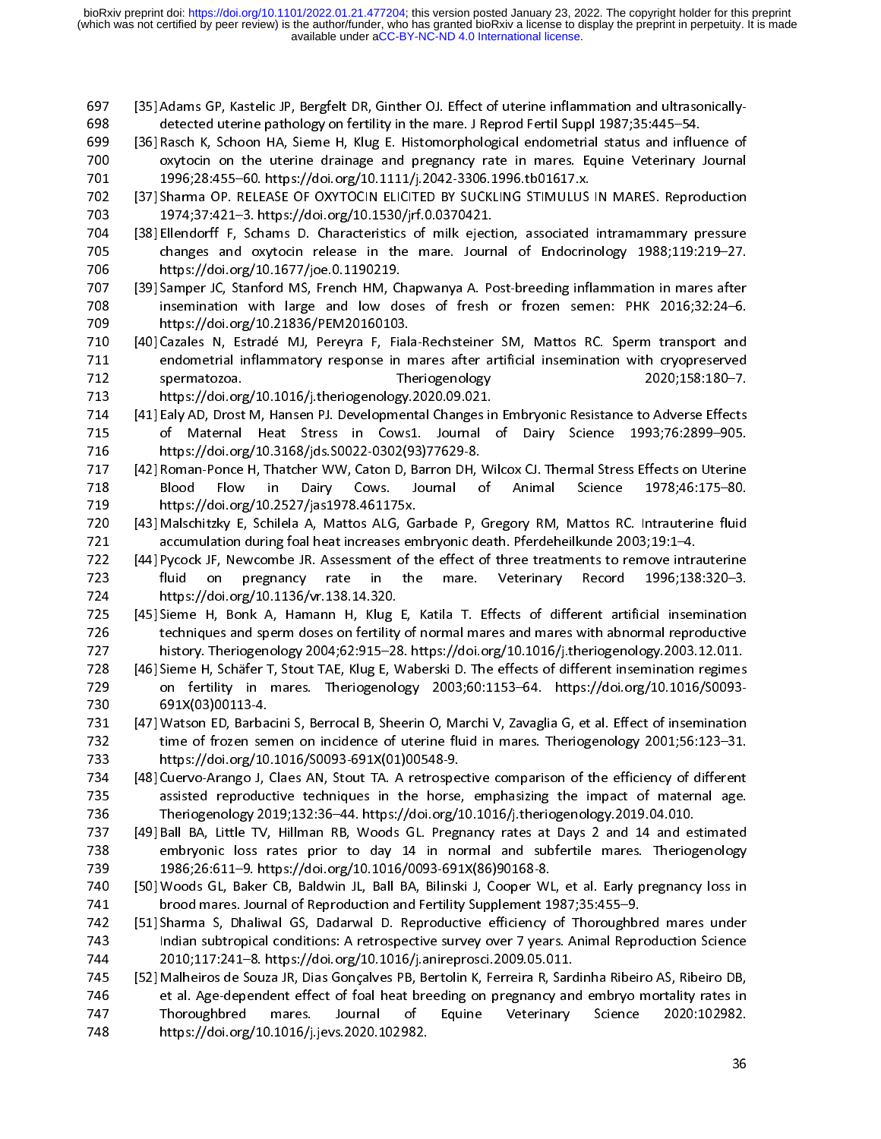- 697 [35] Adams GP, Kastelic JP, Bergfelt DR, Ginther OJ. Effect of uterine inflammation and ultrasonically-
- 
- 
- 
- 
- (36) Rasch K, Schoon HA, Sieme H, Klug E. Histomorphological endometrial status and influe oxytocin on the uterine drainage and pregnancy rate in mares. Equine Veterinary 1996;28:455-60. https://doi.org/10.1111/j.2042-3306 696,28:455–60. https://doi.org/10.1111/j.2042-3306.1996.tb01617.x.<br>
1996;28:455–60. https://doi.org/10.1111/j.2042-3306.1996.tb01617.x.<br>
137] Sharma OP. RELEASE OF OXYTOCIN ELICITED BY SUCKILNG STIMULUS IN MARES. Reproduct 1996;28:455–60. https://doi.org/10.1111/j.2042-3306.1996.tb01617.x.<br>
1996;28:455–60. https://doi.org/10.1111/j.2042-3306.1996.tb01617.x.<br>
1974;37:421-3. https://doi.org/10.1530/jrf.0.0370421.<br>
138] Ellendoff F, Schans D. C 2022 (37) Sharma OP. RELEASE OF OXYTOCIN ELICITED BY SUCKLING STIMULUS<br>
2023 1974;37:421-3. https://doi.org/10.1530/jrf.0.0370421.<br>
203 Ellendorff F, Schams D. Characteristics of milk ejection, associated<br>
2015 changes and 1974;37:421-3. https://doi.org/10.1530/jrf.0.0370421.<br>
1974;37:421-3. https://doi.org/10.1530/jrf.0.0370421.<br>
1988;119:219-27. doi.org/10.167/joe.0.1190219.<br>
1988;119:219-27. doi.org/10.167/joe.0.1190219.<br>
1970 sharper JC, 704 [38] Ellendorff F, Schams D. Characteristics of milk eject<br>
705 changes and oxytocin release in the mare. Journ<br>
706 https://doi.org/10.1677/joe.0.1190219.<br>
707 139] Samper JC, Stanford MS, French HM, Chapwanya A. Pc<br> 705<br>
The characteristics of Material and Material and Material of Endocrinology 1988;119:219–27.<br>
2705 (39) Samper JC, Stanford MS, French HM, Chapwanya A. Post-breeding inflammation in mares after<br>
1707 [39] Samper JC, St 706 https://doi.org/10.31677/joe.0.1190219.<br>
707 [39] Samper JC, Stanford MS, French HM, Chapwanya A. Post-breeding inflammation in mares after<br>
1708 intensic/loi.org/10.1677/joe.0.1190219.<br>
7078 https://doi.org/10.1836/PE 707 [39] Samper JC, Stanford MS, French HM, Class<br>
707 [39] Samper JC, Stanford MS, French HM, Class<br>
708 https://doi.org/10.21836/PEM20160103<br>
710 [40] Cazales N, Estradé MJ, Pereyra F, Fia<br>
211 endometrial inflammatory r 708 insemination with large and low doses of fresh or frozen semen: PHK 2016;32:24-6.<br>
709 intps://doi.org/10.21836/PEM20160103.<br>
710 [40] Cazales N, Estradé MJ, Pereyra F, Filala-Rechsteiner SM, Mattos RC. Sperm transport 709 https://doi.org/10.21836/PEM20160103.<br>
710 [40] Cazales N, Estradé MJ, Pereyra F, Fiala-Rechsteiner SM, Mattos RC. Sperm transport and endometrial inflammatory response in mares after artificial insemination with cryop 710 [40] Cazales N, Estradé MJ, Pereyra F, Fiali<br>
2710 [40] Cazales N, Estradé MJ, Pereyra F, Fiali<br>
2711 endometrial inflammatory response in r<br>
2712 spermatozoa. The transmitted of the transmitter of Maternal Heat Stress
- 
- 697 [356] https://doi.org/10.1016/j.theriogenology.2020.09.021.<br>1957 [41] Ealy AD, Drost M, Hansen PJ. Developmental Changes in Embryonic Resistance to Adverse Effects
- 
- 
- 711 endometrial inflammatory response in mares after artificial insemination with cryopreserved<br>
712 https://doi.org/10.1016/j.theriogenology.2020.09.021.<br>
713 https://doi.org/10.1016/j.theriogenology.2020.09.021.<br>
714 [41 712 spermatozoa. Theriogenology 2020.03.188.180-7.<br>
712 spermatozoa. Theriogenology.2020.09.021.<br>
714 [41] Ealy AD, Drost M, Hansen PJ. Developmental Changes in Embryonic Resistance to Adverse Effects<br>
715 of Maternal Heat 713 https://doi.org/10.1016/j.theriogenology.2020.09.021.<br>
713 https://doi.org/10.1016/j.theriogenology.2020.09.021.<br>
714 [41] Ealy AD, Drost M, Hansen PJ. Developmental Changes in Embryonic Resistance to Adverse Effects<br> 14 [41] Ealy AD, Drost M, Hansen PJ. Developmental Changes ir<br>
715 of Maternal Heat Stress in Cows1. Journal<br>
716 https://doi.org/10.3168/jds.S0022-0302(93)77629-8.<br>
717 [42] Roman-Ponce H, Thatcher WW, Caton D, Barron DH, 715 of Maternal Heat Stress in Cows1. Journal of Dairy Science 1993;76:2899-905.<br>
716 https://doi.org/10.3168/jds.S0022-0302(93)77629-8.<br>
717 Roman-Ponce H, Thatcher WW, Caton D, Barron DH, Wilcox CJ. Thermal Stress Effect 716 https://doi.org/10.3168/jds.S0022-0302(93)77629-8.<br>
717 (42) Roman-Ponce H, Thatcher WW, Caton D, Barron DH, Wilcox CJ. Thermal Stress Effects on Uterine<br>
81060 Flow in Dairy Cows. Journal of Animal Science 1978;46:175 717 [42] Roman-Ponce H, Thatcher WW, Caton D, Barron DH, 718 Blood Flow in Dairy Cows. Journal c<br>719 https://doi.org/10.2527/jas1978.461175x.<br>720 [43] Malschitzky E, Schilela A, Mattos ALG, Garbade P, 1<br>721 accumulation du
- 
- 
- 718 Blood Flow in Dairy Cows. Journal of Animal Science 1978;46:175-80.<br>
718 Blood Flow in Dairy Cows. Journal of Animal Science 1978;46:175-80.<br>
719 Masschizzky E, Schilela A, Mattos ALG, Garbade P, Gregory RM, Mattos RC. 119 https://doi.org/10.2527/jas1978.461175x.<br>
720 [43] Malschitzky E, Schilela A, Mattos ALG, Garbade P, Gregory RM, Mattos RC. Intrauterine fluid<br>
721 accumulation during foal heat increases embryonic death. Pferdeheilkun 720 [43] Malschitzky E, Schilela A, Mattos ALG, Ga<br>
722 accumulation during foal heat increases em<br>
722 [44] Pycock JF, Newcombe JR. Assessment of t<br>
7123 fluid on pregnancy rate in the<br>
1724 https://doi.org/10.1136/vr.13 721 accumulation during foal heat increases embryonic death. Pferdeheilkunde 2003;19:1-4.<br>
722 [44] Pycock JF, Newcombe JR. Assessment of the effect of three treatments to remove intrauterine<br>
723 fulled on pregnancy rate 144] Pycock JF, Newcombe JR. Assessment of the effect of three treatments to remove intraction the maritims of the maritims of the maritims of 1996;138<br>
1724 https://doi.org/10.1136/vr.138.14.320.<br>
1725 [45] Sieme H, Bonk 723 fluid on pregnancy rate in the mare. Veterinary Record 1996;138:320-3.<br>
724 fluid on pregnancy rate in the Mug E, Katila T. Effects of different artificial insemination<br>
725 f45] Sieme H, Bonk A, Hamann H, Klug E, Kat 725 [45] Sieme H, Bonk A, Hamann H, Klug<br>
rechniques and sperm doses on fertility<br>
history. Theriogenology 2004;62:915–28<br>
[46] Sieme H, Schäfer T, Stout TAE, Klug E, V<br>
on fertility in mares. Theriogenology<br>
730 691X(03)0 Firstory. The mares and specifies and the specifies of different insemination regimes<br>
1727 instory. The mares and fertility in mares. The marge on fertility in mares and fertility of normal reproductive technique in the e 728 [46] Sieme H, Schäfer T, Stout TAE, Klug E, Waberski D. The effects of different insemination regimes<br>
729 on fertility in mares. Theriogenology 2003;60:1153–64. https://doi.org/10.1016/S0093-<br>
691X(03)00113-4.<br>
730 fo 729 on fertility in mares. Theriogenology 2003;60:1153-64. https://doi.org/10.1016/50093-<br>
729 on fertility in mares. Theriogenology 2003;60:1153-64. https://doi.org/10.1016/50093-<br>
731 L47] Watson ED, Barbacini S, Berroca 891X(03)00113-4.<br>
731 (47) Watson ED, Barbacini S, Berrocal B, Sheerine fluid in mares. Theriogenology 2001;56:123–31.<br>
1732 thttps://doi.org/10.1016/S0093-691X(01)00548-9.<br>
783 thtps://doi.org/10.1016/S0093-691X(01)00548-731 [47] Watson ED, Barbar<br>
732 time of frozen ser<br>
733 https://doi.org/10<br>
734 [48] Cuervo-Arango J, 1<br>
735 assisted reproduce<br>
736 Theriogenology 20<br>
737 [49] Ball BA, Little TV,<br>
738 embryonic loss r<br>
739 1986;26:611–9.
- 
- 724 https://doi.org/10.1136/vr.138.14.320.<br>
725 [45] Sieme H, Bonk A, Hamann H, Klug E, Katila T. Effects of different artificial insemination<br>
726 lehniques and sperm doses on fertility of normal mares and mares with abou rechniques and sperm doses on fertility of normal mares and mares with abnormal reproductive<br>
history. Theriogenology 2004;62:915–28. https://doi.org/10.1016/j.theriogenology.2003.12.011.<br>
728 [46] Sieme H, Schäfer T, Stou
- 
- 
- 732 time of frozen semen on incidence of uterine fluid in mares. Theriogenology 2001;56:123–31.<br>
733 https://doi.org/10.1016/S0093-691X(01)00548-9.<br>
734 [48] Cuervo-Arango J, Class AN, Stout TA. A retrospective comparison 733 https://doi.org/10.1016/S0093-691X(01)00548-9.<br>
733 https://doi.org/10.1016/S0093-691X(01)00548-9.<br>
734 [48] Cuervo-Arango J, Claes AN, Stout TA. A retrospective comparison of the efficiency of different<br>
735 Theriogen 134 [48] Cuervo-Arango J, Claes AN, Stout TA. A retrosped<br>
135 assisted reproductive techniques in the horse,<br>
135 Theriogenology 2019;132:36–44. https://doi.org/1<br>
1373 [49] Ball BA, Little TV, Hillman RB, Woods GL. Pregr 735 assisted reproductive techniques in the horse, emphasizing the impact of maternal age.<br>
748 Theriogenology 2019;132:36–44. https://doi.org/10.1016/j.theriogenology.2019.04.010.<br>
749 Ball BA, Little TV, Hillman RB, Wood The independent of the horse, the horse, the horse, the horse of the horse of the horse of the horse of the horse of the horse of the horse of the horse of the horse of the horse of the horse of the horse of the horse of t 149|Ball BA, Little TV, Hillman RB, Woods GL. Pregnancy rates at Days 2 and 14 and es<br>
embryonic loss rates prior to day 14 in normal and subfertile mares. Theriog<br>
1986;26:611-9. https://doi.org/10.1016/0093-691X(86)90168 manyonic loss rates prior to day 14 in normal and subfertile mares. Theriogenology<br>
1986;26:611-9. https://doi.org/10.1016/0093-691X(86)90168-8.<br>
160 IWoods GL, Baker CB, Baldwin JL, Ball BA, Bilinski J, Cooper WL, et al. 1986;26:611-9. https://doi.org/10.1016/0093-691X(86)90168-8.<br>
740 [50] Woods GL, Baker CB, Baldwin JL, Ball BA, Bilinski J, Cooper WL, et al. Early pregnancy loss in<br>
1741 brood mares. Journal of Reproduction and Fertility 739 1986;26:611–9. https://doi.org/10.1016/0093-691X(86)90168-8. Fraction Marias. Journal of Reproduction and Fertility Supplement 1987;35:455–9.<br>
742 [51] Sharma S, Dhaliwal GS, Dadarwal D. Reproductive efficiency of Thoroughbred mares under<br>
1743 Indian subtropical conditions: A retro 1742 [51] Sharma S, Dhaliwal GS, Dadarwal D. Reproductive efficiency of Thoroughbh<br>
1743 Indian subtropical conditions: A retrospective survey over 7 years. Animal Repr<br>
1744 2010;117:241–8. https://doi.org/10.1016/j.anire The Transmutricular conditions: A retrospective survey over 7 years. Animal Reproduction Science<br>
2010;117:241–8. https://doi.org/10.1016/j.anireprosci.2009.05.011.<br>
745 [52] Malheiros de Souza JR, Dias Gonçalves PB, Berto 744 2010;117:241–8. https://doi.org/10.1016/j.anireprosci.2009.05.011.<br>
745 [52] Malheiros de Souza JR, Dias Gonçalves PB, Bertolin K, Ferreira R, Sardinha Ribeiro AS, Ribeiro DB,<br>
746 et al. Age-dependent effect of foal h 745 [52] Malheiros de Souza JR, Dias Gonçalves PB, Bertolin K, Ferreira R, Sarcet al. Age-dependent effect of foal heat breeding on pregnancy and<br>747 Thoroughbred mares. Journal of Equine Veterinary<br>748 https://doi.org/10. et al. Age-dependent effect of foal heat breeding on pregnancy and embryo mortality rates in<br>
Thoroughbred mares. Journal of Equine Veterinary Science 2020:102982.<br>
https://doi.org/10.1016/j.jevs.2020.102982.<br>
36 747 Thoroughbred mares. Journal of Equine Veterinary Science 2020:102982.<br>
https://doi.org/10.1016/j.jevs.2020.102982.<br>
36  $748$  https://doi.org/10.1016/j.jevs.2020.102982.<br>36  $\frac{1}{2}$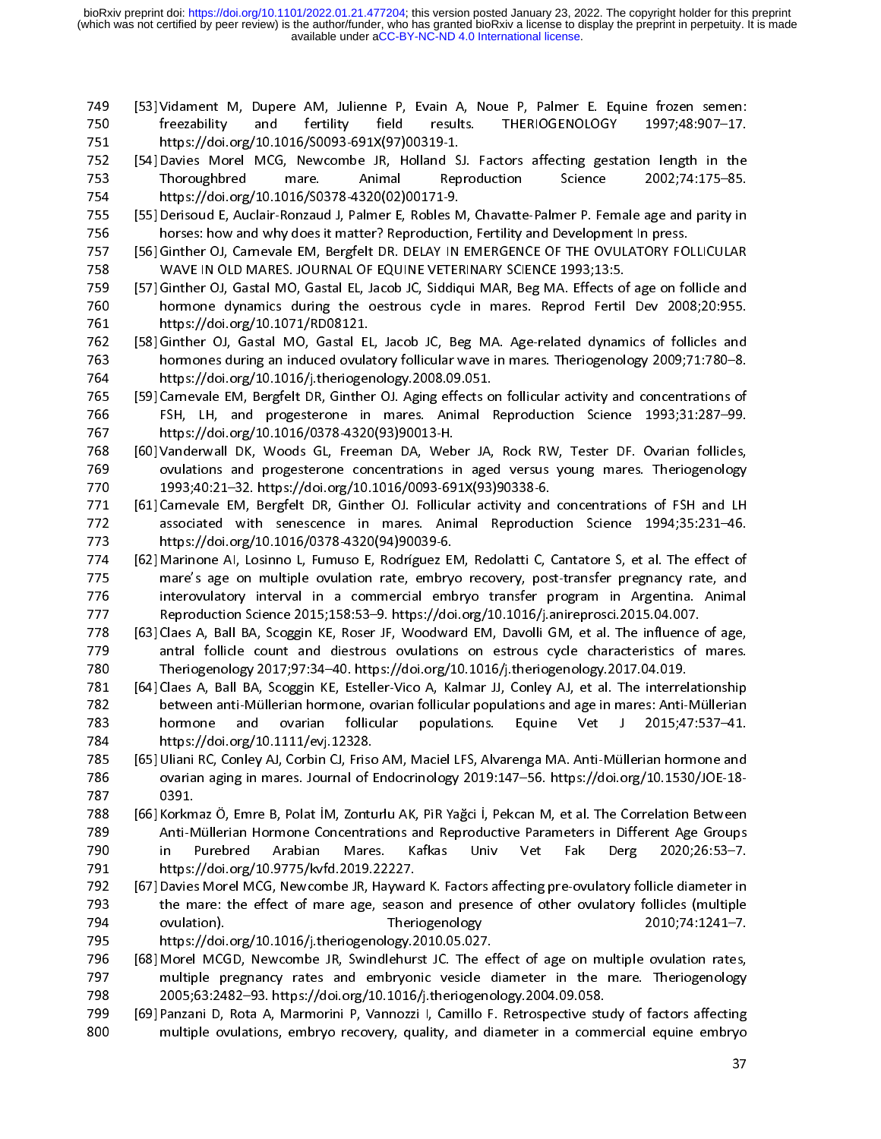- 
- 
- 
- 
- 759 [57] Content M, Metallity and fertility field results. THERIOGENOLOGY 1997;48:907-17.<br>
751 thtps://doi.org/10.1016/S0093-691X(97)00319-1.<br>
752 [54] Davies Morel MCG, Newcombe JR, Holland SJ. Factors affecting gestation 751 https://doi.org/10.1016/S0093-691X(97)00319-1.<br>
752 [54] Davies Morel MCG, Newcombe JR, Holland SJ. Factors affecting gestation length in the<br>
753 Thoroughbred mare. Animal Reproduction Science 2002;74:175-85.<br>
755 htt 752 [54] Davies Morel MCG, Newcombe JR, Holland S<br>
753 Thoroughbred mare. Animal Rep<br>
1754 https://doi.org/10.1016/S0378-4320(02)00171-9.<br>
755 [55] Derisoud E, Auclair-Ronzaud J, Palmer E, Robles Norses: how and why does i Thoroughbred mare. Animal Reproduction Science 2002;74:175-85.<br>
752 [55] Derisoud E, Auclair-Ronzaud J, Palmer E, Robles M, Chavatte-Palmer P. Female age and parity in<br>
755 [56] Derisoud E, Auclair-Ronzaud J, Palmer E, Rob https://doi.org/10.1016/S0378-4320(02)00171-9.<br>
755 [55] Derisoud E, Auclair-Ronzaud J, Palmer E, Robles M, Chavatte-Palmer P. Female age and parity in<br>
755 [56] Ginther OJ, Carnevale EM, Bergfelt DR. DELAY IN EMENGENCE O 755 [55] Derisoud E, Auclair-Ronzaud J, Palmer E, Robles N<br>
755 horses: how and why does it matter? Reproduction<br>
757 [56] Ginther OJ, Carnevale EM, Bergfelt DR. DELAY IN<br>
778 WAVE IN OLD MARES. JOURNAL OF EQUINE VETER<br>
76 1756 Intersects in Market States (Specifical Market States Market States M, Bergelet DR, Derison C, Carnevale EM, Bergelet DR, DELAY IN EMERGENCE OF THE OVULATORY FOLLICULAR<br>1755 [55] Ginther OJ, Garatal MO, Garatal L, Lac 757 [56] Ginther OJ, Carnevale EM, Bergfelt DR. DELAY IN EMERGENCE OF THE OVULATORY FOJ<br>
WAVE IN OLD MARES. JOURNAL OF EQUINE VETERINARY SCIENCE 1993;13:5.<br>
759 [57] Ginther OJ, Gastal MO, Gastal EL, Jacob JC, Siddiqui MAR 758 WAVE IN OLD MARES. JOURNAL OF EQUINE VETERINARY SCIENCE 1993;13:5.<br>
759 [57] Ginther OJ, Gastal MO, Gastal EL, Jacob JC, Siddiqui MAR, Beg MA. Effects of age on follicle and<br>
760 hormone dynamics during the oestrous cy (57) (11) The matrix of the state of the state of the state of the state of the state of the state of the state of the state of the state of the state of the state of the state of the state of the state of the state of the
- 760 hormone dynamics during the oestrous cycle in mares. Reprod Fertil Dev 2008;20:955.<br>
761 https://doi.org/10.1071/RD08121.<br>
762 [58] Ginther OJ, Gastal MO, Gastal EL, Jacob JC, Beg MA. Age-related dynamics of follicles
- 
- 
- 
- 761 https://doi.org/10.1071/RD08121.<br>
762 [58] Ginther OJ, Gastal MO, Gastal EL, Jacob JC, Beg MA. Age-related dynamics of follicles and<br>
hormones during an induced ovulatory follicular wave in mares. Theriogenology 2009; 762 [58] Ginther OJ, Gastal MO, Gastal El<br>
1763 hormones during an induced ovula<br>
1763 https://doi.org/10.1016/j.therioger<br>
1765 [59] Carnevale EM, Bergfelt DR, Ginthe<br>
1767 https://doi.org/10.1016/0378-4320<br>
1767 https:// 1632 follicular wave in mares. Theriogenology 2009;71:780–8.<br>
1625 https://doi.org/10.1016/j.theriogenology 2008.09.051.<br>
1625 [59] Garnevale EM, Bergfelt DR, Ginther OJ. Aging effects on follicular activity and concentrat 164<br>
https://doi.org/10.1016/j.theriogenology.2008.09.051.<br>
1655 [59] Carnevale EM, Bergfelt DR, Ginther OJ. Aging effects on follicular activity and concentrations of<br>
1676 FSH, LH, and progesterone in mares. Animal Repro 165 [59] Carnevale EM, Bergfelt DR, Ginther OJ. Aging effects on FSH, LH, and progesterone in mares. Animal F<br>
166 FSH, LH, and progesterone in mares. Animal F<br>
160] Vanderwall DK, Woods GL, Freeman DA, Weber JA,<br>
160] Van 766 [5H, LH, and progesterone in mares. Animal Reproduction Science 1993;31:287–99.<br>
767 https://doi.org/10.1016/0378-4320(93)90013-H.<br>
768 [60] Vandenwall DK, Woods GL, Freeman DA, Weber JA, Rock RW, Tester DF. Ovarian f 767 https://doi.org/10.1016/0378-4320(93)90013-H.<br>
768 [60] Vanderwall DK, Woods GL, Freeman DA, Weber JA, Rock RW, Tester DF. Ovarian follicles,<br>
769 ovulations and progesterone concentrations in aged versus young mares. 768 [60] Vanderwall DK, Woods GL, Freeman DA, Web<br>
770 21993;40:21-32. https://doi.org/10.1016/0093-69<br>
771 1993;40:21-32. https://doi.org/10.1016/0093-69<br>
771 161] Carnevale EM, Bergfelt DR, Ginther OJ. Follicul<br>
825 asso 769 coulations and progesterone concentrations in aged versus young mares. Theriogenology<br>
770 1993;40:21-32. https://doi.org/10.1016/0093-691X(93)90338-6.<br>
771 Isotociaele EM, Bergfelt DR, Gimher OJ. Follicular activity a 770 1993;40:21-32. https://doi.org/10.1016/0093-691X(93)90338-6.<br>
771 [61] Carnevale EM, Bergfelt DR, Ginther OJ. Follicular activity and concentrations of FSH and LH<br>
368 absolved with senescence in mares. Animal Reprodu 1993)<br>
771 (61) Carnevale EM, Bergfelt DR, Ginther OJ. Follicular activity and<br>
772 associated with senescence in mares. Animal Reproduct<br>
773 https://doi.org/10.1016/0378-4320(94)90039-6.<br>
774 [62] Marinone AI, Losinno L, 772 associated with senescence in mares. Animal Reproduction Science 1994;35:231–46.<br>
https://doi.org/10.1016/0378-4320(94)90039-6.<br>
[62] Marinone AI, Losinno L, Fumuso E, Rodríguez EM, Redolatti C, Cantatore S, et al. Th 773 https://doi.org/10.1016/0378-4320(94)90039-6.<br>
774 [62] Marinone AI, Losinno L, Fumuso E, Rodríguez EM, Redolatti C, Cantatore S, et al. The effect of<br>
mare's age on multiple ovulation rate, embryo recovery, post-trans 774 [62] Marinone AI, Losinno L, Fumuso E, Rodríguez EI<br>
775 mare's age on multiple ovulation rate, embry<br>
interovulatory interval in a commercial embry<br>
777 Reproduction Science 2015;158:53-9. https://doi.<br>
779 f63] Claes
- 
- mare's age on multiple ovulation rate, embryo recovery, post-transfer pregnancy rate, and<br>
interovulatory interval in a commercial embryo transfer program in Argentina. Animal<br>
Reproduction Science 2015;158:53-9-9. https:/ 776 interovulatory interval in a commercial embryo transfer program in Argentina. Animal<br>
Reproduction Science 2015;158:53-9. https://doi.org/10.1016/j.anireprosci.2015.04.007.<br>
1778 [63] Claes A, Ball BA, Scoggin KE, Rose 777 Reproduction Science 2015;158:53-9. https://doi.org/10.1016/j.anireprosci.2015.04.007.<br>
778 [63] Claes A, Ball BA, Scoggin KE, Roser JF, Woodward EM, Davolli GM, et al. The influence of age,<br>
779 antral follicle count 1778 [63] Claes A, Ball BA, Scoggin KE, Roser JF, Woodward EM, Davolli GM, et al. The influence<br>
2779 and follicle count and diestrous ovulations on estrous cycle characteristics of<br>
2780 and Elice 2017;97:34-40. https://d 779 antral follicle count and diestrous ovulations on estrous cycle characteristics of mares.<br>
779 antral follicle count and diestrous ovulations on estrous cycle characteristics of mares.<br>
781 [64] Claes A, Ball BA, Scogg 780 Theriogenology 2017;97:34-40. https://doi.org/10.1016/j.theriogenology.2017.04.019<br>
781 [64] Claes A, Ball BA, Scoggin KE, Esteller-Vico A, Kalmar JJ, Conley AJ, et al. The interrelationship<br>
782 between anti-Müllerian 781 [64] Claes A, Ball BA, Scoggin KE, Esteller-Vico A, Kalmar JJ, Conley AJ, et al. The interrel<br>
2017 Theriogenology 2017 Theriogenology 2019:147–56. https://doi.org/10.11331<br>
2015;47:34–10:00:0rg/10.1111/evj.12328.<br>
201
- 
- Fraction and intervigon and intervigonal of the material of the material of the material of the material of Equine 1784<br>
1783 https://doi.org/10.111/evj.12328.<br>
1784 https://doi.org/10.111/evj.12328.<br>
1785 [65] Uliani RC, 783 hormone and ovarian follicular populations. Equine Vet J 2015;47:537-41.<br>
784 https://doi.org/10.1111/evj.12328.<br>
785 [65] Uliani RC, Conley AJ, Corbin CJ, Friso AM, Maciel LFS, Alvarenga MA. Anti-Müllerian hormone and 1934 https://doi.org/10.111/evj.12328.<br>
785 [65] Uliani RC, Conley AJ, Corbin CJ, Friso AM, Maciel LFS, Alvarenga MA. Anti-Müllerian hormone and<br>
283 ovarian aging in mares. Journal of Endocrinology 2019:147–56. https://do 785 [65] Uliani RC, Conley AJ, Corbin CJ, Frisc<br>785 [65] Uliani RC, Conley AJ, Corbin CJ, Frisc<br>787 0391.<br>782 [66] Korkmaz Ö, Emre B, Polat İM, Zontu<br>7129 Anti-Müllerian Hormone Concentra<br>790 in Purebred Arabian Mare<br>791 h ovarian aging in mares. Journal of Endocrinology 2019:147–56. https://doi.org/10.1530/JOE-18-<br>
787 [66] Korkmaz Ö, Emre B, Polat iM, Zonturlu AK, PiR Yağci i, Pekcan M, et al. The Correlation Between<br>
788 [66] Korkmaz Ö, E 0391.<br>
787 0391.<br>
788 (66) Korkmaz Ö, Emre B, Polat İM, Zonturlu AK, PiR Yağci İ, Pekcan M, et al. The Correlation Between<br>
789 Anti-Müllerian Hormone Concentrations and Reproductive Parameters in Different Age Groups<br>
179 788 [66] Korkm<br>789 Anti-N<br>790 in H<br>791 https:,<br>792 [67] Davies<br>793 the movulat<br>795 https:,<br>795 [68] Morel<br>797 multip<br>797 2005;(<br>799 [69] Panzai<br>800 multip
- 788 (169] Korkmaz O, Emre Herre Concentrations and Reproductive Parameters in Different Age Groups<br>
789 (Arti-Müllerian Hormone Concentrations and Reproductive Parameters in Different Age Groups<br>
789 (67) Daviss More M, Ex 790 in Purebred Arabian Mares. Kafkas Univ Vet Fak Derg 2020;26:53-7.<br>
791 https://doi.org/10.9775/kvfd.2019.22227.<br>
792 [67] Davies Morel MCG, Newcombe JR, Hayward K. Factors affecting pre-ovulatory follicle diameter in<br> 1911 https://doi.org/10.9775/kvfd.2019.22227.<br>
792 [67] Davies Morel MCG, Newcombe JR, Hayward K. Factors affecting pre-ovulatory follicle diameter in<br>
the mare: the effect of mare age, season and presence of other ovulato 792 [67] Davies Morel MCG, Newcombe JR, Haywar<br>
792 [67] Davies Morel MCG, Newcombe JR, Haywar<br>
793 the mare: the effect of mare age, season<br>
0 ovulation). Theri<br>
795 https://doi.org/10.1016/j.theriogenology.2<br>
796 [68] Mo
- 
- The mate: the effect of mare age, season and presence of other ovulatory follicles (multiple<br>
2010;74:1241–7.<br>
2793 the mare: the effect of mare age, season and presence of other ovulatory follicles (multiple<br>
2010;74:1241 794 ovulation). The mare age, the mare age, the mare age, the mare age, the mare age, the mare age, the mare age, season and provided the mare age, multiple pregnancy rates and embryonic vesicle diameter in the mare. The<br> https://doi.org/10.1016/j.theriogenology.2010.05.027.<br>
796 [68] Morel MCGD, Newcombe JR, Swindlehurst JC. The effect of age on multiple ovulation rates,<br>
797 multiple pregnancy rates and embryonic vesicle diameter in the m 796 [68] Morel MCGD, Newcombe JR, Swindlehurst JC. The ef<br>multiple pregnancy rates and embryonic vesicle c<br>2005;63:2482–93. https://doi.org/10.1016/j.theriogeno<br>799 [69] Panzani D, Rota A, Marmorini P, Vannozzi I, Camillo multiple pregnancy rates and embryonic vesicle diameter in the mare. Theriogenology<br>
798 2005;63:2482–93. https://doi.org/10.1016/j.theriogenology.2004.09.058.<br>
799 [69] Panzani D, Rota A, Marmorini P, Vannozzi I, Camillo
- 2005;63:2482–93. https://doi.org/10.1016/j.theriogenology.2004.09.058.<br>
799 [69] Panzani D, Rota A, Marmorini P, Vannozzi I, Camillo F. Retrospective study of factors affecting<br>
200 multiple ovulations, embryo recovery, qu 799 [69] Panzani D, Rota A, Marmorini P, Vannozzi I, Camillo F. Retrospective stu<br>800 multiple ovulations, embryo recovery, quality, and diameter in a comm<br>1010 multiple ovulations, embryo recovery, quality, and diameter multiple ovulations, embryo recovery, quality, and diameter in a commercial equine embryo<br>and factors and factors affective study of the factors of the factors affective study of the study of the study of the study of the 800 multiple ovulations, embryo recovery, quality, and diameter in a commercial equine embryo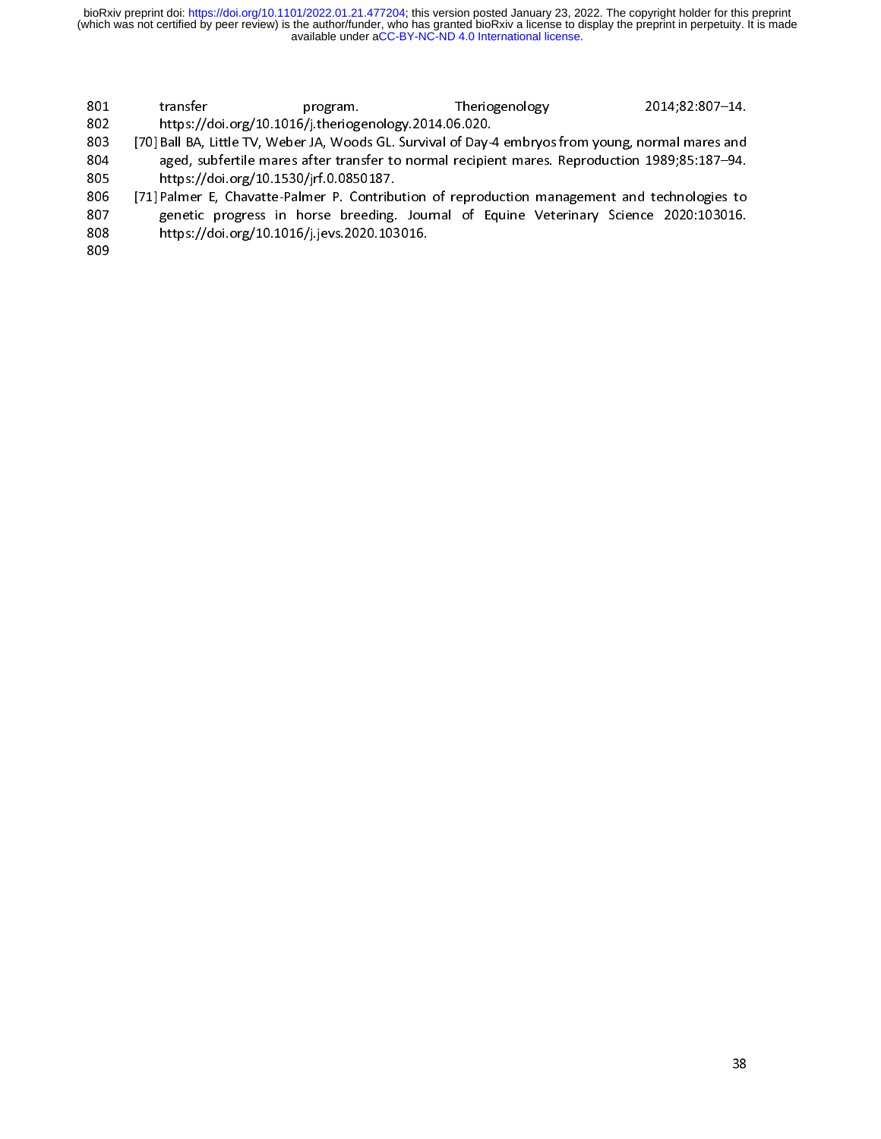- 
- 
- 
- 802 https://doi.org/10.1016/j.theriogenology.2014.06.020.<br>
803 [70] Ball BA, Little TV, Weber JA, Woods GL. Survival of Day-4 embryos from young, normal mares and<br>
804 age, subfertile mares after transfer to normal recipie [70] Ball BA, Little TV, Weber JA, Woods GL. Survival of Day-<br>
aged, subfertile mares after transfer to normal recipie<br>
https://doi.org/10.1530/jrf.0.0850187.<br>
[71] Palmer E, Chavatte-Palmer P. Contribution of reproducemen 804 a seed, subfertile mares after transfer to normal recipient mares. Reproduction 1989;85:187–94.<br>805 https://doi.org/10.1530/jrf.0.0850187.<br>807 [71] Palmer E, Chavatte-Palmer P. Contribution of reproduction management a 805 https://doi.org/10.1530/jrf.0.0850187.<br>
806 [71] Palmer E, Chavatte-Palmer P. Contribution of reproduction management and technologies to<br>
807 genetic progress in horse breeding. Journal of Equine Veterinary Science 20 806 [71] Palmer E, Chavatte-Palmer P. Contributed by the setting and the setting benefit control.<br>
808 https://doi.org/10.1016/j.jevs.2020.103<br>
809 807 genetic progress in horse breeding. Journal of Equine Veterinary Science 2020:103016.<br>808 https://doi.org/10.1016/j.jevs.2020.103016.<br>809 808 https://doi.org/10.1016/j.jevs.2020.103016.<br>809<br>809
- 809<br>809<br>809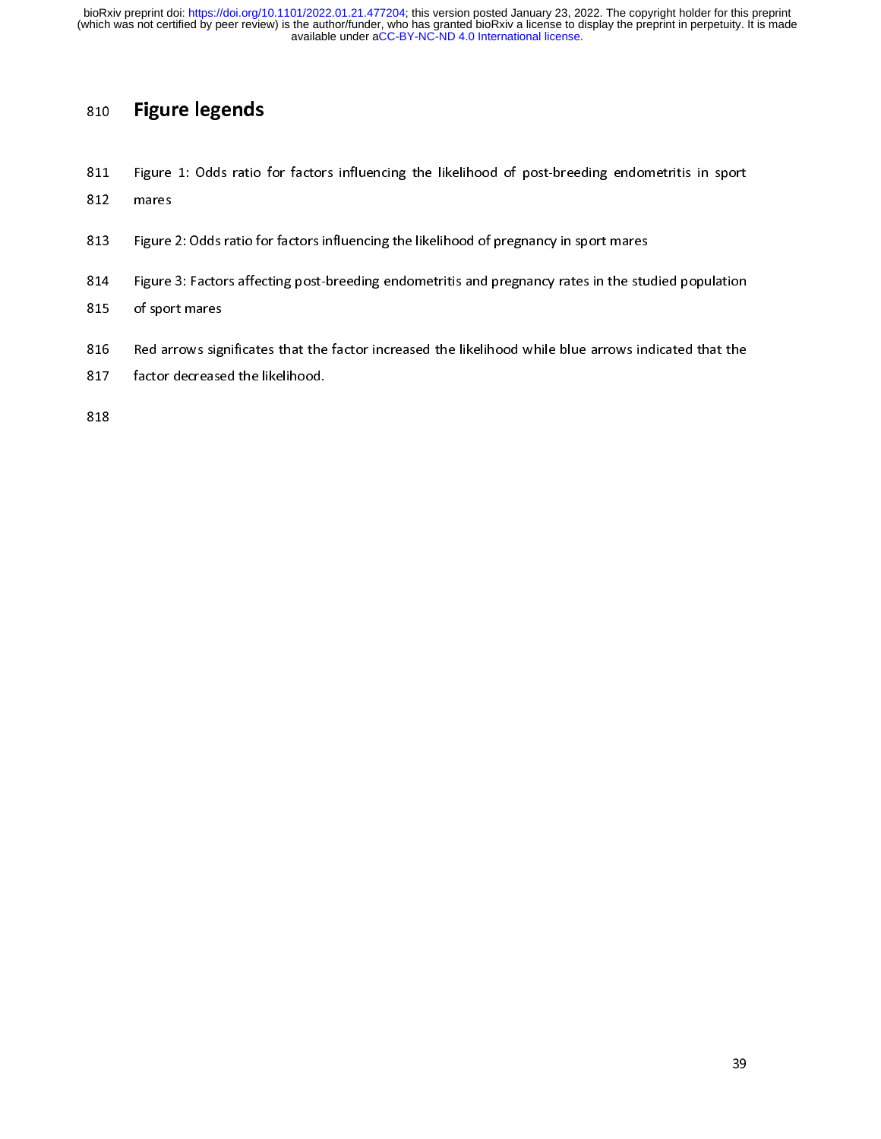810 Figure 1: Odds ratio<br>812 mares<br>813 Figure 2: Odds ratio fo<br>814 Figure 3: Factors affec<br>815 of sport mares<br>816 Red arrows significate<br>817 factor decreased the li 812 Figure 2: Odds ratio for factors influencing the likelihood of pregnancy in sport mares<br>813 Figure 2: Odds ratio for factors influencing the likelihood of pregnancy in sport mares<br>814 Figure 3: Factors affecting post-b

- 
- 813 Figure<br>814 Figure<br>815 of spor<br>815 Red ar<br>817 factor B14 Figure 3: Factors affecting post-breeding endometritis and pregnancy rates in the stu<br>
815 of sport mares<br>
816 Red arrows significates that the factor increased the likelihood while blue arrows in<br>
817 factor decreased
- 
- 815 of sport mares<br>816 Red arrows significates that the factor increased the likelihood while blue arrows indicated that the<br>817 factor decreased the likelihood.<br>818
- 816 Red arrows signals Red arrows signals and the sport matrices of the sport matrices. 817 Factor decreased the likelihood.<br>818 818<br>818<br>Factor decreased the likelihood.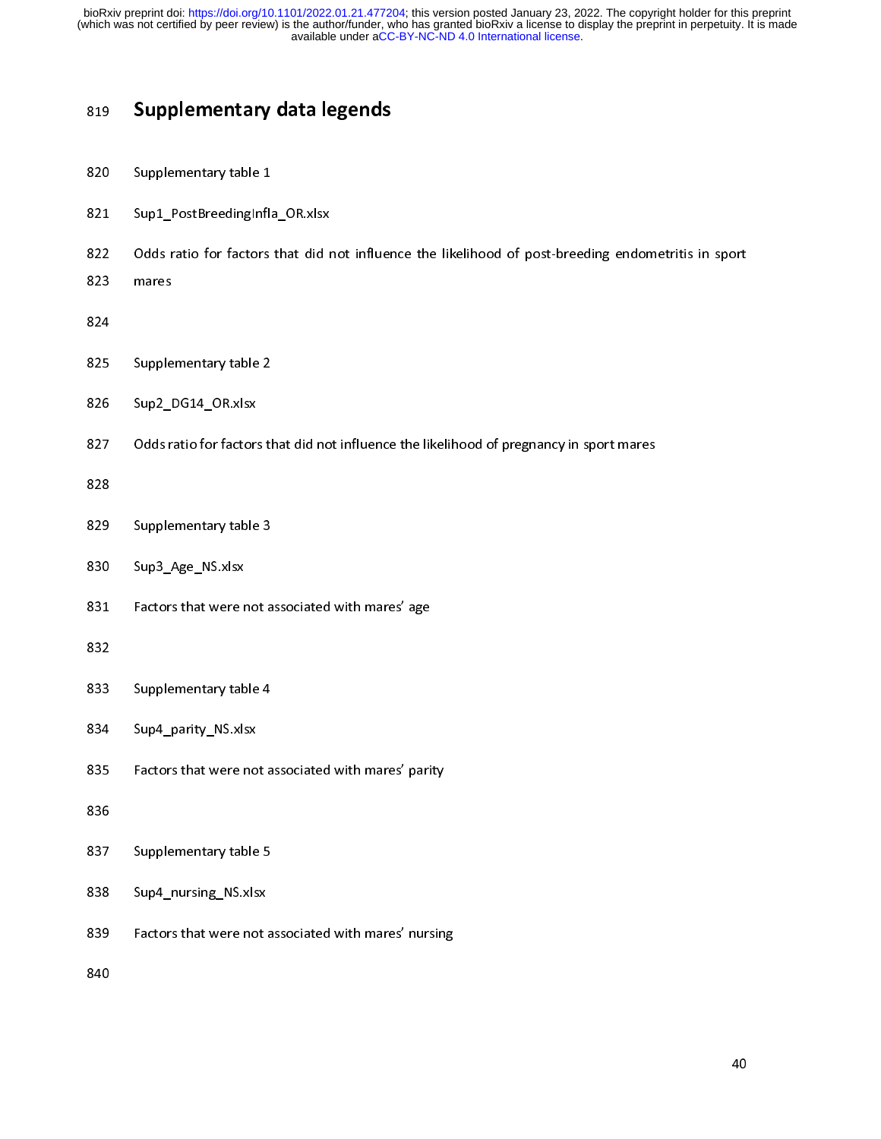- 
- 
- Supplementary data legends<br>820 Supplementary table 1<br>821 Sup1\_PostBreedingInfla\_OR.xlsx<br>822 Odds ratio for factors that did not influen<br>823 mares<br>824 Supplementary table 2<br>825 Supplementary table 2
- 
- 
- 824<br>825 Supple<br>826 Sup2\_I<br>827 Odds.r.<br>828<br>829 Supple<br>830 Sup3\_*I* ---<br>825<br>826<br>827<br>828<br>830<br>831
- 
- Suppl\_PostBreedingInflameters<br>822 Odds ratio for factors<br>823 mares<br>824 Supplementary table 2<br>826 Supplementary table 2<br>826 Sup2\_DG14\_OR.xlsx<br>827 Odds ratio for factors th eral contractors that did r<br>
822 Odds ratio for factors that did r<br>
824<br>
825 Supplementary table 2<br>
826 Sup2\_DG14\_OR.xlsx<br>
827 Odds ratio for factors that did no<br>
828 823 onder ratio for factors that did not influence the likelihood of pregnancy in sport mares<br>826 Supplementary table 2<br>826 Sup2\_DG14\_OR.xlsx<br>827 Odds ratio for factors that did not influence the likelihood of pregnancy in 826 Sup2\_DG14\_OR.xlsx<br>827 Odds ratio for factors the<br>828 Supplementary table 3<br>830 Sup3\_Age\_NS.xlsx<br>831 Factors that were not a<br>832
- 
- 
- 
- 828<br>829 Supplementary table 3<br>830 Sup3\_Age\_NS.xlsx<br>831 Factors that were not associated with mares' age<br>832<br>833 Supplementary table 4<br>834 Sup4\_parity\_NS.xlsx
- 
- 827 Odds ratio for factors<br>828 Supplementary table<br>830 Sup3\_Age\_NS.xlsx<br>831 Factors that were no<br>832 Supplementary table ---<br>829<br>830<br>831<br>832<br>833<br>834 Experimental Sample<br>
831 Factors that were r<br>
832 Supplementary tab<br>
834 Sup4\_parity\_NS.xls<br>
835 Factors that were r<br>
836 Supplementary tab 833<br>834<br>835<br>835<br>836<br>837
- 
- Sup3\_Age\_NS.xlsx<br>830 Sup3\_Age\_NS.xlsx<br>831 Factors that were not a<br>832 Supplementary table 4<br>834 Sup4\_parity\_NS.xlsx<br>835 Factors that were not a<br>836 832<br>833 Supplementary table 4<br>834 Sup4\_parity\_NS.xlsx<br>835 Factors that were not associated with mares' parity<br>836<br>837 Supplementary table 5<br>838 Sup4\_nursing\_NS.xlsx Supplementary state<br>
834 Supplementary NS.xlsx<br>
835 Factors that were not a<br>
836 Supplementary table 5<br>
838 Supplementary table 5<br>
839 Factors that were not a<br>
840 835 Factors that were no<br>836 Supplementary table<br>838 Sup4\_nursing\_NS.xls<br>839 Factors that were no<br>840
- 
- 837<br>838<br>839<br>840
- 
- Sastematical Martins that were not associated with mares' party<br>
Rass Sup4\_nursing\_NS.xlsx<br>
Factors that were not associated with mares' nursing<br>
Rass Sup4\_nursing\_NS.xlsx Sup4\_nursing\_NS.xlsx<br>838 Sup4\_nursing\_NS.xlsx<br>839 Factors that were not a<br>840  $839$  Factors that were not a<br>840  $840$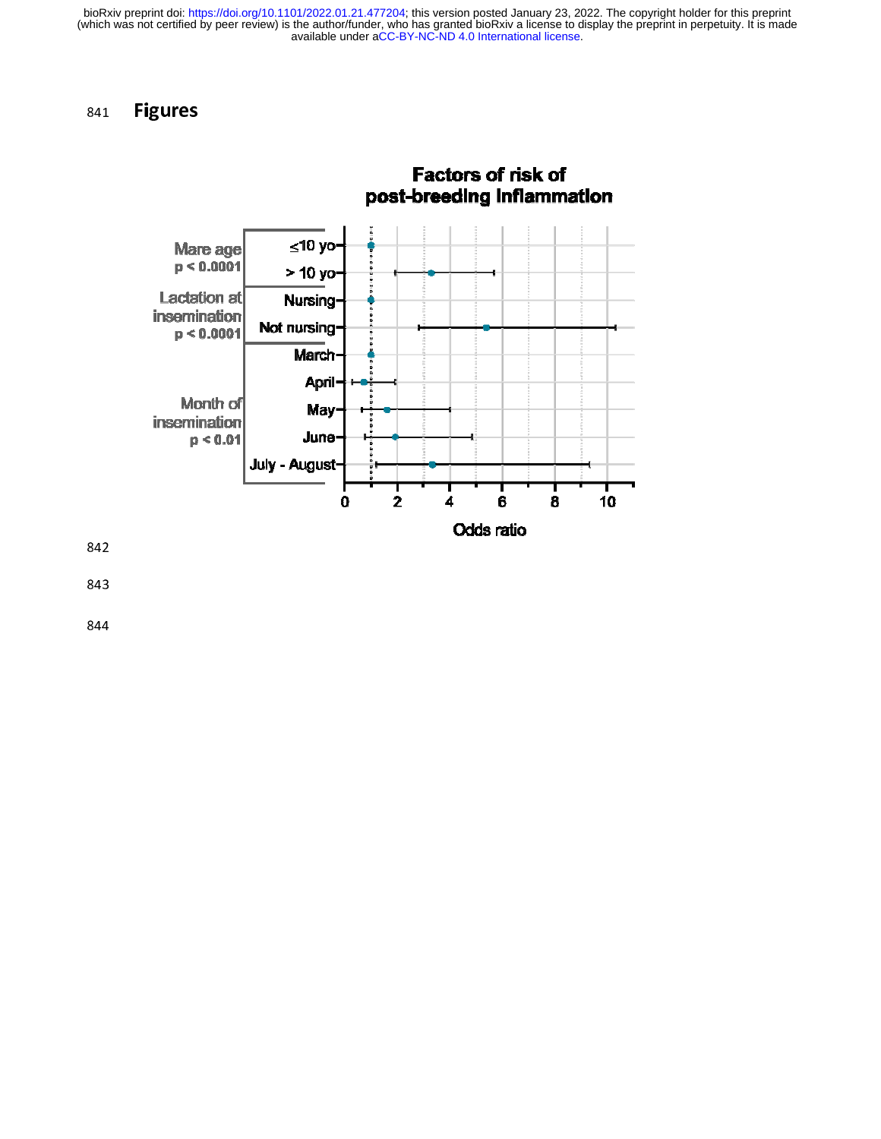### 841 Figures



844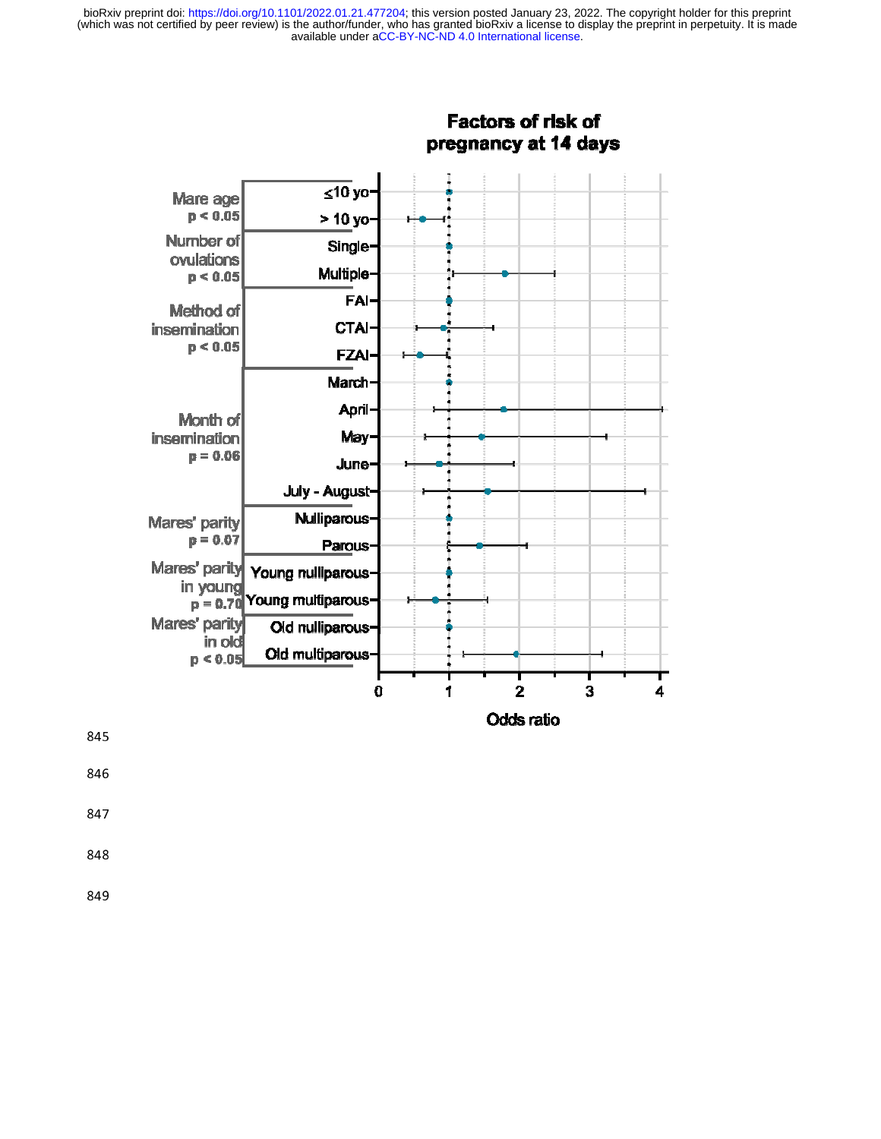



- 846
- 847
- 
- 
-